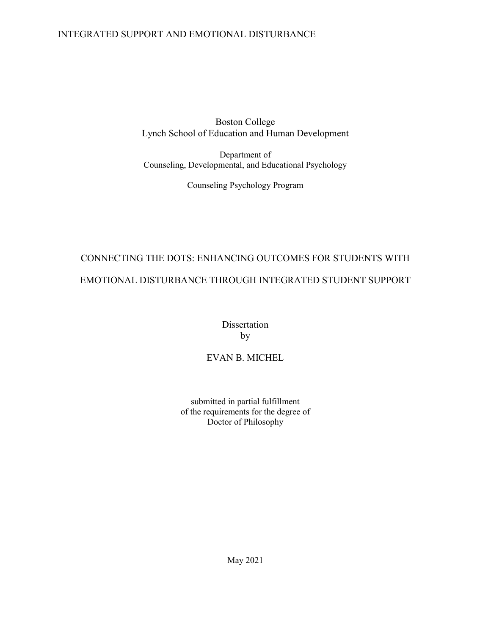Boston College Lynch School of Education and Human Development

Department of Counseling, Developmental, and Educational Psychology

Counseling Psychology Program

# CONNECTING THE DOTS: ENHANCING OUTCOMES FOR STUDENTS WITH EMOTIONAL DISTURBANCE THROUGH INTEGRATED STUDENT SUPPORT

Dissertation by

# EVAN B. MICHEL

submitted in partial fulfillment of the requirements for the degree of Doctor of Philosophy

May 2021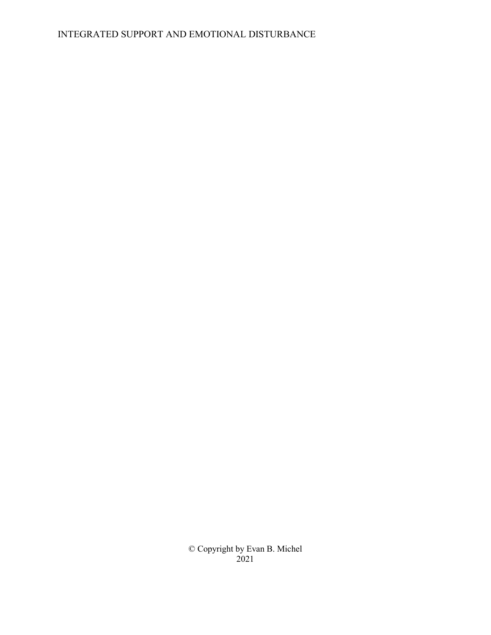© Copyright by Evan B. Michel 2021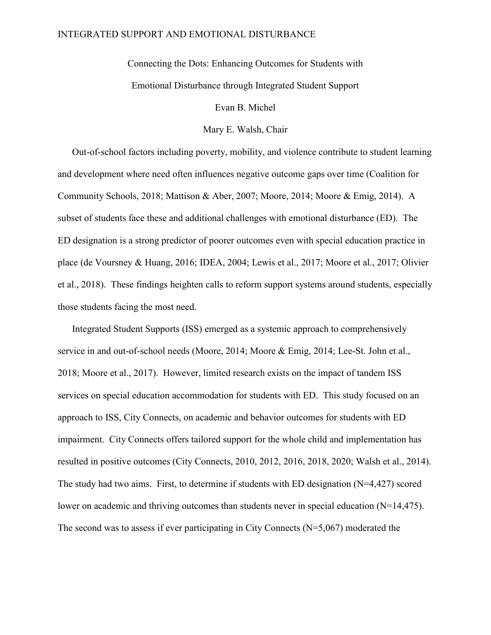Connecting the Dots: Enhancing Outcomes for Students with Emotional Disturbance through Integrated Student Support

Evan B. Michel

Mary E. Walsh, Chair

Out-of-school factors including poverty, mobility, and violence contribute to student learning and development where need often influences negative outcome gaps over time (Coalition for Community Schools, 2018; Mattison & Aber, 2007; Moore, 2014; Moore & Emig, 2014). A subset of students face these and additional challenges with emotional disturbance (ED). The ED designation is a strong predictor of poorer outcomes even with special education practice in place (de Voursney & Huang, 2016; IDEA, 2004; Lewis et al., 2017; Moore et al., 2017; Olivier et al., 2018). These findings heighten calls to reform support systems around students, especially those students facing the most need.

Integrated Student Supports (ISS) emerged as a systemic approach to comprehensively service in and out-of-school needs (Moore, 2014; Moore & Emig, 2014; Lee-St. John et al., 2018; Moore et al., 2017). However, limited research exists on the impact of tandem ISS services on special education accommodation for students with ED. This study focused on an approach to ISS, City Connects, on academic and behavior outcomes for students with ED impairment. City Connects offers tailored support for the whole child and implementation has resulted in positive outcomes (City Connects, 2010, 2012, 2016, 2018, 2020; Walsh et al., 2014). The study had two aims. First, to determine if students with ED designation (N=4,427) scored lower on academic and thriving outcomes than students never in special education (N=14,475). The second was to assess if ever participating in City Connects (N=5,067) moderated the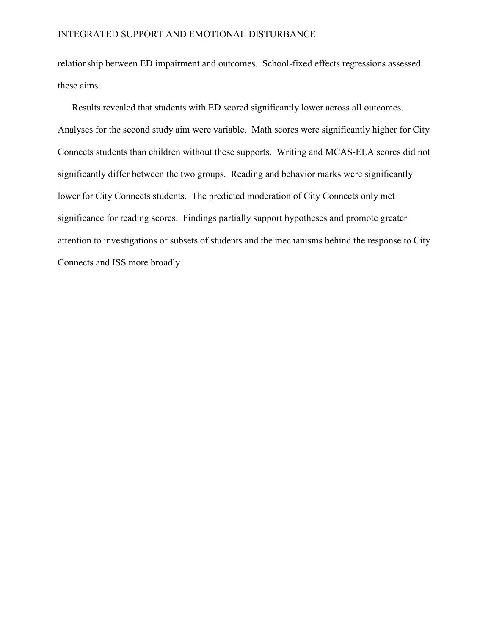relationship between ED impairment and outcomes. School-fixed effects regressions assessed these aims.

Results revealed that students with ED scored significantly lower across all outcomes. Analyses for the second study aim were variable. Math scores were significantly higher for City Connects students than children without these supports. Writing and MCAS-ELA scores did not significantly differ between the two groups. Reading and behavior marks were significantly lower for City Connects students. The predicted moderation of City Connects only met significance for reading scores. Findings partially support hypotheses and promote greater attention to investigations of subsets of students and the mechanisms behind the response to City Connects and ISS more broadly.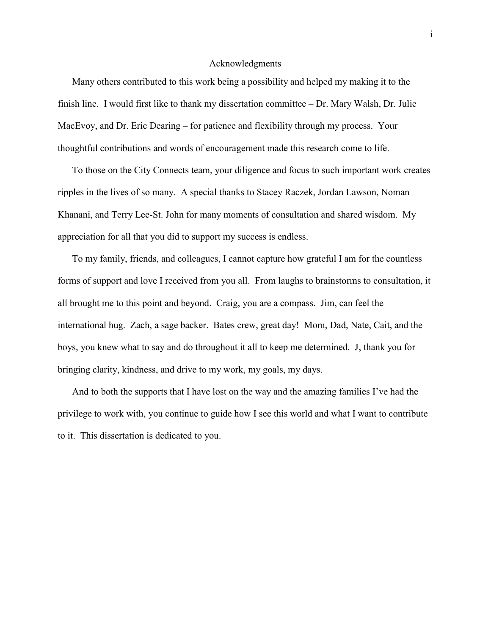#### Acknowledgments

Many others contributed to this work being a possibility and helped my making it to the finish line. I would first like to thank my dissertation committee – Dr. Mary Walsh, Dr. Julie MacEvoy, and Dr. Eric Dearing – for patience and flexibility through my process. Your thoughtful contributions and words of encouragement made this research come to life.

To those on the City Connects team, your diligence and focus to such important work creates ripples in the lives of so many. A special thanks to Stacey Raczek, Jordan Lawson, Noman Khanani, and Terry Lee-St. John for many moments of consultation and shared wisdom. My appreciation for all that you did to support my success is endless.

To my family, friends, and colleagues, I cannot capture how grateful I am for the countless forms of support and love I received from you all. From laughs to brainstorms to consultation, it all brought me to this point and beyond. Craig, you are a compass. Jim, can feel the international hug. Zach, a sage backer. Bates crew, great day! Mom, Dad, Nate, Cait, and the boys, you knew what to say and do throughout it all to keep me determined. J, thank you for bringing clarity, kindness, and drive to my work, my goals, my days.

And to both the supports that I have lost on the way and the amazing families I've had the privilege to work with, you continue to guide how I see this world and what I want to contribute to it. This dissertation is dedicated to you.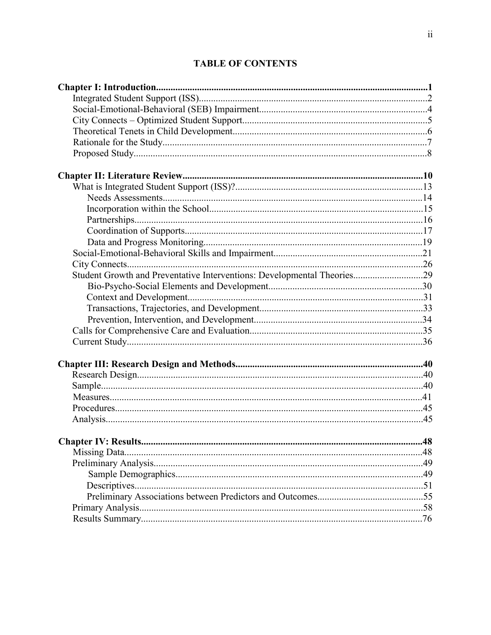# **TABLE OF CONTENTS**

| Student Growth and Preventative Interventions: Developmental Theories29 |     |
|-------------------------------------------------------------------------|-----|
|                                                                         |     |
|                                                                         |     |
|                                                                         |     |
|                                                                         |     |
|                                                                         |     |
|                                                                         |     |
|                                                                         |     |
|                                                                         |     |
|                                                                         |     |
|                                                                         |     |
|                                                                         |     |
|                                                                         |     |
|                                                                         |     |
|                                                                         | .48 |
|                                                                         |     |
|                                                                         |     |
|                                                                         |     |
|                                                                         |     |
|                                                                         |     |
|                                                                         |     |
|                                                                         |     |
|                                                                         |     |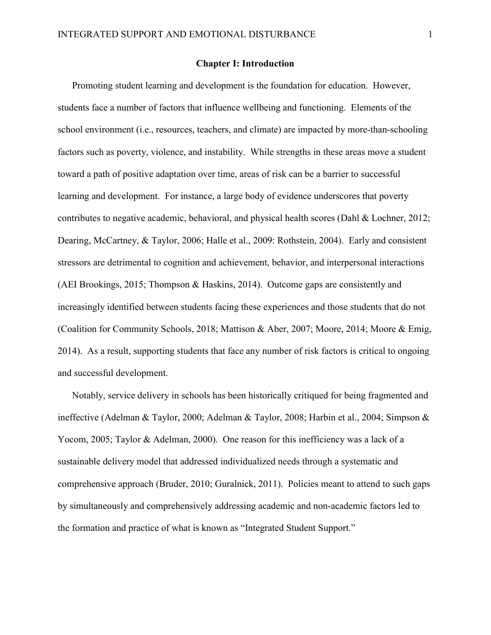#### Chapter I: Introduction

Promoting student learning and development is the foundation for education. However, students face a number of factors that influence wellbeing and functioning. Elements of the school environment (i.e., resources, teachers, and climate) are impacted by more-than-schooling factors such as poverty, violence, and instability. While strengths in these areas move a student toward a path of positive adaptation over time, areas of risk can be a barrier to successful learning and development. For instance, a large body of evidence underscores that poverty contributes to negative academic, behavioral, and physical health scores (Dahl & Lochner, 2012; Dearing, McCartney, & Taylor, 2006; Halle et al., 2009: Rothstein, 2004). Early and consistent stressors are detrimental to cognition and achievement, behavior, and interpersonal interactions (AEI Brookings, 2015; Thompson & Haskins, 2014). Outcome gaps are consistently and increasingly identified between students facing these experiences and those students that do not (Coalition for Community Schools, 2018; Mattison & Aber, 2007; Moore, 2014; Moore & Emig, 2014). As a result, supporting students that face any number of risk factors is critical to ongoing and successful development.

Notably, service delivery in schools has been historically critiqued for being fragmented and ineffective (Adelman & Taylor, 2000; Adelman & Taylor, 2008; Harbin et al., 2004; Simpson & Yocom, 2005; Taylor & Adelman, 2000). One reason for this inefficiency was a lack of a sustainable delivery model that addressed individualized needs through a systematic and comprehensive approach (Bruder, 2010; Guralnick, 2011). Policies meant to attend to such gaps by simultaneously and comprehensively addressing academic and non-academic factors led to the formation and practice of what is known as "Integrated Student Support."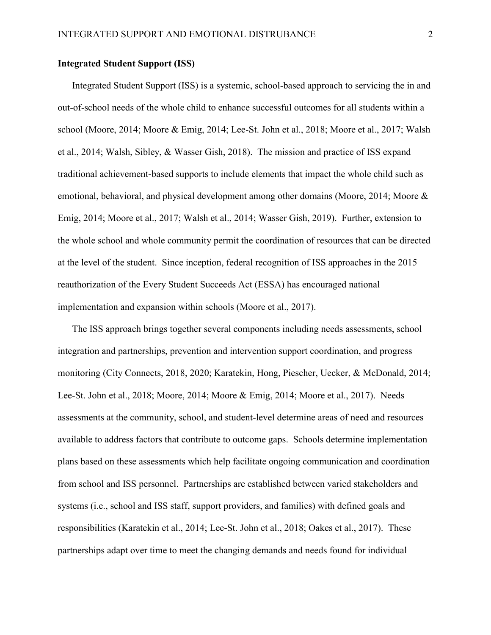# Integrated Student Support (ISS)

Integrated Student Support (ISS) is a systemic, school-based approach to servicing the in and out-of-school needs of the whole child to enhance successful outcomes for all students within a school (Moore, 2014; Moore & Emig, 2014; Lee-St. John et al., 2018; Moore et al., 2017; Walsh et al., 2014; Walsh, Sibley, & Wasser Gish, 2018). The mission and practice of ISS expand traditional achievement-based supports to include elements that impact the whole child such as emotional, behavioral, and physical development among other domains (Moore, 2014; Moore & Emig, 2014; Moore et al., 2017; Walsh et al., 2014; Wasser Gish, 2019). Further, extension to the whole school and whole community permit the coordination of resources that can be directed at the level of the student. Since inception, federal recognition of ISS approaches in the 2015 reauthorization of the Every Student Succeeds Act (ESSA) has encouraged national implementation and expansion within schools (Moore et al., 2017).

The ISS approach brings together several components including needs assessments, school integration and partnerships, prevention and intervention support coordination, and progress monitoring (City Connects, 2018, 2020; Karatekin, Hong, Piescher, Uecker, & McDonald, 2014; Lee-St. John et al., 2018; Moore, 2014; Moore & Emig, 2014; Moore et al., 2017). Needs assessments at the community, school, and student-level determine areas of need and resources available to address factors that contribute to outcome gaps. Schools determine implementation plans based on these assessments which help facilitate ongoing communication and coordination from school and ISS personnel. Partnerships are established between varied stakeholders and systems (i.e., school and ISS staff, support providers, and families) with defined goals and responsibilities (Karatekin et al., 2014; Lee-St. John et al., 2018; Oakes et al., 2017). These partnerships adapt over time to meet the changing demands and needs found for individual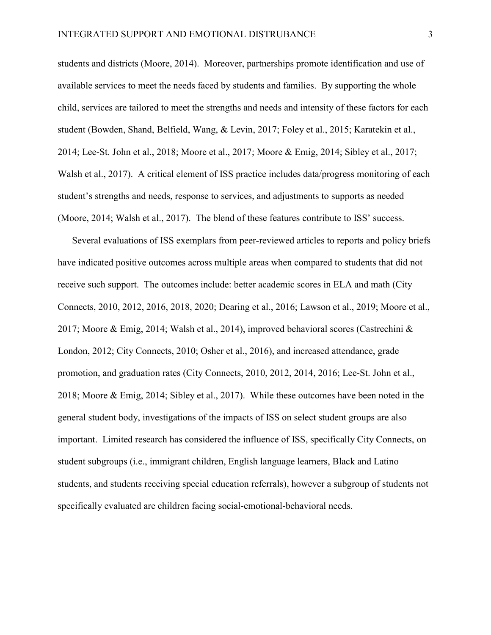students and districts (Moore, 2014). Moreover, partnerships promote identification and use of available services to meet the needs faced by students and families. By supporting the whole child, services are tailored to meet the strengths and needs and intensity of these factors for each student (Bowden, Shand, Belfield, Wang, & Levin, 2017; Foley et al., 2015; Karatekin et al., 2014; Lee-St. John et al., 2018; Moore et al., 2017; Moore & Emig, 2014; Sibley et al., 2017; Walsh et al., 2017). A critical element of ISS practice includes data/progress monitoring of each student's strengths and needs, response to services, and adjustments to supports as needed (Moore, 2014; Walsh et al., 2017). The blend of these features contribute to ISS' success.

Several evaluations of ISS exemplars from peer-reviewed articles to reports and policy briefs have indicated positive outcomes across multiple areas when compared to students that did not receive such support. The outcomes include: better academic scores in ELA and math (City Connects, 2010, 2012, 2016, 2018, 2020; Dearing et al., 2016; Lawson et al., 2019; Moore et al., 2017; Moore & Emig, 2014; Walsh et al., 2014), improved behavioral scores (Castrechini & London, 2012; City Connects, 2010; Osher et al., 2016), and increased attendance, grade promotion, and graduation rates (City Connects, 2010, 2012, 2014, 2016; Lee-St. John et al., 2018; Moore & Emig, 2014; Sibley et al., 2017). While these outcomes have been noted in the general student body, investigations of the impacts of ISS on select student groups are also important. Limited research has considered the influence of ISS, specifically City Connects, on student subgroups (i.e., immigrant children, English language learners, Black and Latino students, and students receiving special education referrals), however a subgroup of students not specifically evaluated are children facing social-emotional-behavioral needs.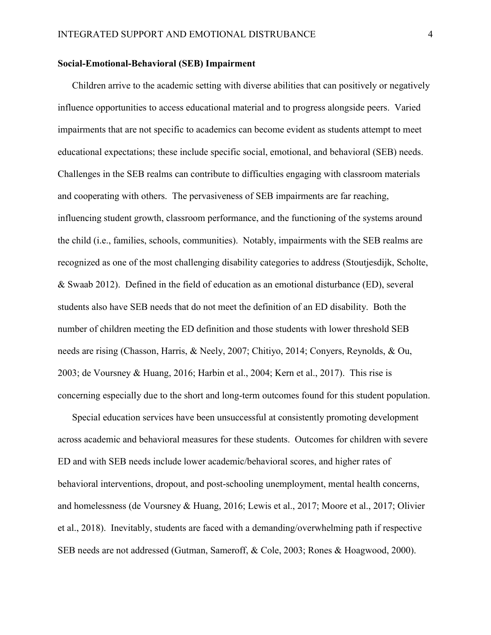#### Social-Emotional-Behavioral (SEB) Impairment

Children arrive to the academic setting with diverse abilities that can positively or negatively influence opportunities to access educational material and to progress alongside peers. Varied impairments that are not specific to academics can become evident as students attempt to meet educational expectations; these include specific social, emotional, and behavioral (SEB) needs. Challenges in the SEB realms can contribute to difficulties engaging with classroom materials and cooperating with others. The pervasiveness of SEB impairments are far reaching, influencing student growth, classroom performance, and the functioning of the systems around the child (i.e., families, schools, communities). Notably, impairments with the SEB realms are recognized as one of the most challenging disability categories to address (Stoutjesdijk, Scholte, & Swaab 2012). Defined in the field of education as an emotional disturbance (ED), several students also have SEB needs that do not meet the definition of an ED disability. Both the number of children meeting the ED definition and those students with lower threshold SEB needs are rising (Chasson, Harris, & Neely, 2007; Chitiyo, 2014; Conyers, Reynolds, & Ou, 2003; de Voursney & Huang, 2016; Harbin et al., 2004; Kern et al., 2017). This rise is concerning especially due to the short and long-term outcomes found for this student population.

Special education services have been unsuccessful at consistently promoting development across academic and behavioral measures for these students. Outcomes for children with severe ED and with SEB needs include lower academic/behavioral scores, and higher rates of behavioral interventions, dropout, and post-schooling unemployment, mental health concerns, and homelessness (de Voursney & Huang, 2016; Lewis et al., 2017; Moore et al., 2017; Olivier et al., 2018). Inevitably, students are faced with a demanding/overwhelming path if respective SEB needs are not addressed (Gutman, Sameroff, & Cole, 2003; Rones & Hoagwood, 2000).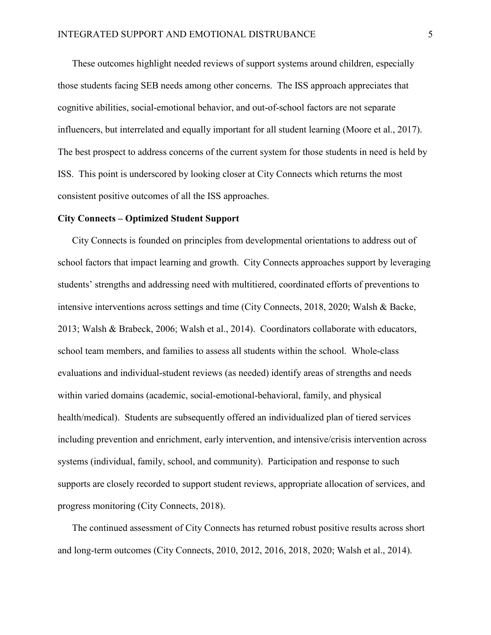These outcomes highlight needed reviews of support systems around children, especially those students facing SEB needs among other concerns. The ISS approach appreciates that cognitive abilities, social-emotional behavior, and out-of-school factors are not separate influencers, but interrelated and equally important for all student learning (Moore et al., 2017). The best prospect to address concerns of the current system for those students in need is held by ISS. This point is underscored by looking closer at City Connects which returns the most consistent positive outcomes of all the ISS approaches.

#### City Connects – Optimized Student Support

City Connects is founded on principles from developmental orientations to address out of school factors that impact learning and growth. City Connects approaches support by leveraging students' strengths and addressing need with multitiered, coordinated efforts of preventions to intensive interventions across settings and time (City Connects, 2018, 2020; Walsh & Backe, 2013; Walsh & Brabeck, 2006; Walsh et al., 2014). Coordinators collaborate with educators, school team members, and families to assess all students within the school. Whole-class evaluations and individual-student reviews (as needed) identify areas of strengths and needs within varied domains (academic, social-emotional-behavioral, family, and physical health/medical). Students are subsequently offered an individualized plan of tiered services including prevention and enrichment, early intervention, and intensive/crisis intervention across systems (individual, family, school, and community). Participation and response to such supports are closely recorded to support student reviews, appropriate allocation of services, and progress monitoring (City Connects, 2018).

The continued assessment of City Connects has returned robust positive results across short and long-term outcomes (City Connects, 2010, 2012, 2016, 2018, 2020; Walsh et al., 2014).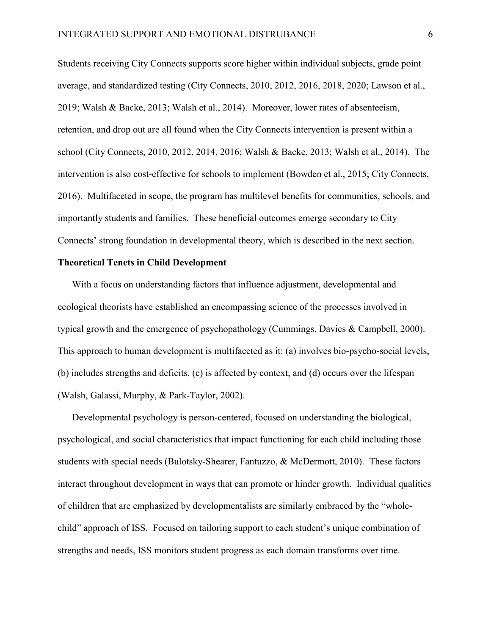Students receiving City Connects supports score higher within individual subjects, grade point average, and standardized testing (City Connects, 2010, 2012, 2016, 2018, 2020; Lawson et al., 2019; Walsh & Backe, 2013; Walsh et al., 2014). Moreover, lower rates of absenteeism, retention, and drop out are all found when the City Connects intervention is present within a school (City Connects, 2010, 2012, 2014, 2016; Walsh & Backe, 2013; Walsh et al., 2014). The intervention is also cost-effective for schools to implement (Bowden et al., 2015; City Connects, 2016). Multifaceted in scope, the program has multilevel benefits for communities, schools, and importantly students and families. These beneficial outcomes emerge secondary to City Connects' strong foundation in developmental theory, which is described in the next section.

## Theoretical Tenets in Child Development

With a focus on understanding factors that influence adjustment, developmental and ecological theorists have established an encompassing science of the processes involved in typical growth and the emergence of psychopathology (Cummings, Davies & Campbell, 2000). This approach to human development is multifaceted as it: (a) involves bio-psycho-social levels, (b) includes strengths and deficits, (c) is affected by context, and (d) occurs over the lifespan (Walsh, Galassi, Murphy, & Park-Taylor, 2002).

Developmental psychology is person-centered, focused on understanding the biological, psychological, and social characteristics that impact functioning for each child including those students with special needs (Bulotsky-Shearer, Fantuzzo, & McDermott, 2010). These factors interact throughout development in ways that can promote or hinder growth. Individual qualities of children that are emphasized by developmentalists are similarly embraced by the "wholechild" approach of ISS. Focused on tailoring support to each student's unique combination of strengths and needs, ISS monitors student progress as each domain transforms over time.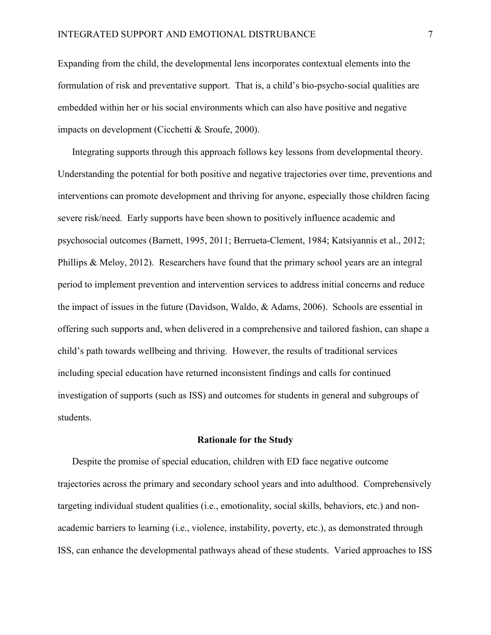Expanding from the child, the developmental lens incorporates contextual elements into the formulation of risk and preventative support. That is, a child's bio-psycho-social qualities are embedded within her or his social environments which can also have positive and negative impacts on development (Cicchetti & Sroufe, 2000).

Integrating supports through this approach follows key lessons from developmental theory. Understanding the potential for both positive and negative trajectories over time, preventions and interventions can promote development and thriving for anyone, especially those children facing severe risk/need. Early supports have been shown to positively influence academic and psychosocial outcomes (Barnett, 1995, 2011; Berrueta-Clement, 1984; Katsiyannis et al., 2012; Phillips & Meloy, 2012). Researchers have found that the primary school years are an integral period to implement prevention and intervention services to address initial concerns and reduce the impact of issues in the future (Davidson, Waldo, & Adams, 2006). Schools are essential in offering such supports and, when delivered in a comprehensive and tailored fashion, can shape a child's path towards wellbeing and thriving. However, the results of traditional services including special education have returned inconsistent findings and calls for continued investigation of supports (such as ISS) and outcomes for students in general and subgroups of students.

#### Rationale for the Study

Despite the promise of special education, children with ED face negative outcome trajectories across the primary and secondary school years and into adulthood. Comprehensively targeting individual student qualities (i.e., emotionality, social skills, behaviors, etc.) and nonacademic barriers to learning (i.e., violence, instability, poverty, etc.), as demonstrated through ISS, can enhance the developmental pathways ahead of these students. Varied approaches to ISS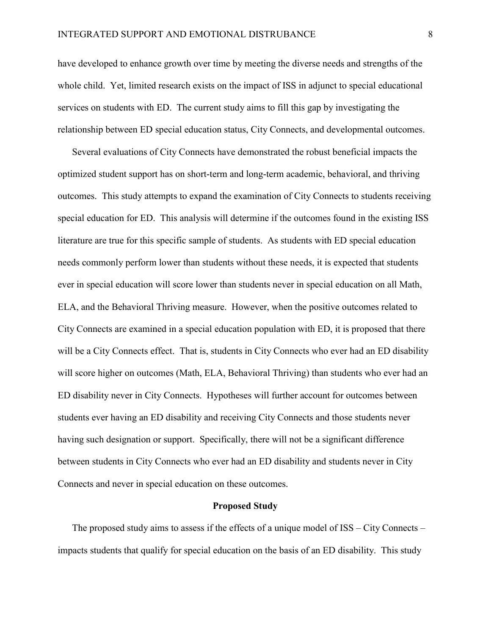have developed to enhance growth over time by meeting the diverse needs and strengths of the whole child. Yet, limited research exists on the impact of ISS in adjunct to special educational services on students with ED. The current study aims to fill this gap by investigating the relationship between ED special education status, City Connects, and developmental outcomes.

Several evaluations of City Connects have demonstrated the robust beneficial impacts the optimized student support has on short-term and long-term academic, behavioral, and thriving outcomes. This study attempts to expand the examination of City Connects to students receiving special education for ED. This analysis will determine if the outcomes found in the existing ISS literature are true for this specific sample of students. As students with ED special education needs commonly perform lower than students without these needs, it is expected that students ever in special education will score lower than students never in special education on all Math, ELA, and the Behavioral Thriving measure. However, when the positive outcomes related to City Connects are examined in a special education population with ED, it is proposed that there will be a City Connects effect. That is, students in City Connects who ever had an ED disability will score higher on outcomes (Math, ELA, Behavioral Thriving) than students who ever had an ED disability never in City Connects. Hypotheses will further account for outcomes between students ever having an ED disability and receiving City Connects and those students never having such designation or support. Specifically, there will not be a significant difference between students in City Connects who ever had an ED disability and students never in City Connects and never in special education on these outcomes.

#### Proposed Study

The proposed study aims to assess if the effects of a unique model of ISS – City Connects – impacts students that qualify for special education on the basis of an ED disability. This study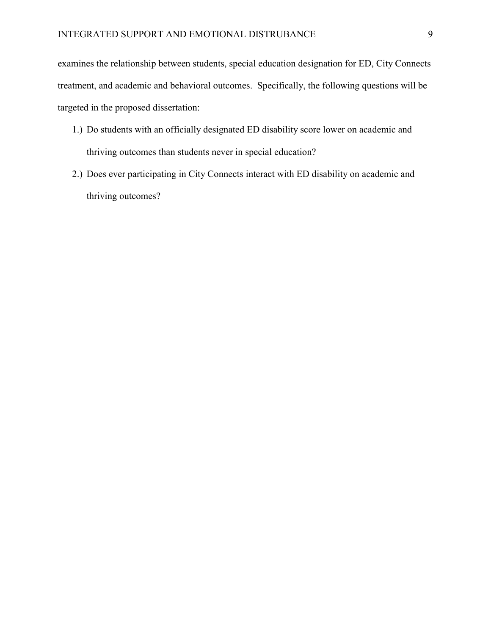examines the relationship between students, special education designation for ED, City Connects treatment, and academic and behavioral outcomes. Specifically, the following questions will be targeted in the proposed dissertation:

- 1.) Do students with an officially designated ED disability score lower on academic and thriving outcomes than students never in special education?
- 2.) Does ever participating in City Connects interact with ED disability on academic and thriving outcomes?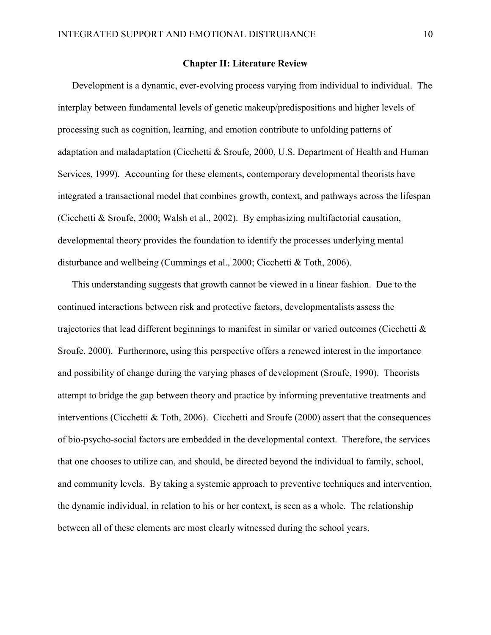#### Chapter II: Literature Review

Development is a dynamic, ever-evolving process varying from individual to individual. The interplay between fundamental levels of genetic makeup/predispositions and higher levels of processing such as cognition, learning, and emotion contribute to unfolding patterns of adaptation and maladaptation (Cicchetti & Sroufe, 2000, U.S. Department of Health and Human Services, 1999). Accounting for these elements, contemporary developmental theorists have integrated a transactional model that combines growth, context, and pathways across the lifespan (Cicchetti & Sroufe, 2000; Walsh et al., 2002). By emphasizing multifactorial causation, developmental theory provides the foundation to identify the processes underlying mental disturbance and wellbeing (Cummings et al., 2000; Cicchetti & Toth, 2006).

This understanding suggests that growth cannot be viewed in a linear fashion. Due to the continued interactions between risk and protective factors, developmentalists assess the trajectories that lead different beginnings to manifest in similar or varied outcomes (Cicchetti & Sroufe, 2000). Furthermore, using this perspective offers a renewed interest in the importance and possibility of change during the varying phases of development (Sroufe, 1990). Theorists attempt to bridge the gap between theory and practice by informing preventative treatments and interventions (Cicchetti & Toth, 2006). Cicchetti and Sroufe (2000) assert that the consequences of bio-psycho-social factors are embedded in the developmental context. Therefore, the services that one chooses to utilize can, and should, be directed beyond the individual to family, school, and community levels. By taking a systemic approach to preventive techniques and intervention, the dynamic individual, in relation to his or her context, is seen as a whole. The relationship between all of these elements are most clearly witnessed during the school years.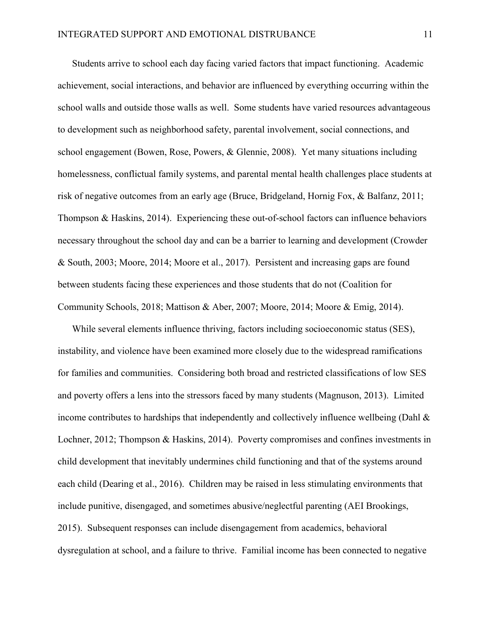Students arrive to school each day facing varied factors that impact functioning. Academic achievement, social interactions, and behavior are influenced by everything occurring within the school walls and outside those walls as well. Some students have varied resources advantageous to development such as neighborhood safety, parental involvement, social connections, and school engagement (Bowen, Rose, Powers, & Glennie, 2008). Yet many situations including homelessness, conflictual family systems, and parental mental health challenges place students at risk of negative outcomes from an early age (Bruce, Bridgeland, Hornig Fox, & Balfanz, 2011; Thompson & Haskins, 2014). Experiencing these out-of-school factors can influence behaviors necessary throughout the school day and can be a barrier to learning and development (Crowder & South, 2003; Moore, 2014; Moore et al., 2017). Persistent and increasing gaps are found between students facing these experiences and those students that do not (Coalition for Community Schools, 2018; Mattison & Aber, 2007; Moore, 2014; Moore & Emig, 2014).

While several elements influence thriving, factors including socioeconomic status (SES), instability, and violence have been examined more closely due to the widespread ramifications for families and communities. Considering both broad and restricted classifications of low SES and poverty offers a lens into the stressors faced by many students (Magnuson, 2013). Limited income contributes to hardships that independently and collectively influence wellbeing (Dahl  $\&$ Lochner, 2012; Thompson & Haskins, 2014). Poverty compromises and confines investments in child development that inevitably undermines child functioning and that of the systems around each child (Dearing et al., 2016). Children may be raised in less stimulating environments that include punitive, disengaged, and sometimes abusive/neglectful parenting (AEI Brookings, 2015). Subsequent responses can include disengagement from academics, behavioral dysregulation at school, and a failure to thrive. Familial income has been connected to negative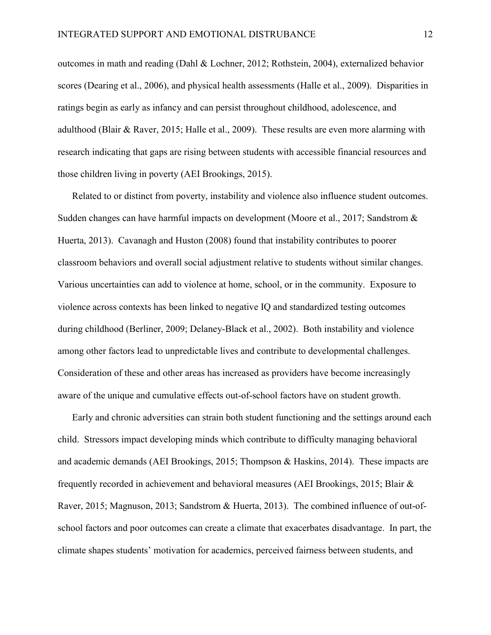outcomes in math and reading (Dahl & Lochner, 2012; Rothstein, 2004), externalized behavior scores (Dearing et al., 2006), and physical health assessments (Halle et al., 2009). Disparities in ratings begin as early as infancy and can persist throughout childhood, adolescence, and adulthood (Blair & Raver, 2015; Halle et al., 2009). These results are even more alarming with research indicating that gaps are rising between students with accessible financial resources and those children living in poverty (AEI Brookings, 2015).

Related to or distinct from poverty, instability and violence also influence student outcomes. Sudden changes can have harmful impacts on development (Moore et al., 2017; Sandstrom & Huerta, 2013). Cavanagh and Huston (2008) found that instability contributes to poorer classroom behaviors and overall social adjustment relative to students without similar changes. Various uncertainties can add to violence at home, school, or in the community. Exposure to violence across contexts has been linked to negative IQ and standardized testing outcomes during childhood (Berliner, 2009; Delaney-Black et al., 2002). Both instability and violence among other factors lead to unpredictable lives and contribute to developmental challenges. Consideration of these and other areas has increased as providers have become increasingly aware of the unique and cumulative effects out-of-school factors have on student growth.

Early and chronic adversities can strain both student functioning and the settings around each child. Stressors impact developing minds which contribute to difficulty managing behavioral and academic demands (AEI Brookings, 2015; Thompson & Haskins, 2014). These impacts are frequently recorded in achievement and behavioral measures (AEI Brookings, 2015; Blair & Raver, 2015; Magnuson, 2013; Sandstrom & Huerta, 2013). The combined influence of out-ofschool factors and poor outcomes can create a climate that exacerbates disadvantage. In part, the climate shapes students' motivation for academics, perceived fairness between students, and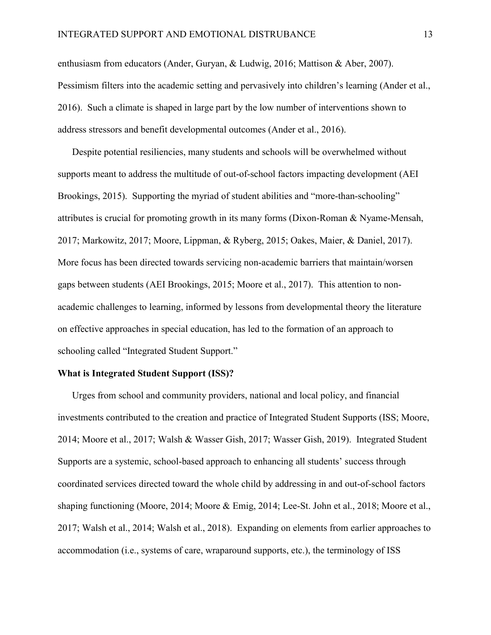enthusiasm from educators (Ander, Guryan, & Ludwig, 2016; Mattison & Aber, 2007). Pessimism filters into the academic setting and pervasively into children's learning (Ander et al., 2016). Such a climate is shaped in large part by the low number of interventions shown to address stressors and benefit developmental outcomes (Ander et al., 2016).

Despite potential resiliencies, many students and schools will be overwhelmed without supports meant to address the multitude of out-of-school factors impacting development (AEI Brookings, 2015). Supporting the myriad of student abilities and "more-than-schooling" attributes is crucial for promoting growth in its many forms (Dixon-Roman & Nyame-Mensah, 2017; Markowitz, 2017; Moore, Lippman, & Ryberg, 2015; Oakes, Maier, & Daniel, 2017). More focus has been directed towards servicing non-academic barriers that maintain/worsen gaps between students (AEI Brookings, 2015; Moore et al., 2017). This attention to nonacademic challenges to learning, informed by lessons from developmental theory the literature on effective approaches in special education, has led to the formation of an approach to schooling called "Integrated Student Support."

#### What is Integrated Student Support (ISS)?

Urges from school and community providers, national and local policy, and financial investments contributed to the creation and practice of Integrated Student Supports (ISS; Moore, 2014; Moore et al., 2017; Walsh & Wasser Gish, 2017; Wasser Gish, 2019). Integrated Student Supports are a systemic, school-based approach to enhancing all students' success through coordinated services directed toward the whole child by addressing in and out-of-school factors shaping functioning (Moore, 2014; Moore & Emig, 2014; Lee-St. John et al., 2018; Moore et al., 2017; Walsh et al., 2014; Walsh et al., 2018). Expanding on elements from earlier approaches to accommodation (i.e., systems of care, wraparound supports, etc.), the terminology of ISS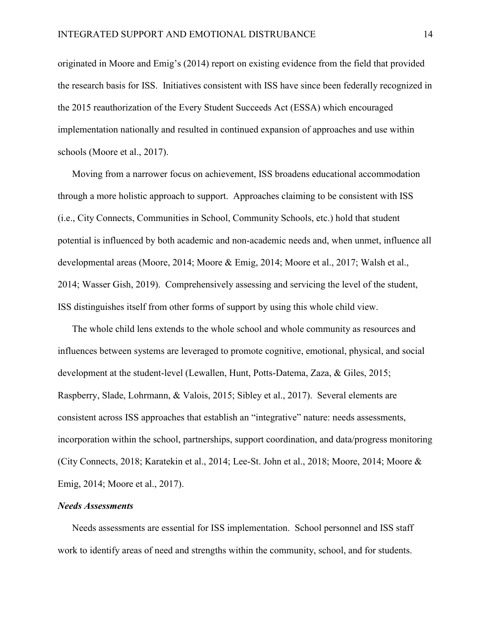originated in Moore and Emig's (2014) report on existing evidence from the field that provided the research basis for ISS. Initiatives consistent with ISS have since been federally recognized in the 2015 reauthorization of the Every Student Succeeds Act (ESSA) which encouraged implementation nationally and resulted in continued expansion of approaches and use within schools (Moore et al., 2017).

Moving from a narrower focus on achievement, ISS broadens educational accommodation through a more holistic approach to support. Approaches claiming to be consistent with ISS (i.e., City Connects, Communities in School, Community Schools, etc.) hold that student potential is influenced by both academic and non-academic needs and, when unmet, influence all developmental areas (Moore, 2014; Moore & Emig, 2014; Moore et al., 2017; Walsh et al., 2014; Wasser Gish, 2019). Comprehensively assessing and servicing the level of the student, ISS distinguishes itself from other forms of support by using this whole child view.

The whole child lens extends to the whole school and whole community as resources and influences between systems are leveraged to promote cognitive, emotional, physical, and social development at the student-level (Lewallen, Hunt, Potts-Datema, Zaza, & Giles, 2015; Raspberry, Slade, Lohrmann, & Valois, 2015; Sibley et al., 2017). Several elements are consistent across ISS approaches that establish an "integrative" nature: needs assessments, incorporation within the school, partnerships, support coordination, and data/progress monitoring (City Connects, 2018; Karatekin et al., 2014; Lee-St. John et al., 2018; Moore, 2014; Moore & Emig, 2014; Moore et al., 2017).

#### *Needs Assessments*

Needs assessments are essential for ISS implementation. School personnel and ISS staff work to identify areas of need and strengths within the community, school, and for students.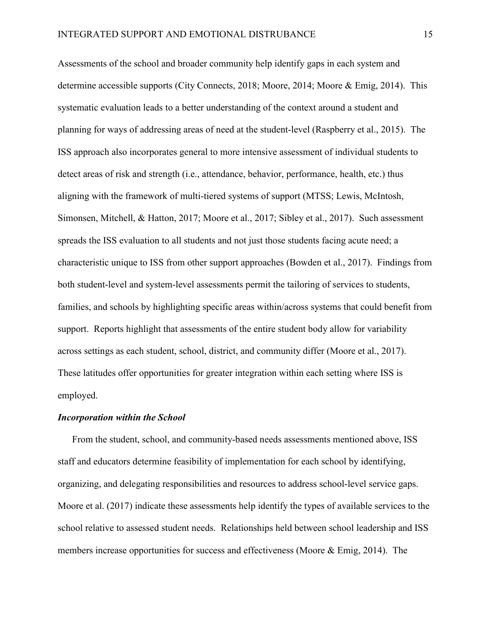Assessments of the school and broader community help identify gaps in each system and determine accessible supports (City Connects, 2018; Moore, 2014; Moore & Emig, 2014). This systematic evaluation leads to a better understanding of the context around a student and planning for ways of addressing areas of need at the student-level (Raspberry et al., 2015). The ISS approach also incorporates general to more intensive assessment of individual students to detect areas of risk and strength (i.e., attendance, behavior, performance, health, etc.) thus aligning with the framework of multi-tiered systems of support (MTSS; Lewis, McIntosh, Simonsen, Mitchell, & Hatton, 2017; Moore et al., 2017; Sibley et al., 2017). Such assessment spreads the ISS evaluation to all students and not just those students facing acute need; a characteristic unique to ISS from other support approaches (Bowden et al., 2017). Findings from both student-level and system-level assessments permit the tailoring of services to students, families, and schools by highlighting specific areas within/across systems that could benefit from support. Reports highlight that assessments of the entire student body allow for variability across settings as each student, school, district, and community differ (Moore et al., 2017). These latitudes offer opportunities for greater integration within each setting where ISS is employed.

#### *Incorporation within the School*

From the student, school, and community-based needs assessments mentioned above, ISS staff and educators determine feasibility of implementation for each school by identifying, organizing, and delegating responsibilities and resources to address school-level service gaps. Moore et al. (2017) indicate these assessments help identify the types of available services to the school relative to assessed student needs. Relationships held between school leadership and ISS members increase opportunities for success and effectiveness (Moore & Emig, 2014). The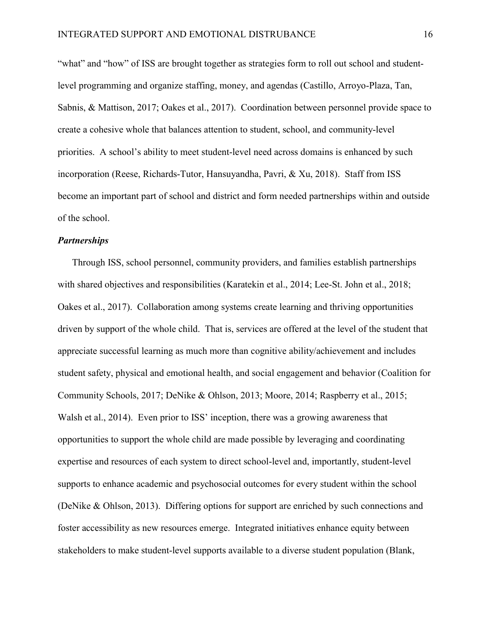"what" and "how" of ISS are brought together as strategies form to roll out school and studentlevel programming and organize staffing, money, and agendas (Castillo, Arroyo-Plaza, Tan, Sabnis, & Mattison, 2017; Oakes et al., 2017). Coordination between personnel provide space to create a cohesive whole that balances attention to student, school, and community-level priorities. A school's ability to meet student-level need across domains is enhanced by such incorporation (Reese, Richards-Tutor, Hansuyandha, Pavri, & Xu, 2018). Staff from ISS become an important part of school and district and form needed partnerships within and outside of the school.

#### *Partnerships*

Through ISS, school personnel, community providers, and families establish partnerships with shared objectives and responsibilities (Karatekin et al., 2014; Lee-St. John et al., 2018; Oakes et al., 2017). Collaboration among systems create learning and thriving opportunities driven by support of the whole child. That is, services are offered at the level of the student that appreciate successful learning as much more than cognitive ability/achievement and includes student safety, physical and emotional health, and social engagement and behavior (Coalition for Community Schools, 2017; DeNike & Ohlson, 2013; Moore, 2014; Raspberry et al., 2015; Walsh et al., 2014). Even prior to ISS' inception, there was a growing awareness that opportunities to support the whole child are made possible by leveraging and coordinating expertise and resources of each system to direct school-level and, importantly, student-level supports to enhance academic and psychosocial outcomes for every student within the school (DeNike & Ohlson, 2013). Differing options for support are enriched by such connections and foster accessibility as new resources emerge. Integrated initiatives enhance equity between stakeholders to make student-level supports available to a diverse student population (Blank,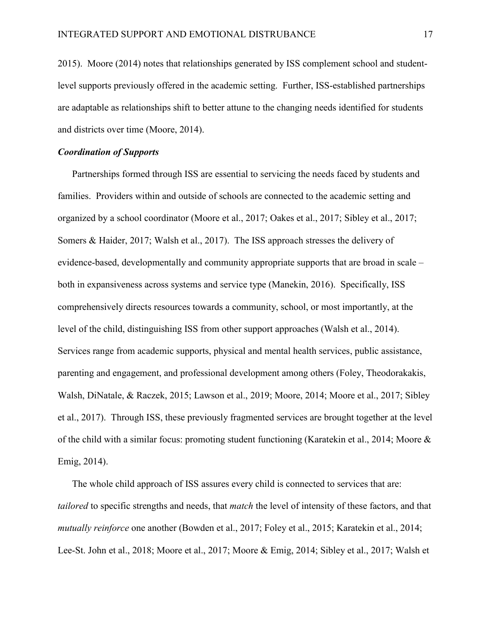2015). Moore (2014) notes that relationships generated by ISS complement school and studentlevel supports previously offered in the academic setting. Further, ISS-established partnerships are adaptable as relationships shift to better attune to the changing needs identified for students and districts over time (Moore, 2014).

# *Coordination of Supports*

Partnerships formed through ISS are essential to servicing the needs faced by students and families. Providers within and outside of schools are connected to the academic setting and organized by a school coordinator (Moore et al., 2017; Oakes et al., 2017; Sibley et al., 2017; Somers & Haider, 2017; Walsh et al., 2017). The ISS approach stresses the delivery of evidence-based, developmentally and community appropriate supports that are broad in scale – both in expansiveness across systems and service type (Manekin, 2016). Specifically, ISS comprehensively directs resources towards a community, school, or most importantly, at the level of the child, distinguishing ISS from other support approaches (Walsh et al., 2014). Services range from academic supports, physical and mental health services, public assistance, parenting and engagement, and professional development among others (Foley, Theodorakakis, Walsh, DiNatale, & Raczek, 2015; Lawson et al., 2019; Moore, 2014; Moore et al., 2017; Sibley et al., 2017). Through ISS, these previously fragmented services are brought together at the level of the child with a similar focus: promoting student functioning (Karatekin et al., 2014; Moore & Emig, 2014).

The whole child approach of ISS assures every child is connected to services that are: *tailored* to specific strengths and needs, that *match* the level of intensity of these factors, and that *mutually reinforce* one another (Bowden et al., 2017; Foley et al., 2015; Karatekin et al., 2014; Lee-St. John et al., 2018; Moore et al., 2017; Moore & Emig, 2014; Sibley et al., 2017; Walsh et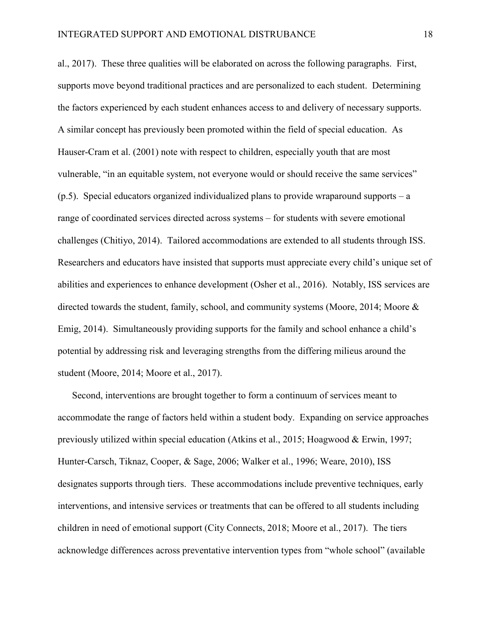al., 2017). These three qualities will be elaborated on across the following paragraphs. First, supports move beyond traditional practices and are personalized to each student. Determining the factors experienced by each student enhances access to and delivery of necessary supports. A similar concept has previously been promoted within the field of special education. As Hauser-Cram et al. (2001) note with respect to children, especially youth that are most vulnerable, "in an equitable system, not everyone would or should receive the same services"  $(p.5)$ . Special educators organized individualized plans to provide wraparound supports – a range of coordinated services directed across systems – for students with severe emotional challenges (Chitiyo, 2014). Tailored accommodations are extended to all students through ISS. Researchers and educators have insisted that supports must appreciate every child's unique set of abilities and experiences to enhance development (Osher et al., 2016). Notably, ISS services are directed towards the student, family, school, and community systems (Moore, 2014; Moore & Emig, 2014). Simultaneously providing supports for the family and school enhance a child's potential by addressing risk and leveraging strengths from the differing milieus around the student (Moore, 2014; Moore et al., 2017).

Second, interventions are brought together to form a continuum of services meant to accommodate the range of factors held within a student body. Expanding on service approaches previously utilized within special education (Atkins et al., 2015; Hoagwood & Erwin, 1997; Hunter-Carsch, Tiknaz, Cooper, & Sage, 2006; Walker et al., 1996; Weare, 2010), ISS designates supports through tiers. These accommodations include preventive techniques, early interventions, and intensive services or treatments that can be offered to all students including children in need of emotional support (City Connects, 2018; Moore et al., 2017). The tiers acknowledge differences across preventative intervention types from "whole school" (available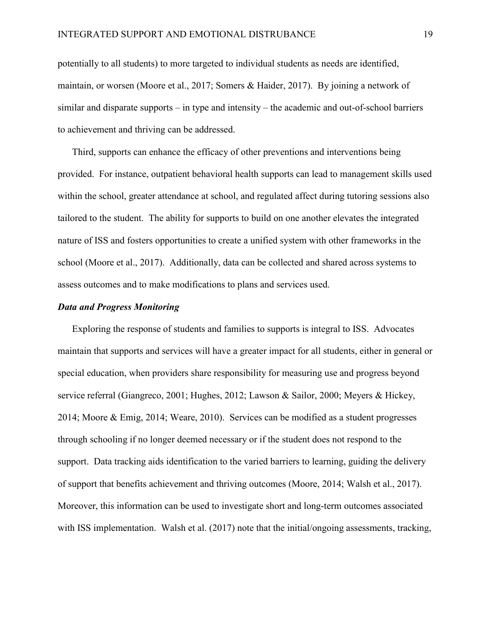potentially to all students) to more targeted to individual students as needs are identified, maintain, or worsen (Moore et al., 2017; Somers & Haider, 2017). By joining a network of similar and disparate supports – in type and intensity – the academic and out-of-school barriers to achievement and thriving can be addressed.

Third, supports can enhance the efficacy of other preventions and interventions being provided. For instance, outpatient behavioral health supports can lead to management skills used within the school, greater attendance at school, and regulated affect during tutoring sessions also tailored to the student. The ability for supports to build on one another elevates the integrated nature of ISS and fosters opportunities to create a unified system with other frameworks in the school (Moore et al., 2017). Additionally, data can be collected and shared across systems to assess outcomes and to make modifications to plans and services used.

#### *Data and Progress Monitoring*

Exploring the response of students and families to supports is integral to ISS. Advocates maintain that supports and services will have a greater impact for all students, either in general or special education, when providers share responsibility for measuring use and progress beyond service referral (Giangreco, 2001; Hughes, 2012; Lawson & Sailor, 2000; Meyers & Hickey, 2014; Moore & Emig, 2014; Weare, 2010). Services can be modified as a student progresses through schooling if no longer deemed necessary or if the student does not respond to the support. Data tracking aids identification to the varied barriers to learning, guiding the delivery of support that benefits achievement and thriving outcomes (Moore, 2014; Walsh et al., 2017). Moreover, this information can be used to investigate short and long-term outcomes associated with ISS implementation. Walsh et al. (2017) note that the initial/ongoing assessments, tracking,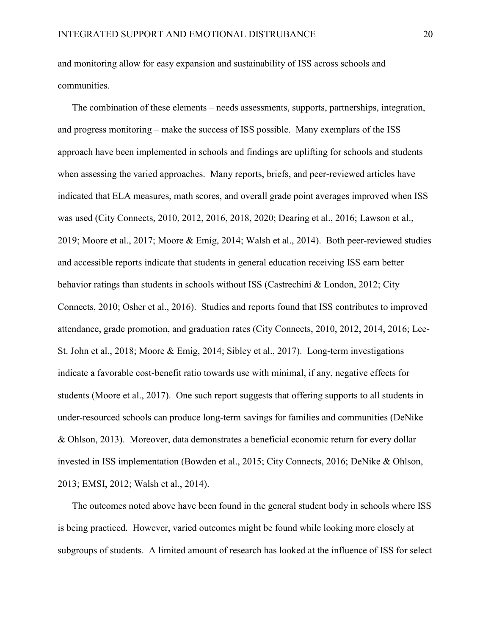and monitoring allow for easy expansion and sustainability of ISS across schools and communities.

The combination of these elements – needs assessments, supports, partnerships, integration, and progress monitoring – make the success of ISS possible. Many exemplars of the ISS approach have been implemented in schools and findings are uplifting for schools and students when assessing the varied approaches. Many reports, briefs, and peer-reviewed articles have indicated that ELA measures, math scores, and overall grade point averages improved when ISS was used (City Connects, 2010, 2012, 2016, 2018, 2020; Dearing et al., 2016; Lawson et al., 2019; Moore et al., 2017; Moore & Emig, 2014; Walsh et al., 2014). Both peer-reviewed studies and accessible reports indicate that students in general education receiving ISS earn better behavior ratings than students in schools without ISS (Castrechini & London, 2012; City Connects, 2010; Osher et al., 2016). Studies and reports found that ISS contributes to improved attendance, grade promotion, and graduation rates (City Connects, 2010, 2012, 2014, 2016; Lee-St. John et al., 2018; Moore & Emig, 2014; Sibley et al., 2017). Long-term investigations indicate a favorable cost-benefit ratio towards use with minimal, if any, negative effects for students (Moore et al., 2017). One such report suggests that offering supports to all students in under-resourced schools can produce long-term savings for families and communities (DeNike & Ohlson, 2013). Moreover, data demonstrates a beneficial economic return for every dollar invested in ISS implementation (Bowden et al., 2015; City Connects, 2016; DeNike & Ohlson, 2013; EMSI, 2012; Walsh et al., 2014).

The outcomes noted above have been found in the general student body in schools where ISS is being practiced. However, varied outcomes might be found while looking more closely at subgroups of students. A limited amount of research has looked at the influence of ISS for select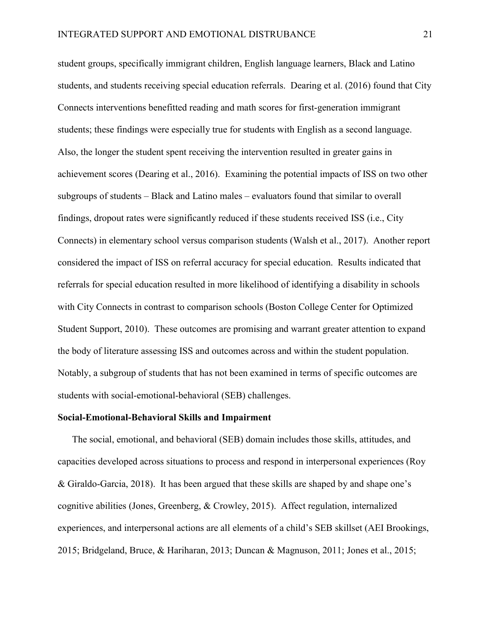student groups, specifically immigrant children, English language learners, Black and Latino students, and students receiving special education referrals. Dearing et al. (2016) found that City Connects interventions benefitted reading and math scores for first-generation immigrant students; these findings were especially true for students with English as a second language. Also, the longer the student spent receiving the intervention resulted in greater gains in achievement scores (Dearing et al., 2016). Examining the potential impacts of ISS on two other subgroups of students – Black and Latino males – evaluators found that similar to overall findings, dropout rates were significantly reduced if these students received ISS (i.e., City Connects) in elementary school versus comparison students (Walsh et al., 2017). Another report considered the impact of ISS on referral accuracy for special education. Results indicated that referrals for special education resulted in more likelihood of identifying a disability in schools with City Connects in contrast to comparison schools (Boston College Center for Optimized Student Support, 2010). These outcomes are promising and warrant greater attention to expand the body of literature assessing ISS and outcomes across and within the student population. Notably, a subgroup of students that has not been examined in terms of specific outcomes are students with social-emotional-behavioral (SEB) challenges.

#### Social-Emotional-Behavioral Skills and Impairment

The social, emotional, and behavioral (SEB) domain includes those skills, attitudes, and capacities developed across situations to process and respond in interpersonal experiences (Roy & Giraldo-Garcia, 2018). It has been argued that these skills are shaped by and shape one's cognitive abilities (Jones, Greenberg, & Crowley, 2015). Affect regulation, internalized experiences, and interpersonal actions are all elements of a child's SEB skillset (AEI Brookings, 2015; Bridgeland, Bruce, & Hariharan, 2013; Duncan & Magnuson, 2011; Jones et al., 2015;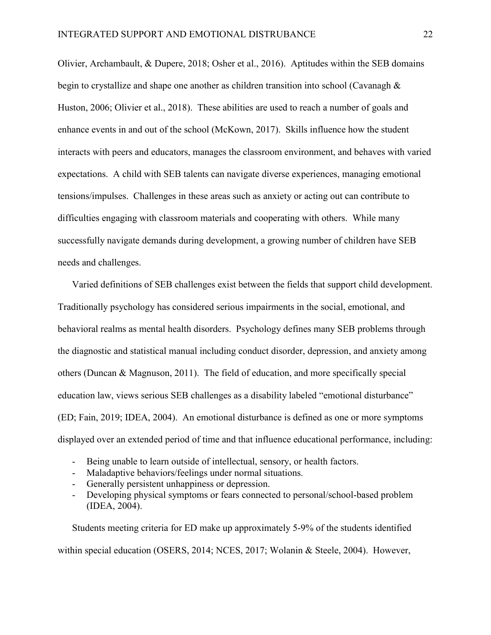Olivier, Archambault, & Dupere, 2018; Osher et al., 2016). Aptitudes within the SEB domains begin to crystallize and shape one another as children transition into school (Cavanagh & Huston, 2006; Olivier et al., 2018). These abilities are used to reach a number of goals and enhance events in and out of the school (McKown, 2017). Skills influence how the student interacts with peers and educators, manages the classroom environment, and behaves with varied expectations. A child with SEB talents can navigate diverse experiences, managing emotional tensions/impulses. Challenges in these areas such as anxiety or acting out can contribute to difficulties engaging with classroom materials and cooperating with others. While many successfully navigate demands during development, a growing number of children have SEB needs and challenges.

Varied definitions of SEB challenges exist between the fields that support child development. Traditionally psychology has considered serious impairments in the social, emotional, and behavioral realms as mental health disorders. Psychology defines many SEB problems through the diagnostic and statistical manual including conduct disorder, depression, and anxiety among others (Duncan & Magnuson, 2011). The field of education, and more specifically special education law, views serious SEB challenges as a disability labeled "emotional disturbance" (ED; Fain, 2019; IDEA, 2004). An emotional disturbance is defined as one or more symptoms displayed over an extended period of time and that influence educational performance, including:

- Being unable to learn outside of intellectual, sensory, or health factors.
- Maladaptive behaviors/feelings under normal situations.
- Generally persistent unhappiness or depression.
- Developing physical symptoms or fears connected to personal/school-based problem (IDEA, 2004).

Students meeting criteria for ED make up approximately 5-9% of the students identified within special education (OSERS, 2014; NCES, 2017; Wolanin & Steele, 2004). However,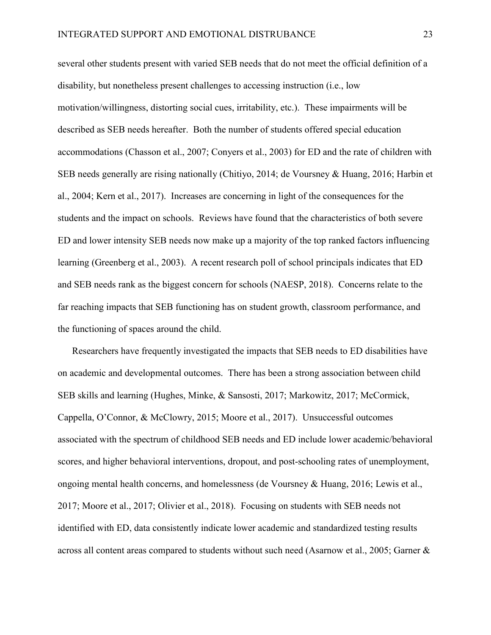several other students present with varied SEB needs that do not meet the official definition of a disability, but nonetheless present challenges to accessing instruction (i.e., low motivation/willingness, distorting social cues, irritability, etc.). These impairments will be described as SEB needs hereafter. Both the number of students offered special education accommodations (Chasson et al., 2007; Conyers et al., 2003) for ED and the rate of children with SEB needs generally are rising nationally (Chitiyo, 2014; de Voursney & Huang, 2016; Harbin et al., 2004; Kern et al., 2017). Increases are concerning in light of the consequences for the students and the impact on schools. Reviews have found that the characteristics of both severe ED and lower intensity SEB needs now make up a majority of the top ranked factors influencing learning (Greenberg et al., 2003). A recent research poll of school principals indicates that ED and SEB needs rank as the biggest concern for schools (NAESP, 2018). Concerns relate to the far reaching impacts that SEB functioning has on student growth, classroom performance, and the functioning of spaces around the child.

Researchers have frequently investigated the impacts that SEB needs to ED disabilities have on academic and developmental outcomes. There has been a strong association between child SEB skills and learning (Hughes, Minke, & Sansosti, 2017; Markowitz, 2017; McCormick, Cappella, O'Connor, & McClowry, 2015; Moore et al., 2017). Unsuccessful outcomes associated with the spectrum of childhood SEB needs and ED include lower academic/behavioral scores, and higher behavioral interventions, dropout, and post-schooling rates of unemployment, ongoing mental health concerns, and homelessness (de Voursney & Huang, 2016; Lewis et al., 2017; Moore et al., 2017; Olivier et al., 2018). Focusing on students with SEB needs not identified with ED, data consistently indicate lower academic and standardized testing results across all content areas compared to students without such need (Asarnow et al., 2005; Garner &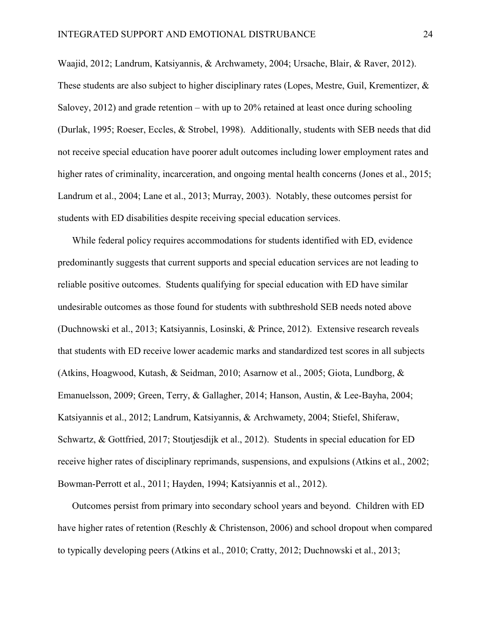Waajid, 2012; Landrum, Katsiyannis, & Archwamety, 2004; Ursache, Blair, & Raver, 2012). These students are also subject to higher disciplinary rates (Lopes, Mestre, Guil, Krementizer, & Salovey, 2012) and grade retention – with up to 20% retained at least once during schooling (Durlak, 1995; Roeser, Eccles, & Strobel, 1998). Additionally, students with SEB needs that did not receive special education have poorer adult outcomes including lower employment rates and higher rates of criminality, incarceration, and ongoing mental health concerns (Jones et al., 2015; Landrum et al., 2004; Lane et al., 2013; Murray, 2003). Notably, these outcomes persist for students with ED disabilities despite receiving special education services.

While federal policy requires accommodations for students identified with ED, evidence predominantly suggests that current supports and special education services are not leading to reliable positive outcomes. Students qualifying for special education with ED have similar undesirable outcomes as those found for students with subthreshold SEB needs noted above (Duchnowski et al., 2013; Katsiyannis, Losinski, & Prince, 2012). Extensive research reveals that students with ED receive lower academic marks and standardized test scores in all subjects (Atkins, Hoagwood, Kutash, & Seidman, 2010; Asarnow et al., 2005; Giota, Lundborg, & Emanuelsson, 2009; Green, Terry, & Gallagher, 2014; Hanson, Austin, & Lee-Bayha, 2004; Katsiyannis et al., 2012; Landrum, Katsiyannis, & Archwamety, 2004; Stiefel, Shiferaw, Schwartz, & Gottfried, 2017; Stoutjesdijk et al., 2012). Students in special education for ED receive higher rates of disciplinary reprimands, suspensions, and expulsions (Atkins et al., 2002; Bowman-Perrott et al., 2011; Hayden, 1994; Katsiyannis et al., 2012).

Outcomes persist from primary into secondary school years and beyond. Children with ED have higher rates of retention (Reschly & Christenson, 2006) and school dropout when compared to typically developing peers (Atkins et al., 2010; Cratty, 2012; Duchnowski et al., 2013;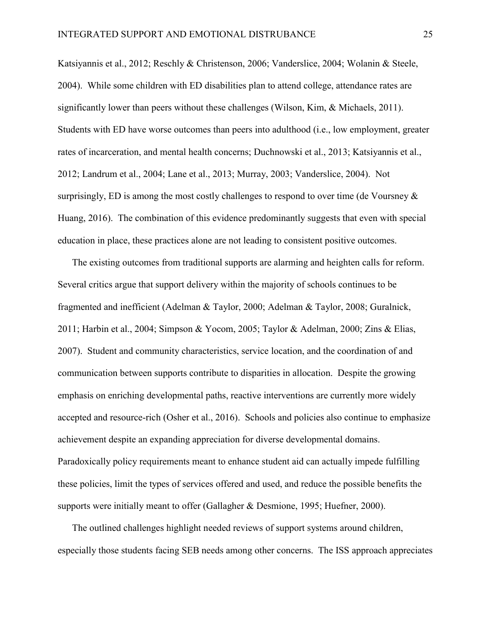Katsiyannis et al., 2012; Reschly & Christenson, 2006; Vanderslice, 2004; Wolanin & Steele, 2004). While some children with ED disabilities plan to attend college, attendance rates are significantly lower than peers without these challenges (Wilson, Kim, & Michaels, 2011). Students with ED have worse outcomes than peers into adulthood (i.e., low employment, greater rates of incarceration, and mental health concerns; Duchnowski et al., 2013; Katsiyannis et al., 2012; Landrum et al., 2004; Lane et al., 2013; Murray, 2003; Vanderslice, 2004). Not surprisingly, ED is among the most costly challenges to respond to over time (de Voursney  $\&$ Huang, 2016). The combination of this evidence predominantly suggests that even with special education in place, these practices alone are not leading to consistent positive outcomes.

The existing outcomes from traditional supports are alarming and heighten calls for reform. Several critics argue that support delivery within the majority of schools continues to be fragmented and inefficient (Adelman & Taylor, 2000; Adelman & Taylor, 2008; Guralnick, 2011; Harbin et al., 2004; Simpson & Yocom, 2005; Taylor & Adelman, 2000; Zins & Elias, 2007). Student and community characteristics, service location, and the coordination of and communication between supports contribute to disparities in allocation. Despite the growing emphasis on enriching developmental paths, reactive interventions are currently more widely accepted and resource-rich (Osher et al., 2016). Schools and policies also continue to emphasize achievement despite an expanding appreciation for diverse developmental domains. Paradoxically policy requirements meant to enhance student aid can actually impede fulfilling these policies, limit the types of services offered and used, and reduce the possible benefits the supports were initially meant to offer (Gallagher & Desmione, 1995; Huefner, 2000).

The outlined challenges highlight needed reviews of support systems around children, especially those students facing SEB needs among other concerns. The ISS approach appreciates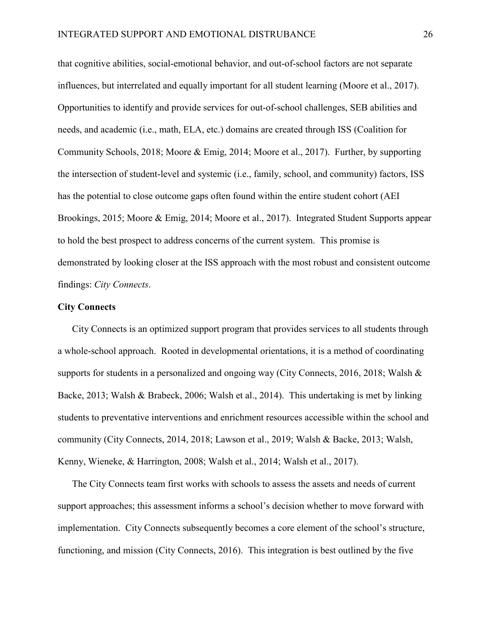that cognitive abilities, social-emotional behavior, and out-of-school factors are not separate influences, but interrelated and equally important for all student learning (Moore et al., 2017). Opportunities to identify and provide services for out-of-school challenges, SEB abilities and needs, and academic (i.e., math, ELA, etc.) domains are created through ISS (Coalition for Community Schools, 2018; Moore & Emig, 2014; Moore et al., 2017). Further, by supporting the intersection of student-level and systemic (i.e., family, school, and community) factors, ISS has the potential to close outcome gaps often found within the entire student cohort (AEI Brookings, 2015; Moore & Emig, 2014; Moore et al., 2017). Integrated Student Supports appear to hold the best prospect to address concerns of the current system. This promise is demonstrated by looking closer at the ISS approach with the most robust and consistent outcome findings: *City Connects*.

## City Connects

City Connects is an optimized support program that provides services to all students through a whole-school approach. Rooted in developmental orientations, it is a method of coordinating supports for students in a personalized and ongoing way (City Connects, 2016, 2018; Walsh & Backe, 2013; Walsh & Brabeck, 2006; Walsh et al., 2014). This undertaking is met by linking students to preventative interventions and enrichment resources accessible within the school and community (City Connects, 2014, 2018; Lawson et al., 2019; Walsh & Backe, 2013; Walsh, Kenny, Wieneke, & Harrington, 2008; Walsh et al., 2014; Walsh et al., 2017).

The City Connects team first works with schools to assess the assets and needs of current support approaches; this assessment informs a school's decision whether to move forward with implementation. City Connects subsequently becomes a core element of the school's structure, functioning, and mission (City Connects, 2016). This integration is best outlined by the five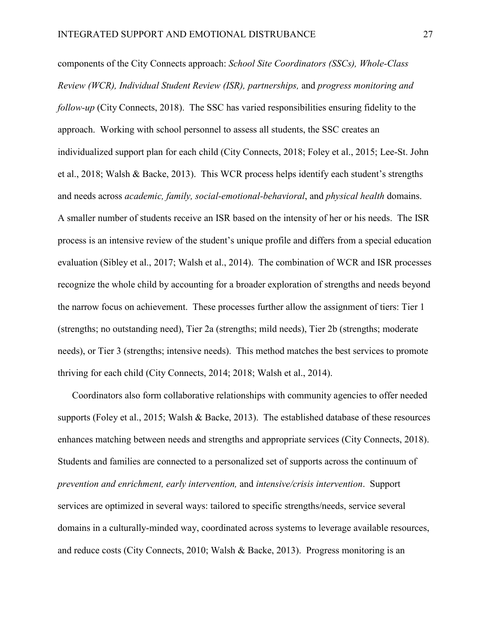components of the City Connects approach: *School Site Coordinators (SSCs), Whole-Class Review (WCR), Individual Student Review (ISR), partnerships,* and *progress monitoring and follow-up* (City Connects, 2018). The SSC has varied responsibilities ensuring fidelity to the approach. Working with school personnel to assess all students, the SSC creates an individualized support plan for each child (City Connects, 2018; Foley et al., 2015; Lee-St. John et al., 2018; Walsh & Backe, 2013). This WCR process helps identify each student's strengths and needs across *academic, family, social-emotional-behavioral*, and *physical health* domains. A smaller number of students receive an ISR based on the intensity of her or his needs. The ISR process is an intensive review of the student's unique profile and differs from a special education evaluation (Sibley et al., 2017; Walsh et al., 2014). The combination of WCR and ISR processes recognize the whole child by accounting for a broader exploration of strengths and needs beyond the narrow focus on achievement. These processes further allow the assignment of tiers: Tier 1 (strengths; no outstanding need), Tier 2a (strengths; mild needs), Tier 2b (strengths; moderate needs), or Tier 3 (strengths; intensive needs). This method matches the best services to promote thriving for each child (City Connects, 2014; 2018; Walsh et al., 2014).

Coordinators also form collaborative relationships with community agencies to offer needed supports (Foley et al., 2015; Walsh & Backe, 2013). The established database of these resources enhances matching between needs and strengths and appropriate services (City Connects, 2018). Students and families are connected to a personalized set of supports across the continuum of *prevention and enrichment, early intervention,* and *intensive/crisis intervention*. Support services are optimized in several ways: tailored to specific strengths/needs, service several domains in a culturally-minded way, coordinated across systems to leverage available resources, and reduce costs (City Connects, 2010; Walsh & Backe, 2013). Progress monitoring is an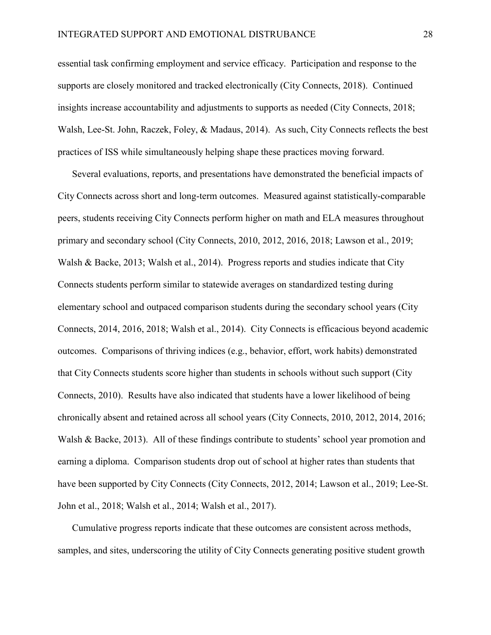essential task confirming employment and service efficacy. Participation and response to the supports are closely monitored and tracked electronically (City Connects, 2018). Continued insights increase accountability and adjustments to supports as needed (City Connects, 2018; Walsh, Lee-St. John, Raczek, Foley, & Madaus, 2014). As such, City Connects reflects the best practices of ISS while simultaneously helping shape these practices moving forward.

Several evaluations, reports, and presentations have demonstrated the beneficial impacts of City Connects across short and long-term outcomes. Measured against statistically-comparable peers, students receiving City Connects perform higher on math and ELA measures throughout primary and secondary school (City Connects, 2010, 2012, 2016, 2018; Lawson et al., 2019; Walsh & Backe, 2013; Walsh et al., 2014). Progress reports and studies indicate that City Connects students perform similar to statewide averages on standardized testing during elementary school and outpaced comparison students during the secondary school years (City Connects, 2014, 2016, 2018; Walsh et al., 2014). City Connects is efficacious beyond academic outcomes. Comparisons of thriving indices (e.g., behavior, effort, work habits) demonstrated that City Connects students score higher than students in schools without such support (City Connects, 2010). Results have also indicated that students have a lower likelihood of being chronically absent and retained across all school years (City Connects, 2010, 2012, 2014, 2016; Walsh & Backe, 2013). All of these findings contribute to students' school year promotion and earning a diploma. Comparison students drop out of school at higher rates than students that have been supported by City Connects (City Connects, 2012, 2014; Lawson et al., 2019; Lee-St. John et al., 2018; Walsh et al., 2014; Walsh et al., 2017).

Cumulative progress reports indicate that these outcomes are consistent across methods, samples, and sites, underscoring the utility of City Connects generating positive student growth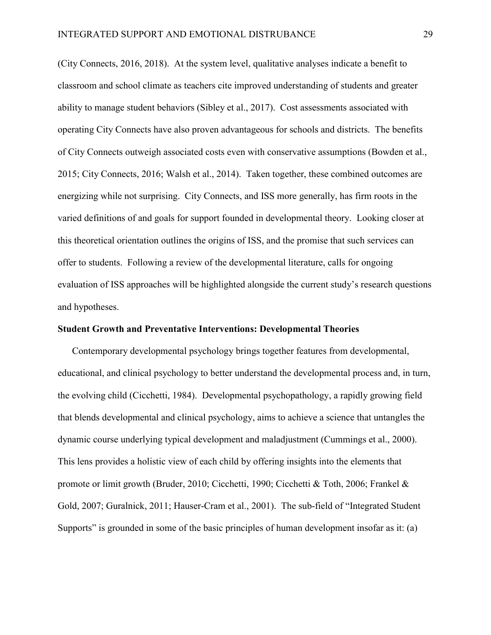(City Connects, 2016, 2018). At the system level, qualitative analyses indicate a benefit to classroom and school climate as teachers cite improved understanding of students and greater ability to manage student behaviors (Sibley et al., 2017). Cost assessments associated with operating City Connects have also proven advantageous for schools and districts. The benefits of City Connects outweigh associated costs even with conservative assumptions (Bowden et al., 2015; City Connects, 2016; Walsh et al., 2014). Taken together, these combined outcomes are energizing while not surprising. City Connects, and ISS more generally, has firm roots in the varied definitions of and goals for support founded in developmental theory. Looking closer at this theoretical orientation outlines the origins of ISS, and the promise that such services can offer to students. Following a review of the developmental literature, calls for ongoing evaluation of ISS approaches will be highlighted alongside the current study's research questions and hypotheses.

#### Student Growth and Preventative Interventions: Developmental Theories

Contemporary developmental psychology brings together features from developmental, educational, and clinical psychology to better understand the developmental process and, in turn, the evolving child (Cicchetti, 1984). Developmental psychopathology, a rapidly growing field that blends developmental and clinical psychology, aims to achieve a science that untangles the dynamic course underlying typical development and maladjustment (Cummings et al., 2000). This lens provides a holistic view of each child by offering insights into the elements that promote or limit growth (Bruder, 2010; Cicchetti, 1990; Cicchetti & Toth, 2006; Frankel & Gold, 2007; Guralnick, 2011; Hauser-Cram et al., 2001). The sub-field of "Integrated Student Supports" is grounded in some of the basic principles of human development insofar as it: (a)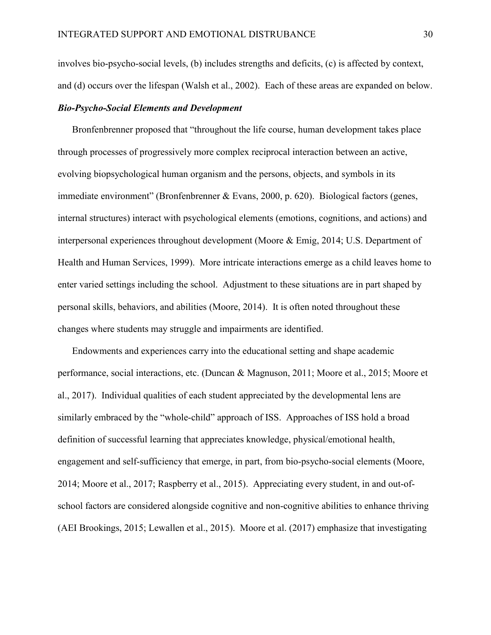involves bio-psycho-social levels, (b) includes strengths and deficits, (c) is affected by context, and (d) occurs over the lifespan (Walsh et al., 2002). Each of these areas are expanded on below.

# *Bio-Psycho-Social Elements and Development*

Bronfenbrenner proposed that "throughout the life course, human development takes place through processes of progressively more complex reciprocal interaction between an active, evolving biopsychological human organism and the persons, objects, and symbols in its immediate environment" (Bronfenbrenner & Evans, 2000, p. 620). Biological factors (genes, internal structures) interact with psychological elements (emotions, cognitions, and actions) and interpersonal experiences throughout development (Moore & Emig, 2014; U.S. Department of Health and Human Services, 1999). More intricate interactions emerge as a child leaves home to enter varied settings including the school. Adjustment to these situations are in part shaped by personal skills, behaviors, and abilities (Moore, 2014). It is often noted throughout these changes where students may struggle and impairments are identified.

Endowments and experiences carry into the educational setting and shape academic performance, social interactions, etc. (Duncan & Magnuson, 2011; Moore et al., 2015; Moore et al., 2017). Individual qualities of each student appreciated by the developmental lens are similarly embraced by the "whole-child" approach of ISS. Approaches of ISS hold a broad definition of successful learning that appreciates knowledge, physical/emotional health, engagement and self-sufficiency that emerge, in part, from bio-psycho-social elements (Moore, 2014; Moore et al., 2017; Raspberry et al., 2015). Appreciating every student, in and out-ofschool factors are considered alongside cognitive and non-cognitive abilities to enhance thriving (AEI Brookings, 2015; Lewallen et al., 2015). Moore et al. (2017) emphasize that investigating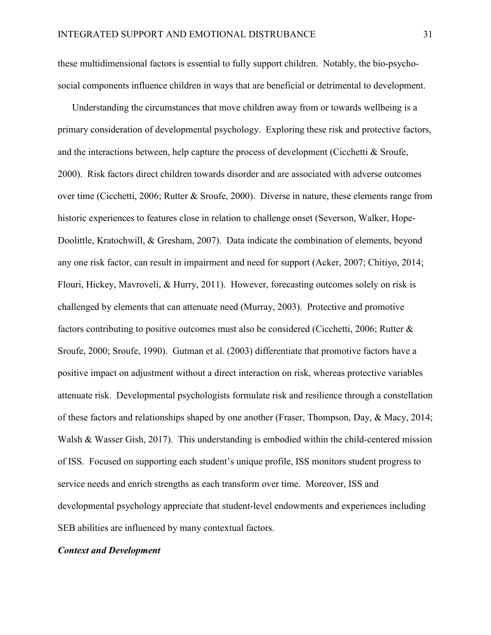these multidimensional factors is essential to fully support children. Notably, the bio-psychosocial components influence children in ways that are beneficial or detrimental to development.

Understanding the circumstances that move children away from or towards wellbeing is a primary consideration of developmental psychology. Exploring these risk and protective factors, and the interactions between, help capture the process of development (Cicchetti & Sroufe, 2000). Risk factors direct children towards disorder and are associated with adverse outcomes over time (Cicchetti, 2006; Rutter & Sroufe, 2000). Diverse in nature, these elements range from historic experiences to features close in relation to challenge onset (Severson, Walker, Hope-Doolittle, Kratochwill, & Gresham, 2007). Data indicate the combination of elements, beyond any one risk factor, can result in impairment and need for support (Acker, 2007; Chitiyo, 2014; Flouri, Hickey, Mavroveli, & Hurry, 2011). However, forecasting outcomes solely on risk is challenged by elements that can attenuate need (Murray, 2003). Protective and promotive factors contributing to positive outcomes must also be considered (Cicchetti, 2006; Rutter & Sroufe, 2000; Sroufe, 1990). Gutman et al. (2003) differentiate that promotive factors have a positive impact on adjustment without a direct interaction on risk, whereas protective variables attenuate risk. Developmental psychologists formulate risk and resilience through a constellation of these factors and relationships shaped by one another (Fraser, Thompson, Day, & Macy, 2014; Walsh & Wasser Gish, 2017). This understanding is embodied within the child-centered mission of ISS. Focused on supporting each student's unique profile, ISS monitors student progress to service needs and enrich strengths as each transform over time. Moreover, ISS and developmental psychology appreciate that student-level endowments and experiences including SEB abilities are influenced by many contextual factors.

## *Context and Development*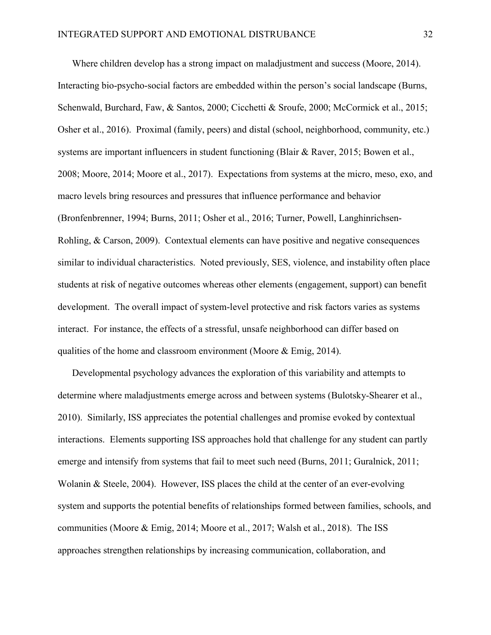Where children develop has a strong impact on maladjustment and success (Moore, 2014). Interacting bio-psycho-social factors are embedded within the person's social landscape (Burns, Schenwald, Burchard, Faw, & Santos, 2000; Cicchetti & Sroufe, 2000; McCormick et al., 2015; Osher et al., 2016). Proximal (family, peers) and distal (school, neighborhood, community, etc.) systems are important influencers in student functioning (Blair & Raver, 2015; Bowen et al., 2008; Moore, 2014; Moore et al., 2017). Expectations from systems at the micro, meso, exo, and macro levels bring resources and pressures that influence performance and behavior (Bronfenbrenner, 1994; Burns, 2011; Osher et al., 2016; Turner, Powell, Langhinrichsen-Rohling, & Carson, 2009). Contextual elements can have positive and negative consequences similar to individual characteristics. Noted previously, SES, violence, and instability often place students at risk of negative outcomes whereas other elements (engagement, support) can benefit development. The overall impact of system-level protective and risk factors varies as systems interact. For instance, the effects of a stressful, unsafe neighborhood can differ based on qualities of the home and classroom environment (Moore & Emig, 2014).

Developmental psychology advances the exploration of this variability and attempts to determine where maladjustments emerge across and between systems (Bulotsky-Shearer et al., 2010). Similarly, ISS appreciates the potential challenges and promise evoked by contextual interactions. Elements supporting ISS approaches hold that challenge for any student can partly emerge and intensify from systems that fail to meet such need (Burns, 2011; Guralnick, 2011; Wolanin & Steele, 2004). However, ISS places the child at the center of an ever-evolving system and supports the potential benefits of relationships formed between families, schools, and communities (Moore & Emig, 2014; Moore et al., 2017; Walsh et al., 2018). The ISS approaches strengthen relationships by increasing communication, collaboration, and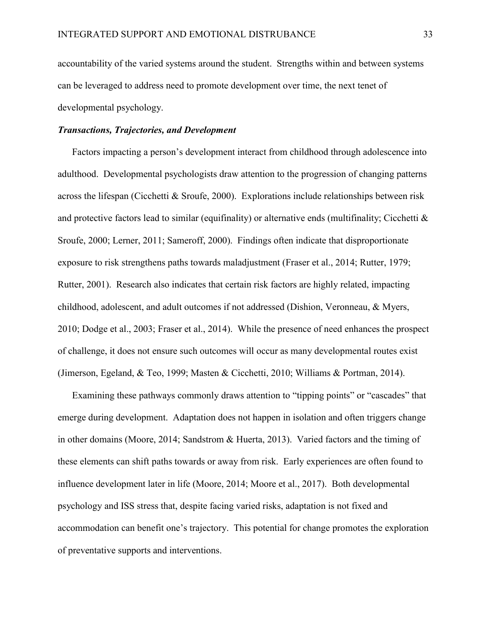accountability of the varied systems around the student. Strengths within and between systems can be leveraged to address need to promote development over time, the next tenet of developmental psychology.

## *Transactions, Trajectories, and Development*

Factors impacting a person's development interact from childhood through adolescence into adulthood. Developmental psychologists draw attention to the progression of changing patterns across the lifespan (Cicchetti & Sroufe, 2000). Explorations include relationships between risk and protective factors lead to similar (equifinality) or alternative ends (multifinality; Cicchetti & Sroufe, 2000; Lerner, 2011; Sameroff, 2000). Findings often indicate that disproportionate exposure to risk strengthens paths towards maladjustment (Fraser et al., 2014; Rutter, 1979; Rutter, 2001). Research also indicates that certain risk factors are highly related, impacting childhood, adolescent, and adult outcomes if not addressed (Dishion, Veronneau, & Myers, 2010; Dodge et al., 2003; Fraser et al., 2014). While the presence of need enhances the prospect of challenge, it does not ensure such outcomes will occur as many developmental routes exist (Jimerson, Egeland, & Teo, 1999; Masten & Cicchetti, 2010; Williams & Portman, 2014).

Examining these pathways commonly draws attention to "tipping points" or "cascades" that emerge during development. Adaptation does not happen in isolation and often triggers change in other domains (Moore, 2014; Sandstrom & Huerta, 2013). Varied factors and the timing of these elements can shift paths towards or away from risk. Early experiences are often found to influence development later in life (Moore, 2014; Moore et al., 2017). Both developmental psychology and ISS stress that, despite facing varied risks, adaptation is not fixed and accommodation can benefit one's trajectory. This potential for change promotes the exploration of preventative supports and interventions.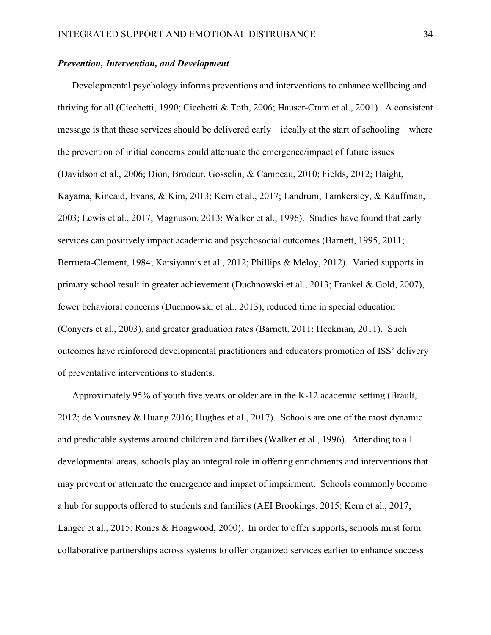# *Prevention, Intervention, and Development*

Developmental psychology informs preventions and interventions to enhance wellbeing and thriving for all (Cicchetti, 1990; Cicchetti & Toth, 2006; Hauser-Cram et al., 2001). A consistent message is that these services should be delivered early – ideally at the start of schooling – where the prevention of initial concerns could attenuate the emergence/impact of future issues (Davidson et al., 2006; Dion, Brodeur, Gosselin, & Campeau, 2010; Fields, 2012; Haight, Kayama, Kincaid, Evans, & Kim, 2013; Kern et al., 2017; Landrum, Tamkersley, & Kauffman, 2003; Lewis et al., 2017; Magnuson, 2013; Walker et al., 1996). Studies have found that early services can positively impact academic and psychosocial outcomes (Barnett, 1995, 2011; Berrueta-Clement, 1984; Katsiyannis et al., 2012; Phillips & Meloy, 2012). Varied supports in primary school result in greater achievement (Duchnowski et al., 2013; Frankel & Gold, 2007), fewer behavioral concerns (Duchnowski et al., 2013), reduced time in special education (Conyers et al., 2003), and greater graduation rates (Barnett, 2011; Heckman, 2011). Such outcomes have reinforced developmental practitioners and educators promotion of ISS' delivery of preventative interventions to students.

Approximately 95% of youth five years or older are in the K-12 academic setting (Brault, 2012; de Voursney & Huang 2016; Hughes et al., 2017). Schools are one of the most dynamic and predictable systems around children and families (Walker et al., 1996). Attending to all developmental areas, schools play an integral role in offering enrichments and interventions that may prevent or attenuate the emergence and impact of impairment. Schools commonly become a hub for supports offered to students and families (AEI Brookings, 2015; Kern et al., 2017; Langer et al., 2015; Rones & Hoagwood, 2000). In order to offer supports, schools must form collaborative partnerships across systems to offer organized services earlier to enhance success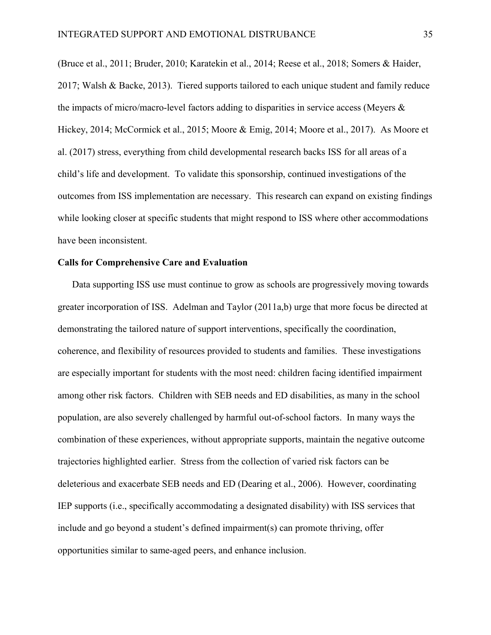(Bruce et al., 2011; Bruder, 2010; Karatekin et al., 2014; Reese et al., 2018; Somers & Haider, 2017; Walsh & Backe, 2013). Tiered supports tailored to each unique student and family reduce the impacts of micro/macro-level factors adding to disparities in service access (Meyers & Hickey, 2014; McCormick et al., 2015; Moore & Emig, 2014; Moore et al., 2017). As Moore et al. (2017) stress, everything from child developmental research backs ISS for all areas of a child's life and development. To validate this sponsorship, continued investigations of the outcomes from ISS implementation are necessary. This research can expand on existing findings while looking closer at specific students that might respond to ISS where other accommodations have been inconsistent.

# Calls for Comprehensive Care and Evaluation

Data supporting ISS use must continue to grow as schools are progressively moving towards greater incorporation of ISS. Adelman and Taylor (2011a,b) urge that more focus be directed at demonstrating the tailored nature of support interventions, specifically the coordination, coherence, and flexibility of resources provided to students and families. These investigations are especially important for students with the most need: children facing identified impairment among other risk factors. Children with SEB needs and ED disabilities, as many in the school population, are also severely challenged by harmful out-of-school factors. In many ways the combination of these experiences, without appropriate supports, maintain the negative outcome trajectories highlighted earlier. Stress from the collection of varied risk factors can be deleterious and exacerbate SEB needs and ED (Dearing et al., 2006). However, coordinating IEP supports (i.e., specifically accommodating a designated disability) with ISS services that include and go beyond a student's defined impairment(s) can promote thriving, offer opportunities similar to same-aged peers, and enhance inclusion.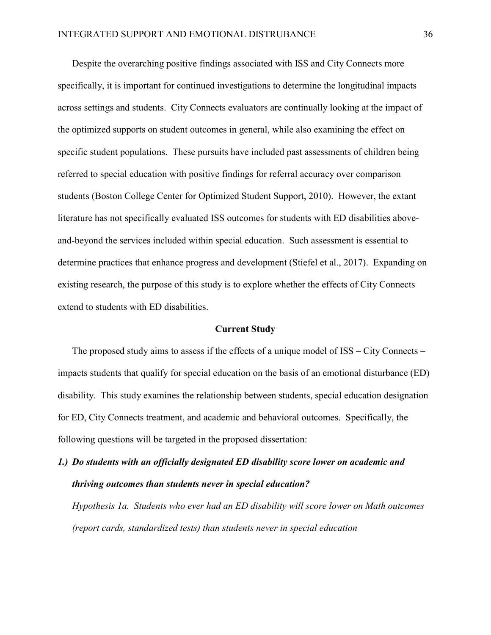Despite the overarching positive findings associated with ISS and City Connects more specifically, it is important for continued investigations to determine the longitudinal impacts across settings and students. City Connects evaluators are continually looking at the impact of the optimized supports on student outcomes in general, while also examining the effect on specific student populations. These pursuits have included past assessments of children being referred to special education with positive findings for referral accuracy over comparison students (Boston College Center for Optimized Student Support, 2010). However, the extant literature has not specifically evaluated ISS outcomes for students with ED disabilities aboveand-beyond the services included within special education. Such assessment is essential to determine practices that enhance progress and development (Stiefel et al., 2017). Expanding on existing research, the purpose of this study is to explore whether the effects of City Connects extend to students with ED disabilities.

### Current Study

The proposed study aims to assess if the effects of a unique model of ISS – City Connects – impacts students that qualify for special education on the basis of an emotional disturbance (ED) disability. This study examines the relationship between students, special education designation for ED, City Connects treatment, and academic and behavioral outcomes. Specifically, the following questions will be targeted in the proposed dissertation:

# *1.) Do students with an officially designated ED disability score lower on academic and thriving outcomes than students never in special education?*

*Hypothesis 1a. Students who ever had an ED disability will score lower on Math outcomes (report cards, standardized tests) than students never in special education*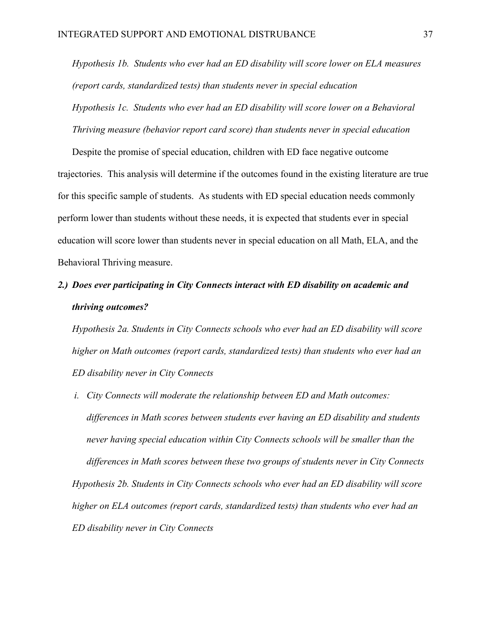*Hypothesis 1b. Students who ever had an ED disability will score lower on ELA measures (report cards, standardized tests) than students never in special education Hypothesis 1c. Students who ever had an ED disability will score lower on a Behavioral Thriving measure (behavior report card score) than students never in special education*

Despite the promise of special education, children with ED face negative outcome trajectories. This analysis will determine if the outcomes found in the existing literature are true for this specific sample of students. As students with ED special education needs commonly perform lower than students without these needs, it is expected that students ever in special education will score lower than students never in special education on all Math, ELA, and the Behavioral Thriving measure.

# *2.) Does ever participating in City Connects interact with ED disability on academic and thriving outcomes?*

*Hypothesis 2a. Students in City Connects schools who ever had an ED disability will score higher on Math outcomes (report cards, standardized tests) than students who ever had an ED disability never in City Connects*

*i. City Connects will moderate the relationship between ED and Math outcomes: differences in Math scores between students ever having an ED disability and students never having special education within City Connects schools will be smaller than the differences in Math scores between these two groups of students never in City Connects Hypothesis 2b. Students in City Connects schools who ever had an ED disability will score higher on ELA outcomes (report cards, standardized tests) than students who ever had an ED disability never in City Connects*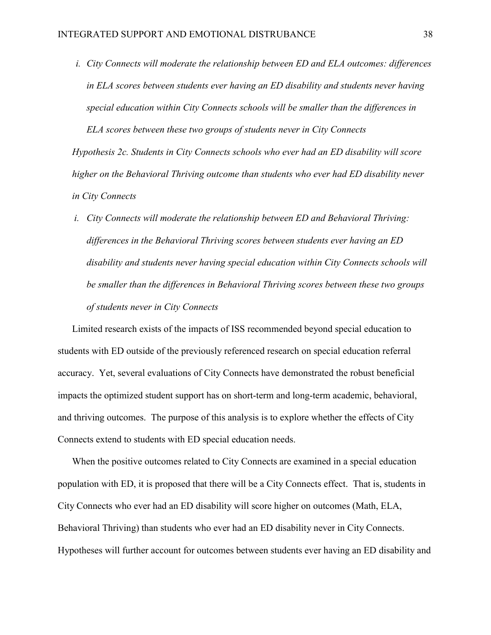*i. City Connects will moderate the relationship between ED and ELA outcomes: differences in ELA scores between students ever having an ED disability and students never having special education within City Connects schools will be smaller than the differences in ELA scores between these two groups of students never in City Connects*

*Hypothesis 2c. Students in City Connects schools who ever had an ED disability will score higher on the Behavioral Thriving outcome than students who ever had ED disability never in City Connects*

*i. City Connects will moderate the relationship between ED and Behavioral Thriving: differences in the Behavioral Thriving scores between students ever having an ED disability and students never having special education within City Connects schools will be smaller than the differences in Behavioral Thriving scores between these two groups of students never in City Connects*

Limited research exists of the impacts of ISS recommended beyond special education to students with ED outside of the previously referenced research on special education referral accuracy. Yet, several evaluations of City Connects have demonstrated the robust beneficial impacts the optimized student support has on short-term and long-term academic, behavioral, and thriving outcomes. The purpose of this analysis is to explore whether the effects of City Connects extend to students with ED special education needs.

When the positive outcomes related to City Connects are examined in a special education population with ED, it is proposed that there will be a City Connects effect. That is, students in City Connects who ever had an ED disability will score higher on outcomes (Math, ELA, Behavioral Thriving) than students who ever had an ED disability never in City Connects. Hypotheses will further account for outcomes between students ever having an ED disability and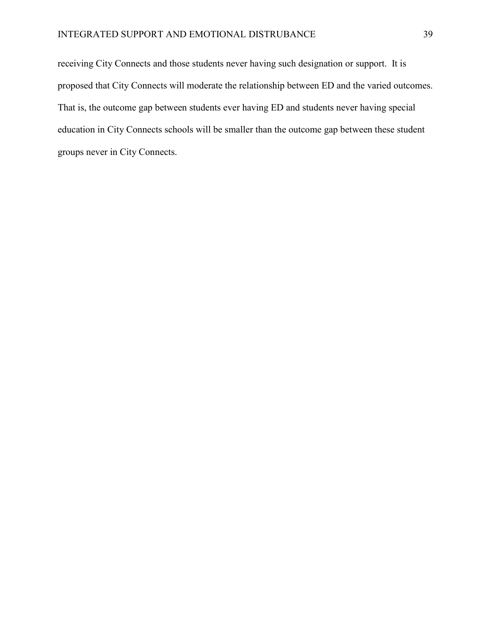receiving City Connects and those students never having such designation or support. It is proposed that City Connects will moderate the relationship between ED and the varied outcomes. That is, the outcome gap between students ever having ED and students never having special education in City Connects schools will be smaller than the outcome gap between these student groups never in City Connects.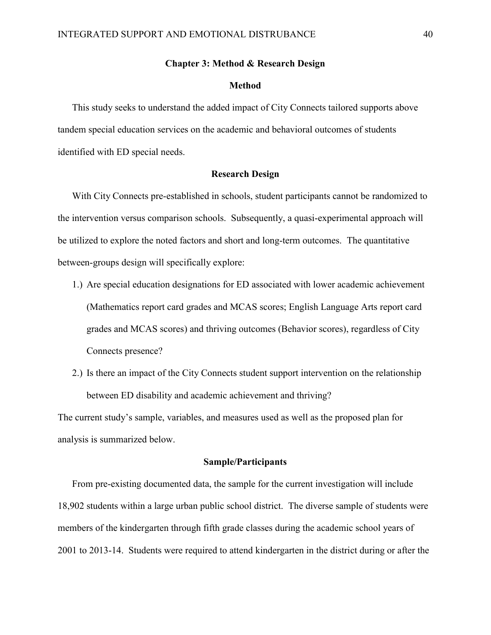### Chapter 3: Method & Research Design

#### Method

This study seeks to understand the added impact of City Connects tailored supports above tandem special education services on the academic and behavioral outcomes of students identified with ED special needs.

## Research Design

With City Connects pre-established in schools, student participants cannot be randomized to the intervention versus comparison schools. Subsequently, a quasi-experimental approach will be utilized to explore the noted factors and short and long-term outcomes. The quantitative between-groups design will specifically explore:

- 1.) Are special education designations for ED associated with lower academic achievement (Mathematics report card grades and MCAS scores; English Language Arts report card grades and MCAS scores) and thriving outcomes (Behavior scores), regardless of City Connects presence?
- 2.) Is there an impact of the City Connects student support intervention on the relationship between ED disability and academic achievement and thriving?

The current study's sample, variables, and measures used as well as the proposed plan for analysis is summarized below.

#### Sample/Participants

From pre-existing documented data, the sample for the current investigation will include 18,902 students within a large urban public school district. The diverse sample of students were members of the kindergarten through fifth grade classes during the academic school years of 2001 to 2013-14. Students were required to attend kindergarten in the district during or after the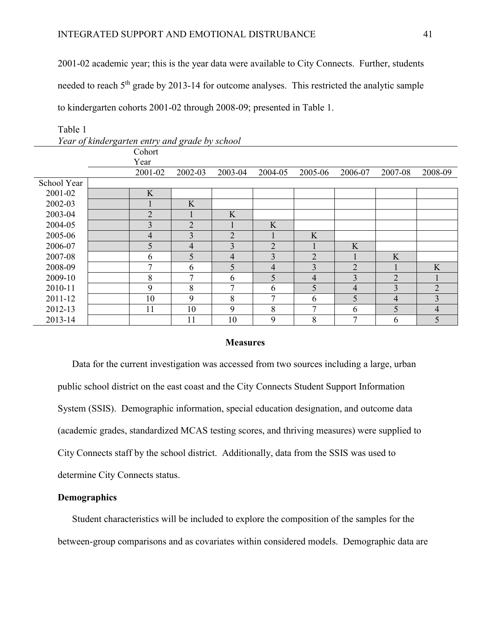2001-02 academic year; this is the year data were available to City Connects. Further, students needed to reach 5<sup>th</sup> grade by 2013-14 for outcome analyses. This restricted the analytic sample to kindergarten cohorts 2001-02 through 2008-09; presented in Table 1.

|             | Cohort         |                |                |                |                |                |                |                |
|-------------|----------------|----------------|----------------|----------------|----------------|----------------|----------------|----------------|
|             | Year           |                |                |                |                |                |                |                |
|             | 2001-02        | 2002-03        | 2003-04        | 2004-05        | 2005-06        | 2006-07        | 2007-08        | 2008-09        |
| School Year |                |                |                |                |                |                |                |                |
| 2001-02     | K              |                |                |                |                |                |                |                |
| 2002-03     |                | K              |                |                |                |                |                |                |
| 2003-04     | $\overline{2}$ |                | K              |                |                |                |                |                |
| 2004-05     | 3              | $\overline{2}$ |                | K              |                |                |                |                |
| 2005-06     | $\overline{4}$ | 3              | $\overline{2}$ |                | K              |                |                |                |
| 2006-07     | 5              | $\overline{4}$ | 3              | $\overline{2}$ |                | K              |                |                |
| 2007-08     | 6              | 5              | 4              | 3              | $\overline{2}$ |                | K              |                |
| 2008-09     | $\mathcal{I}$  | 6              | 5              | $\overline{4}$ | 3              | $\overline{2}$ |                | K              |
| 2009-10     | 8              | 7              | 6              | 5              | $\overline{4}$ | 3              | $\overline{2}$ |                |
| 2010-11     | 9              | 8              | $\mathcal{I}$  | 6              | 5              | 4              | 3              | $\overline{2}$ |
| 2011-12     | 10             | 9              | 8              | 7              | 6              | 5              | 4              | 3              |
| 2012-13     | 11             | 10             | 9              | 8              | ⇁              | 6              | 5              | $\overline{4}$ |
| 2013-14     |                | 11             | 10             | 9              | 8              | $\overline{7}$ | 6              | 5              |

Table 1

*Year of kindergarten entry and grade by school*

## **Measures**

Data for the current investigation was accessed from two sources including a large, urban public school district on the east coast and the City Connects Student Support Information System (SSIS). Demographic information, special education designation, and outcome data (academic grades, standardized MCAS testing scores, and thriving measures) were supplied to City Connects staff by the school district. Additionally, data from the SSIS was used to determine City Connects status.

# **Demographics**

Student characteristics will be included to explore the composition of the samples for the between-group comparisons and as covariates within considered models. Demographic data are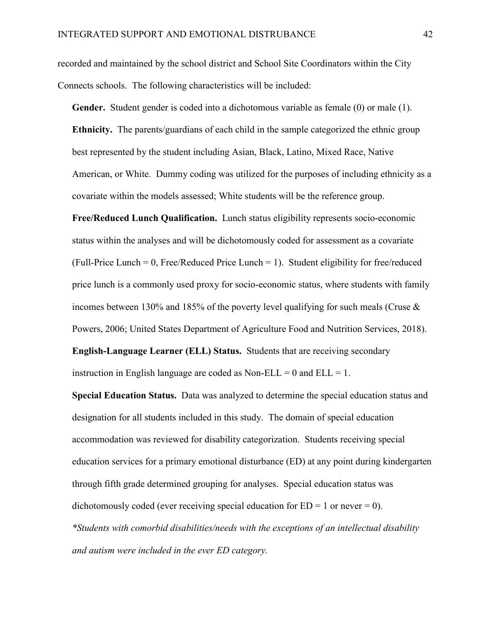recorded and maintained by the school district and School Site Coordinators within the City Connects schools. The following characteristics will be included:

Gender. Student gender is coded into a dichotomous variable as female (0) or male (1). Ethnicity. The parents/guardians of each child in the sample categorized the ethnic group best represented by the student including Asian, Black, Latino, Mixed Race, Native American, or White. Dummy coding was utilized for the purposes of including ethnicity as a covariate within the models assessed; White students will be the reference group.

Free/Reduced Lunch Qualification. Lunch status eligibility represents socio-economic status within the analyses and will be dichotomously coded for assessment as a covariate  $(Full-Price Lunch = 0, Free/Reduced Price Lunch = 1)$ . Student eligibility for free/reduced price lunch is a commonly used proxy for socio-economic status, where students with family incomes between 130% and 185% of the poverty level qualifying for such meals (Cruse & Powers, 2006; United States Department of Agriculture Food and Nutrition Services, 2018). English-Language Learner (ELL) Status. Students that are receiving secondary

instruction in English language are coded as Non-ELL =  $0$  and ELL =  $1$ .

Special Education Status. Data was analyzed to determine the special education status and designation for all students included in this study. The domain of special education accommodation was reviewed for disability categorization. Students receiving special education services for a primary emotional disturbance (ED) at any point during kindergarten through fifth grade determined grouping for analyses. Special education status was dichotomously coded (ever receiving special education for  $ED = 1$  or never  $= 0$ ). *\*Students with comorbid disabilities/needs with the exceptions of an intellectual disability and autism were included in the ever ED category.*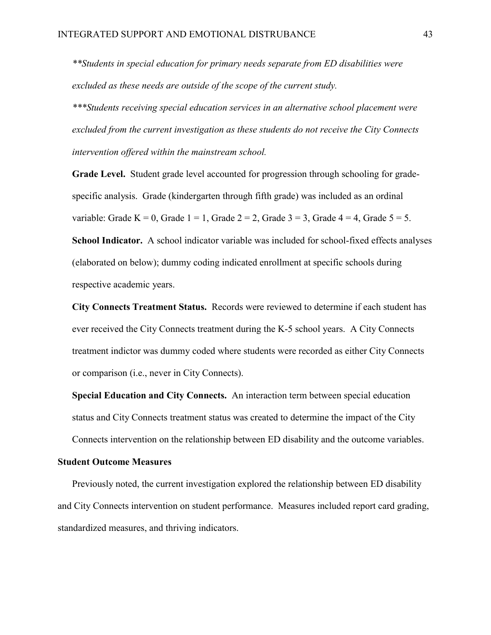*\*\*Students in special education for primary needs separate from ED disabilities were excluded as these needs are outside of the scope of the current study.* 

*\*\*\*Students receiving special education services in an alternative school placement were excluded from the current investigation as these students do not receive the City Connects intervention offered within the mainstream school.*

Grade Level. Student grade level accounted for progression through schooling for gradespecific analysis. Grade (kindergarten through fifth grade) was included as an ordinal variable: Grade K = 0, Grade  $1 = 1$ , Grade  $2 = 2$ , Grade  $3 = 3$ , Grade  $4 = 4$ , Grade  $5 = 5$ .

School Indicator. A school indicator variable was included for school-fixed effects analyses (elaborated on below); dummy coding indicated enrollment at specific schools during respective academic years.

City Connects Treatment Status. Records were reviewed to determine if each student has ever received the City Connects treatment during the K-5 school years. A City Connects treatment indictor was dummy coded where students were recorded as either City Connects or comparison (i.e., never in City Connects).

Special Education and City Connects. An interaction term between special education status and City Connects treatment status was created to determine the impact of the City Connects intervention on the relationship between ED disability and the outcome variables.

# Student Outcome Measures

Previously noted, the current investigation explored the relationship between ED disability and City Connects intervention on student performance. Measures included report card grading, standardized measures, and thriving indicators.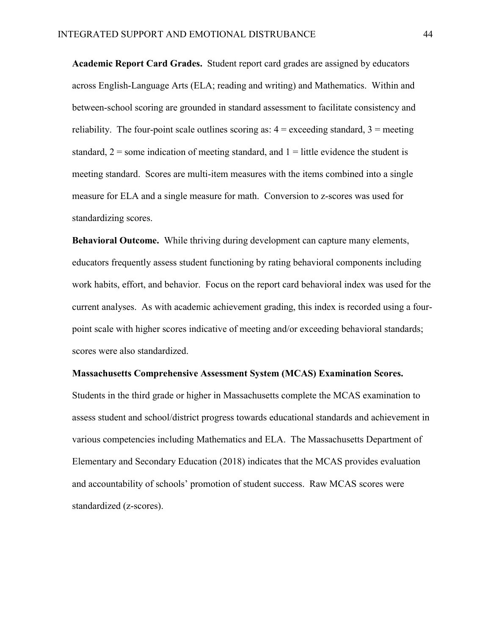Academic Report Card Grades. Student report card grades are assigned by educators across English-Language Arts (ELA; reading and writing) and Mathematics. Within and between-school scoring are grounded in standard assessment to facilitate consistency and reliability. The four-point scale outlines scoring as:  $4 =$  exceeding standard,  $3 =$  meeting standard,  $2 =$ some indication of meeting standard, and  $1 =$  little evidence the student is meeting standard. Scores are multi-item measures with the items combined into a single measure for ELA and a single measure for math. Conversion to z-scores was used for standardizing scores.

Behavioral Outcome. While thriving during development can capture many elements, educators frequently assess student functioning by rating behavioral components including work habits, effort, and behavior. Focus on the report card behavioral index was used for the current analyses. As with academic achievement grading, this index is recorded using a fourpoint scale with higher scores indicative of meeting and/or exceeding behavioral standards; scores were also standardized.

#### Massachusetts Comprehensive Assessment System (MCAS) Examination Scores.

Students in the third grade or higher in Massachusetts complete the MCAS examination to assess student and school/district progress towards educational standards and achievement in various competencies including Mathematics and ELA. The Massachusetts Department of Elementary and Secondary Education (2018) indicates that the MCAS provides evaluation and accountability of schools' promotion of student success. Raw MCAS scores were standardized (z-scores).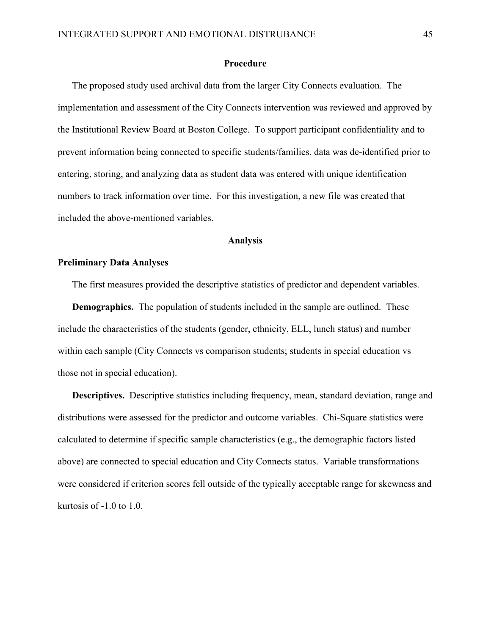### Procedure

The proposed study used archival data from the larger City Connects evaluation. The implementation and assessment of the City Connects intervention was reviewed and approved by the Institutional Review Board at Boston College. To support participant confidentiality and to prevent information being connected to specific students/families, data was de-identified prior to entering, storing, and analyzing data as student data was entered with unique identification numbers to track information over time. For this investigation, a new file was created that included the above-mentioned variables.

### Analysis

# Preliminary Data Analyses

The first measures provided the descriptive statistics of predictor and dependent variables.

Demographics. The population of students included in the sample are outlined. These include the characteristics of the students (gender, ethnicity, ELL, lunch status) and number within each sample (City Connects vs comparison students; students in special education vs those not in special education).

Descriptives. Descriptive statistics including frequency, mean, standard deviation, range and distributions were assessed for the predictor and outcome variables. Chi-Square statistics were calculated to determine if specific sample characteristics (e.g., the demographic factors listed above) are connected to special education and City Connects status. Variable transformations were considered if criterion scores fell outside of the typically acceptable range for skewness and kurtosis of -1.0 to 1.0.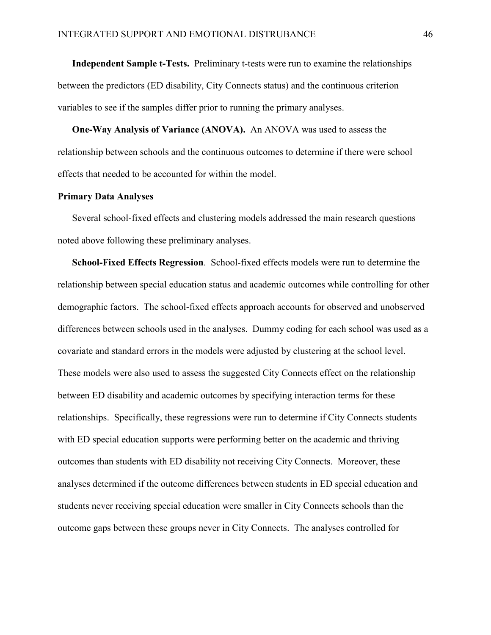Independent Sample t-Tests. Preliminary t-tests were run to examine the relationships between the predictors (ED disability, City Connects status) and the continuous criterion variables to see if the samples differ prior to running the primary analyses.

One-Way Analysis of Variance (ANOVA). An ANOVA was used to assess the relationship between schools and the continuous outcomes to determine if there were school effects that needed to be accounted for within the model.

### Primary Data Analyses

Several school-fixed effects and clustering models addressed the main research questions noted above following these preliminary analyses.

School-Fixed Effects Regression. School-fixed effects models were run to determine the relationship between special education status and academic outcomes while controlling for other demographic factors. The school-fixed effects approach accounts for observed and unobserved differences between schools used in the analyses. Dummy coding for each school was used as a covariate and standard errors in the models were adjusted by clustering at the school level. These models were also used to assess the suggested City Connects effect on the relationship between ED disability and academic outcomes by specifying interaction terms for these relationships. Specifically, these regressions were run to determine if City Connects students with ED special education supports were performing better on the academic and thriving outcomes than students with ED disability not receiving City Connects. Moreover, these analyses determined if the outcome differences between students in ED special education and students never receiving special education were smaller in City Connects schools than the outcome gaps between these groups never in City Connects. The analyses controlled for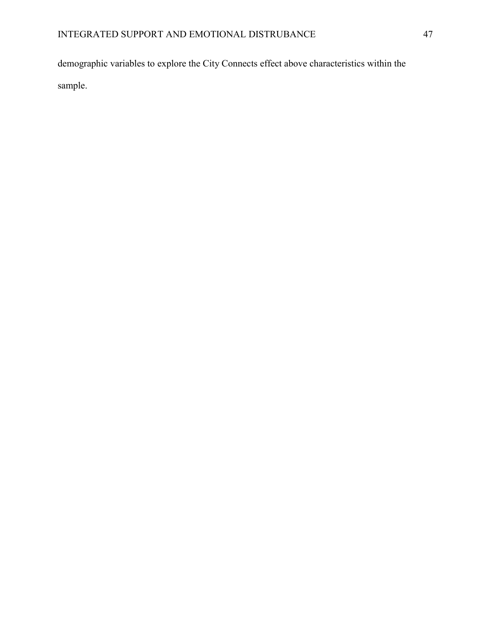demographic variables to explore the City Connects effect above characteristics within the sample.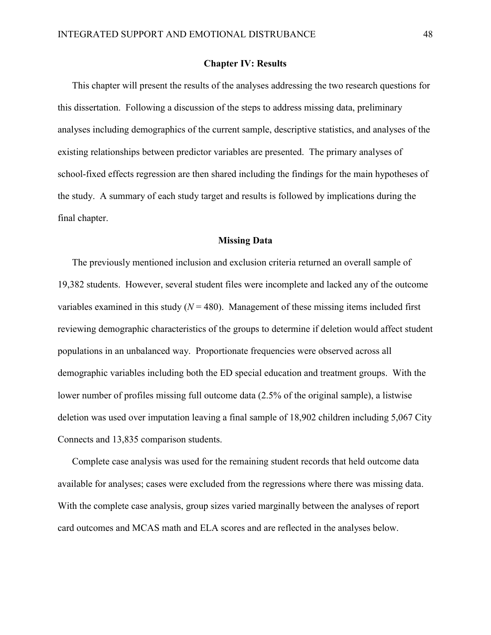## Chapter IV: Results

This chapter will present the results of the analyses addressing the two research questions for this dissertation. Following a discussion of the steps to address missing data, preliminary analyses including demographics of the current sample, descriptive statistics, and analyses of the existing relationships between predictor variables are presented. The primary analyses of school-fixed effects regression are then shared including the findings for the main hypotheses of the study. A summary of each study target and results is followed by implications during the final chapter.

# Missing Data

The previously mentioned inclusion and exclusion criteria returned an overall sample of 19,382 students. However, several student files were incomplete and lacked any of the outcome variables examined in this study  $(N = 480)$ . Management of these missing items included first reviewing demographic characteristics of the groups to determine if deletion would affect student populations in an unbalanced way. Proportionate frequencies were observed across all demographic variables including both the ED special education and treatment groups. With the lower number of profiles missing full outcome data (2.5% of the original sample), a listwise deletion was used over imputation leaving a final sample of 18,902 children including 5,067 City Connects and 13,835 comparison students.

Complete case analysis was used for the remaining student records that held outcome data available for analyses; cases were excluded from the regressions where there was missing data. With the complete case analysis, group sizes varied marginally between the analyses of report card outcomes and MCAS math and ELA scores and are reflected in the analyses below.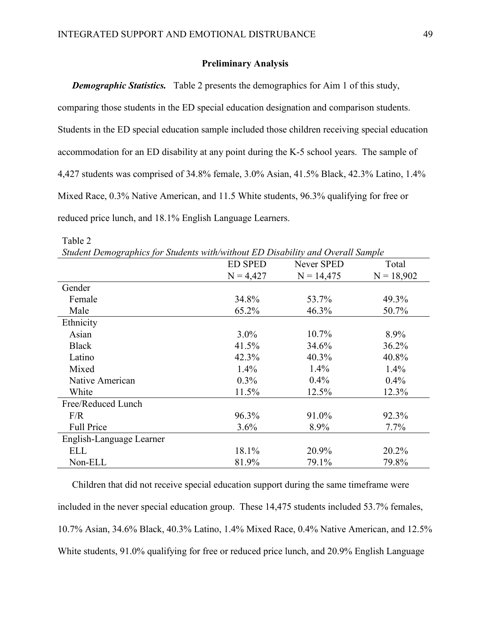# Preliminary Analysis

*Demographic Statistics.* Table 2 presents the demographics for Aim 1 of this study, comparing those students in the ED special education designation and comparison students. Students in the ED special education sample included those children receiving special education accommodation for an ED disability at any point during the K-5 school years. The sample of 4,427 students was comprised of 34.8% female, 3.0% Asian, 41.5% Black, 42.3% Latino, 1.4% Mixed Race, 0.3% Native American, and 11.5 White students, 96.3% qualifying for free or reduced price lunch, and 18.1% English Language Learners.

| Student Demographics for Students with/without ED Disability and Overall Sample |                |              |              |
|---------------------------------------------------------------------------------|----------------|--------------|--------------|
|                                                                                 | <b>ED SPED</b> | Never SPED   | Total        |
|                                                                                 | $N = 4,427$    | $N = 14,475$ | $N = 18,902$ |
| Gender                                                                          |                |              |              |
| Female                                                                          | 34.8%          | 53.7%        | 49.3%        |
| Male                                                                            | 65.2%          | 46.3%        | 50.7%        |
| Ethnicity                                                                       |                |              |              |
| Asian                                                                           | $3.0\%$        | $10.7\%$     | $8.9\%$      |
| <b>Black</b>                                                                    | 41.5%          | 34.6%        | 36.2%        |
| Latino                                                                          | 42.3%          | $40.3\%$     | 40.8%        |
| Mixed                                                                           | $1.4\%$        | $1.4\%$      | $1.4\%$      |
| Native American                                                                 | $0.3\%$        | $0.4\%$      | $0.4\%$      |
| White                                                                           | 11.5%          | 12.5%        | 12.3%        |
| Free/Reduced Lunch                                                              |                |              |              |
| F/R                                                                             | 96.3%          | 91.0%        | 92.3%        |
| <b>Full Price</b>                                                               | 3.6%           | 8.9%         | $7.7\%$      |
| English-Language Learner                                                        |                |              |              |
| ELL                                                                             | 18.1%          | 20.9%        | 20.2%        |
| Non-ELL                                                                         | 81.9%          | 79.1%        | 79.8%        |

*Student Demographics for Students with/without ED Disability and Overall Sample*

Table 2

Children that did not receive special education support during the same timeframe were included in the never special education group. These 14,475 students included 53.7% females, 10.7% Asian, 34.6% Black, 40.3% Latino, 1.4% Mixed Race, 0.4% Native American, and 12.5% White students, 91.0% qualifying for free or reduced price lunch, and 20.9% English Language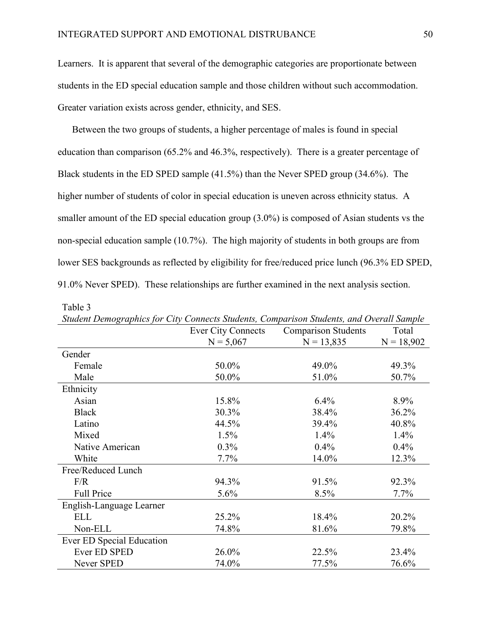Learners. It is apparent that several of the demographic categories are proportionate between students in the ED special education sample and those children without such accommodation. Greater variation exists across gender, ethnicity, and SES.

Between the two groups of students, a higher percentage of males is found in special education than comparison (65.2% and 46.3%, respectively). There is a greater percentage of Black students in the ED SPED sample (41.5%) than the Never SPED group (34.6%). The higher number of students of color in special education is uneven across ethnicity status. A smaller amount of the ED special education group (3.0%) is composed of Asian students vs the non-special education sample (10.7%). The high majority of students in both groups are from lower SES backgrounds as reflected by eligibility for free/reduced price lunch (96.3% ED SPED, 91.0% Never SPED). These relationships are further examined in the next analysis section.

| Student Demographics for City Connects Students, Comparison Students, and Overall Sample |                           |                            |              |
|------------------------------------------------------------------------------------------|---------------------------|----------------------------|--------------|
|                                                                                          | <b>Ever City Connects</b> | <b>Comparison Students</b> | Total        |
|                                                                                          | $N = 5,067$               | $N = 13,835$               | $N = 18,902$ |
| Gender                                                                                   |                           |                            |              |
| Female                                                                                   | 50.0%                     | 49.0%                      | 49.3%        |
| Male                                                                                     | 50.0%                     | 51.0%                      | 50.7%        |
| Ethnicity                                                                                |                           |                            |              |
| Asian                                                                                    | 15.8%                     | $6.4\%$                    | 8.9%         |
| <b>Black</b>                                                                             | 30.3%                     | 38.4%                      | 36.2%        |
| Latino                                                                                   | 44.5%                     | 39.4%                      | 40.8%        |
| Mixed                                                                                    | 1.5%                      | 1.4%                       | 1.4%         |
| Native American                                                                          | $0.3\%$                   | $0.4\%$                    | $0.4\%$      |
| White                                                                                    | $7.7\%$                   | 14.0%                      | 12.3%        |
| Free/Reduced Lunch                                                                       |                           |                            |              |
| F/R                                                                                      | 94.3%                     | 91.5%                      | 92.3%        |
| <b>Full Price</b>                                                                        | 5.6%                      | 8.5%                       | 7.7%         |
| English-Language Learner                                                                 |                           |                            |              |
| <b>ELL</b>                                                                               | 25.2%                     | 18.4%                      | 20.2%        |
| Non-ELL                                                                                  | 74.8%                     | 81.6%                      | 79.8%        |
| Ever ED Special Education                                                                |                           |                            |              |
| Ever ED SPED                                                                             | 26.0%                     | 22.5%                      | 23.4%        |
| Never SPED                                                                               | 74.0%                     | 77.5%                      | 76.6%        |

| Table |  |
|-------|--|
|-------|--|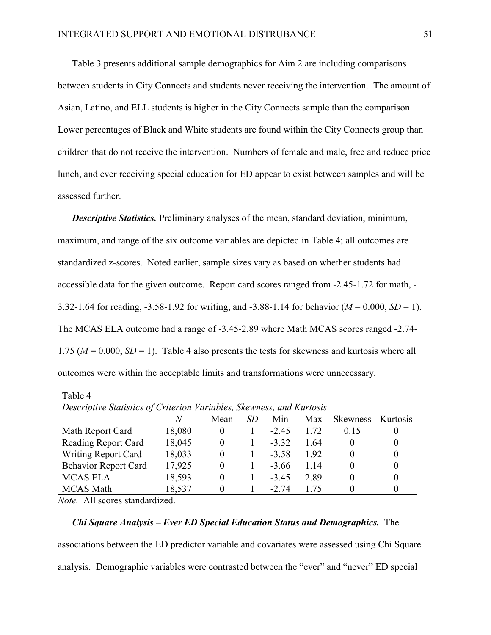Table 3 presents additional sample demographics for Aim 2 are including comparisons between students in City Connects and students never receiving the intervention. The amount of Asian, Latino, and ELL students is higher in the City Connects sample than the comparison. Lower percentages of Black and White students are found within the City Connects group than children that do not receive the intervention. Numbers of female and male, free and reduce price lunch, and ever receiving special education for ED appear to exist between samples and will be assessed further.

*Descriptive Statistics.* Preliminary analyses of the mean, standard deviation, minimum, maximum, and range of the six outcome variables are depicted in Table 4; all outcomes are standardized z-scores. Noted earlier, sample sizes vary as based on whether students had accessible data for the given outcome. Report card scores ranged from -2.45-1.72 for math, - 3.32-1.64 for reading, -3.58-1.92 for writing, and -3.88-1.14 for behavior (*M* = 0.000, *SD* = 1). The MCAS ELA outcome had a range of -3.45-2.89 where Math MCAS scores ranged -2.74- 1.75 ( $M = 0.000$ ,  $SD = 1$ ). Table 4 also presents the tests for skewness and kurtosis where all outcomes were within the acceptable limits and transformations were unnecessary.

#### Table 4

|                             | N      | Mean | SD | Min     | Max  | <b>Skewness</b> | Kurtosis |
|-----------------------------|--------|------|----|---------|------|-----------------|----------|
| Math Report Card            | 18,080 |      |    | $-245$  | 1.72 | 015             |          |
| <b>Reading Report Card</b>  | 18,045 | 0    |    | $-332$  | 164  |                 |          |
| <b>Writing Report Card</b>  | 18,033 | 0    |    | $-3.58$ | 192  |                 |          |
| <b>Behavior Report Card</b> | 17,925 | 0    |    | $-366$  | 114  |                 |          |
| <b>MCAS ELA</b>             | 18,593 | 0    |    | $-345$  | 2.89 |                 |          |
| <b>MCAS</b> Math            | 18,537 |      |    | $-2.74$ | 175  |                 |          |

*Descriptive Statistics of Criterion Variables, Skewness, and Kurtosis*

*Note.* All scores standardized.

#### *Chi Square Analysis – Ever ED Special Education Status and Demographics.* The

associations between the ED predictor variable and covariates were assessed using Chi Square analysis. Demographic variables were contrasted between the "ever" and "never" ED special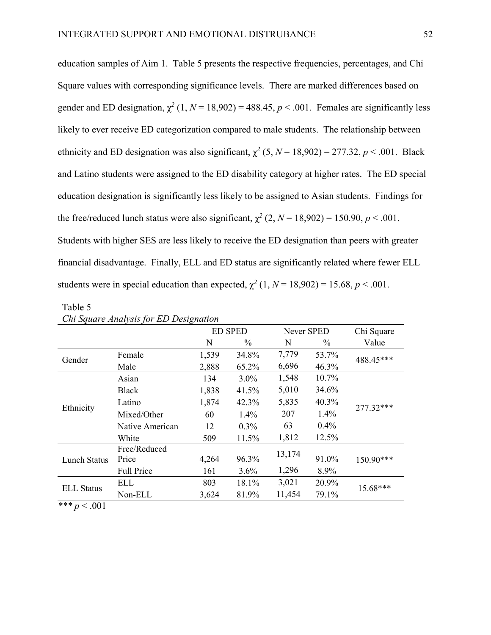education samples of Aim 1. Table 5 presents the respective frequencies, percentages, and Chi Square values with corresponding significance levels. There are marked differences based on gender and ED designation,  $\chi^2$  (1,  $N = 18,902$ ) = 488.45,  $p < .001$ . Females are significantly less likely to ever receive ED categorization compared to male students. The relationship between ethnicity and ED designation was also significant,  $\chi^2$  (5, *N* = 18,902) = 277.32, *p* < .001. Black and Latino students were assigned to the ED disability category at higher rates. The ED special education designation is significantly less likely to be assigned to Asian students. Findings for the free/reduced lunch status were also significant,  $\chi^2$  (2,  $N = 18,902$ ) = 150.90,  $p < .001$ . Students with higher SES are less likely to receive the ED designation than peers with greater

financial disadvantage. Finally, ELL and ED status are significantly related where fewer ELL students were in special education than expected,  $\chi^2$  (1,  $N = 18,902$ ) = 15.68,  $p < .001$ .

|                     |                   |       | <b>ED SPED</b> | Never SPED |       | Chi Square |
|---------------------|-------------------|-------|----------------|------------|-------|------------|
|                     |                   | N     | $\%$           | N          | $\%$  | Value      |
| Gender              | Female            | 1,539 | 34.8%          | 7,779      | 53.7% | 488.45***  |
|                     | Male              | 2,888 | 65.2%          | 6,696      | 46.3% |            |
|                     | Asian             | 134   | $3.0\%$        | 1,548      | 10.7% |            |
|                     | <b>Black</b>      | 1,838 | 41.5%          | 5,010      | 34.6% |            |
|                     | Latino            | 1,874 | 42.3%          | 5,835      | 40.3% | 277.32***  |
| Ethnicity           | Mixed/Other       | 60    | 1.4%           | 207        | 1.4%  |            |
|                     | Native American   | 12    | $0.3\%$        | 63         | 0.4%  |            |
|                     | White             | 509   | 11.5%          | 1,812      | 12.5% |            |
|                     | Free/Reduced      |       |                | 13,174     |       |            |
| <b>Lunch Status</b> | Price             | 4,264 | 96.3%          |            | 91.0% | 150.90***  |
|                     | <b>Full Price</b> | 161   | 3.6%           | 1,296      | 8.9%  |            |
| <b>ELL Status</b>   | ELL               | 803   | 18.1%          | 3,021      | 20.9% | 15.68***   |
|                     | Non-ELL           | 3,624 | 81.9%          | 11,454     | 79.1% |            |

| Chi Square Analysis for ED Designation |  |  |
|----------------------------------------|--|--|
|                                        |  |  |

*\*\*\* p* < .001

Table 5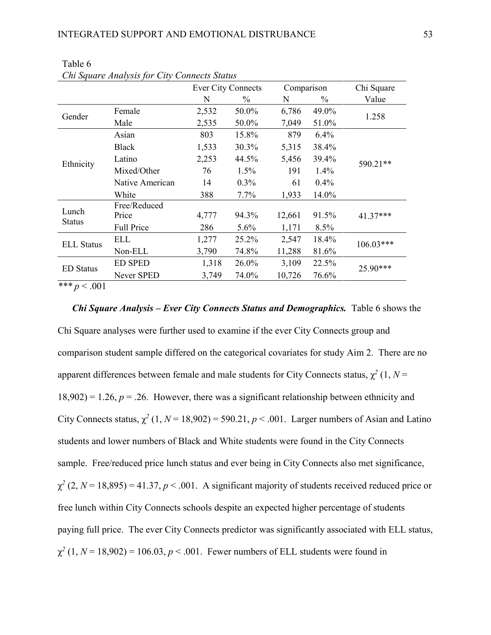|                           |                       | <b>Ever City Connects</b> |               | Comparison |                                                   | Chi Square  |
|---------------------------|-----------------------|---------------------------|---------------|------------|---------------------------------------------------|-------------|
|                           |                       | N                         | $\frac{0}{0}$ | N          | $\frac{0}{0}$                                     | Value       |
| Gender                    | Female                | 2,532                     | 50.0%         | 6,786      | 49.0%                                             | 1.258       |
|                           | Male                  | 2,535                     | 50.0%         | 7,049      | 51.0%                                             |             |
|                           | Asian                 | 803                       | 15.8%         | 879        | 6.4%                                              |             |
| Ethnicity                 | <b>Black</b>          | 1,533                     | 30.3%         | 5,315      | 38.4%                                             |             |
|                           | Latino                | 2,253                     | 44.5%         | 5,456      | 39.4%                                             | 590.21**    |
|                           | Mixed/Other           | 76                        | 1.5%          | 191        | 1.4%                                              |             |
|                           | Native American       | 14                        | 0.3%          | 61         | 0.4%                                              |             |
|                           | White                 | 388                       | 7.7%          | 1,933      | 14.0%                                             |             |
| Lunch                     | Free/Reduced<br>Price | 4,777                     | 94.3%         | 12,661     |                                                   | 41.37***    |
| <b>Status</b>             | <b>Full Price</b>     | 286                       | 5.6%          | 1,171      | 91.5%<br>8.5%<br>18.4%<br>81.6%<br>22.5%<br>76.6% |             |
|                           | ELL                   | 1,277                     | 25.2%         | 2,547      |                                                   | $106.03***$ |
| <b>ELL Status</b>         | Non-ELL               | 3,790                     | 74.8%         | 11,288     |                                                   |             |
|                           | <b>ED SPED</b>        | 1,318                     | 26.0%         | 3,109      |                                                   | 25.90***    |
| <b>ED</b> Status          | Never SPED            | 3,749                     | 74.0%         | 10,726     |                                                   |             |
| مله مله مله<br>$\sim$ 001 |                       |                           |               |            |                                                   |             |

Table 6 *Chi Square Analysis for City Connects Status*

*\*\*\* p* < .001

*Chi Square Analysis – Ever City Connects Status and Demographics.* Table 6 shows the

Chi Square analyses were further used to examine if the ever City Connects group and comparison student sample differed on the categorical covariates for study Aim 2. There are no apparent differences between female and male students for City Connects status,  $\chi^2$  (1, *N* =  $18,902$ ) = 1.26,  $p = 0.26$ . However, there was a significant relationship between ethnicity and City Connects status,  $\chi^2$  (1,  $N = 18,902$ ) = 590.21,  $p < .001$ . Larger numbers of Asian and Latino students and lower numbers of Black and White students were found in the City Connects sample. Free/reduced price lunch status and ever being in City Connects also met significance,  $\chi^2$  (2, *N* = 18,895) = 41.37, *p* < .001. A significant majority of students received reduced price or free lunch within City Connects schools despite an expected higher percentage of students paying full price. The ever City Connects predictor was significantly associated with ELL status,  $\chi^2$  (1,  $N = 18,902$ ) = 106.03,  $p < .001$ . Fewer numbers of ELL students were found in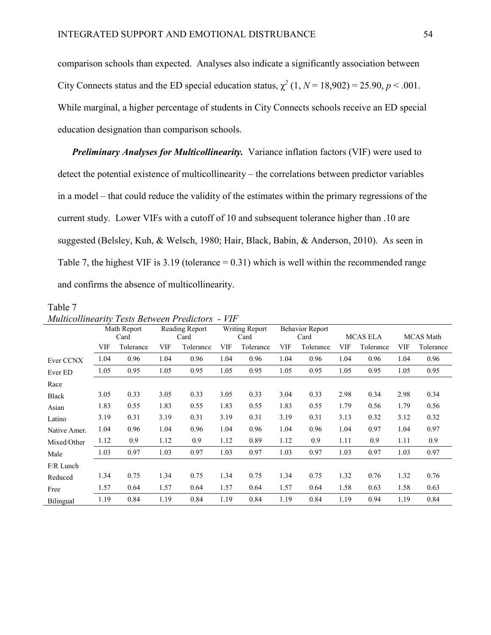comparison schools than expected. Analyses also indicate a significantly association between City Connects status and the ED special education status,  $\chi^2$  (1,  $N = 18,902$ ) = 25.90,  $p < .001$ . While marginal, a higher percentage of students in City Connects schools receive an ED special education designation than comparison schools.

*Preliminary Analyses for Multicollinearity.* Variance inflation factors (VIF) were used to detect the potential existence of multicollinearity – the correlations between predictor variables in a model – that could reduce the validity of the estimates within the primary regressions of the current study. Lower VIFs with a cutoff of 10 and subsequent tolerance higher than .10 are suggested (Belsley, Kuh, & Welsch, 1980; Hair, Black, Babin, & Anderson, 2010). As seen in Table 7, the highest VIF is  $3.19$  (tolerance  $= 0.31$ ) which is well within the recommended range and confirms the absence of multicollinearity.

#### Table 7

*Multicollinearity Tests Between Predictors - VIF* 

|              |      | Math Report |            | Reading Report |            | Writing Report |            | <b>Behavior Report</b> |      |                 |      |                  |
|--------------|------|-------------|------------|----------------|------------|----------------|------------|------------------------|------|-----------------|------|------------------|
|              |      | Card        |            | Card           |            | Card           |            | Card                   |      | <b>MCAS ELA</b> |      | <b>MCAS</b> Math |
|              | VIF  | Tolerance   | <b>VIF</b> | Tolerance      | <b>VIF</b> | Tolerance      | <b>VIF</b> | Tolerance              | VIF  | Tolerance       | VIF  | Tolerance        |
| Ever CCNX    | 1.04 | 0.96        | 1.04       | 0.96           | 1.04       | 0.96           | 1.04       | 0.96                   | 1.04 | 0.96            | 1.04 | 0.96             |
| Ever ED      | 1.05 | 0.95        | 1.05       | 0.95           | 1.05       | 0.95           | 1.05       | 0.95                   | 1.05 | 0.95            | 1.05 | 0.95             |
| Race         |      |             |            |                |            |                |            |                        |      |                 |      |                  |
| <b>Black</b> | 3.05 | 0.33        | 3.05       | 0.33           | 3.05       | 0.33           | 3.04       | 0.33                   | 2.98 | 0.34            | 2.98 | 0.34             |
| Asian        | 1.83 | 0.55        | 1.83       | 0.55           | 1.83       | 0.55           | 1.83       | 0.55                   | 1.79 | 0.56            | 1.79 | 0.56             |
| Latino       | 3.19 | 0.31        | 3.19       | 0.31           | 3.19       | 0.31           | 3.19       | 0.31                   | 3.13 | 0.32            | 3.12 | 0.32             |
| Native Amer. | 1.04 | 0.96        | 1.04       | 0.96           | 1.04       | 0.96           | 1.04       | 0.96                   | 1.04 | 0.97            | 1.04 | 0.97             |
| Mixed/Other  | 1.12 | 0.9         | 1.12       | 0.9            | 1.12       | 0.89           | 1.12       | 0.9                    | 1.11 | 0.9             | 1.11 | 0.9              |
| Male         | 1.03 | 0.97        | 1.03       | 0.97           | 1.03       | 0.97           | 1.03       | 0.97                   | 1.03 | 0.97            | 1.03 | 0.97             |
| F/R Lunch    |      |             |            |                |            |                |            |                        |      |                 |      |                  |
| Reduced      | 1.34 | 0.75        | 1.34       | 0.75           | 1.34       | 0.75           | 1.34       | 0.75                   | 1.32 | 0.76            | 1.32 | 0.76             |
| Free         | 1.57 | 0.64        | 1.57       | 0.64           | 1.57       | 0.64           | 1.57       | 0.64                   | 1.58 | 0.63            | 1.58 | 0.63             |
| Bilingual    | 1.19 | 0.84        | 1.19       | 0.84           | 1.19       | 0.84           | 1.19       | 0.84                   | 1.19 | 0.94            | 1.19 | 0.84             |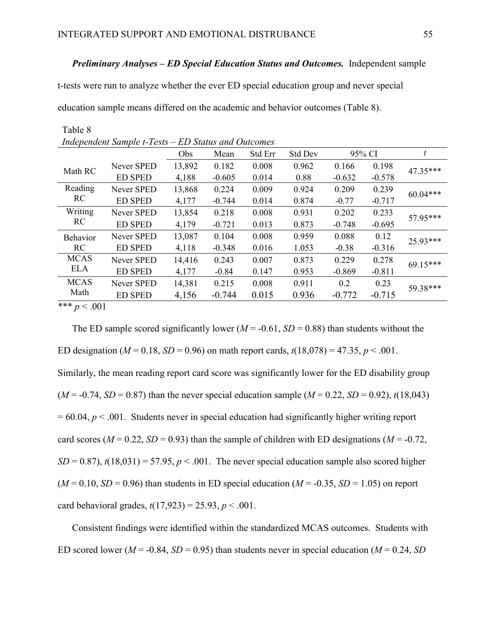# *Preliminary Analyses – ED Special Education Status and Outcomes.* Independent sample

t-tests were run to analyze whether the ever ED special education group and never special

education sample means differed on the academic and behavior outcomes (Table 8).

|                           | Independent Sample t-Tests – ED Status and Outcomes |        |          |         |                |          |          |            |
|---------------------------|-----------------------------------------------------|--------|----------|---------|----------------|----------|----------|------------|
|                           |                                                     | Obs    | Mean     | Std Err | <b>Std Dev</b> |          | 95% CI   | t          |
| Math RC                   | Never SPED                                          | 13,892 | 0.182    | 0.008   | 0.962          | 0.166    | 0.198    | 47.35***   |
|                           | <b>ED SPED</b>                                      | 4,188  | $-0.605$ | 0.014   | 0.88           | $-0.632$ | $-0.578$ |            |
| Reading                   | Never SPED                                          | 13,868 | 0.224    | 0.009   | 0.924          | 0.209    | 0.239    | $60.04***$ |
| RC                        | <b>ED SPED</b>                                      | 4,177  | $-0.744$ | 0.014   | 0.874          | $-0.77$  | $-0.717$ |            |
| Writing                   | Never SPED                                          | 13,854 | 0.218    | 0.008   | 0.931          | 0.202    | 0.233    | 57.95***   |
| RC                        | <b>ED SPED</b>                                      | 4,179  | $-0.721$ | 0.013   | 0.873          | $-0.748$ | $-0.695$ |            |
| Behavior                  | Never SPED                                          | 13,087 | 0.104    | 0.008   | 0.959          | 0.088    | 0.12     | $25.93***$ |
| RC                        | <b>ED SPED</b>                                      | 4,118  | $-0.348$ | 0.016   | 1.053          | $-0.38$  | $-0.316$ |            |
| <b>MCAS</b>               | Never SPED                                          | 14,416 | 0.243    | 0.007   | 0.873          | 0.229    | 0.278    | $69.15***$ |
| <b>ELA</b>                | <b>ED SPED</b>                                      | 4,177  | $-0.84$  | 0.147   | 0.953          | $-0.869$ | $-0.811$ |            |
| <b>MCAS</b>               | Never SPED                                          | 14,381 | 0.215    | 0.008   | 0.911          | 0.2      | 0.23     | 59.38***   |
| Math                      | <b>ED SPED</b>                                      | 4,156  | $-0.744$ | 0.015   | 0.936          | $-0.772$ | $-0.715$ |            |
| مله مله مله<br>$\sim$ 001 |                                                     |        |          |         |                |          |          |            |

*Independent Sample t-Tests – ED Status and Outcomes*

\*\*\* *p* < .001

Table 8

The ED sample scored significantly lower ( $M = -0.61$ ,  $SD = 0.88$ ) than students without the ED designation ( $M = 0.18$ ,  $SD = 0.96$ ) on math report cards,  $t(18,078) = 47.35$ ,  $p < .001$ . Similarly, the mean reading report card score was significantly lower for the ED disability group  $(M = -0.74, SD = 0.87)$  than the never special education sample  $(M = 0.22, SD = 0.92)$ ,  $t(18,043)$  $= 60.04$ ,  $p < .001$ . Students never in special education had significantly higher writing report card scores ( $M = 0.22$ ,  $SD = 0.93$ ) than the sample of children with ED designations ( $M = -0.72$ ,  $SD = 0.87$ ,  $t(18,031) = 57.95$ ,  $p < .001$ . The never special education sample also scored higher  $(M = 0.10, SD = 0.96)$  than students in ED special education  $(M = -0.35, SD = 1.05)$  on report card behavioral grades,  $t(17,923) = 25.93$ ,  $p < .001$ .

Consistent findings were identified within the standardized MCAS outcomes. Students with ED scored lower ( $M = -0.84$ ,  $SD = 0.95$ ) than students never in special education ( $M = 0.24$ ,  $SD$ )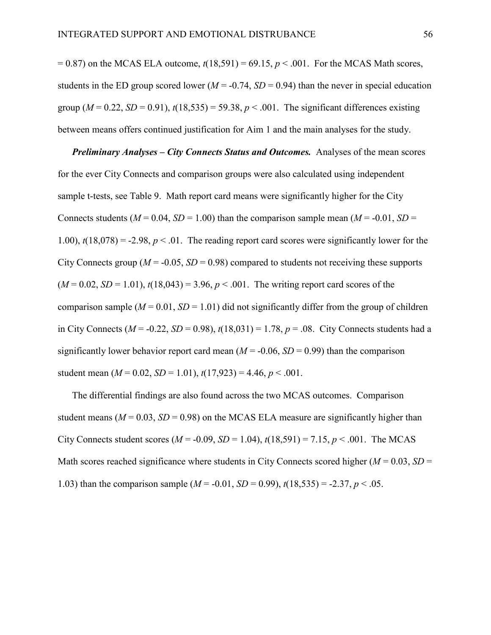$= 0.87$ ) on the MCAS ELA outcome,  $t(18,591) = 69.15$ ,  $p < .001$ . For the MCAS Math scores, students in the ED group scored lower ( $M = -0.74$ ,  $SD = 0.94$ ) than the never in special education group ( $M = 0.22$ ,  $SD = 0.91$ ),  $t(18,535) = 59.38$ ,  $p < .001$ . The significant differences existing between means offers continued justification for Aim 1 and the main analyses for the study.

*Preliminary Analyses – City Connects Status and Outcomes.* Analyses of the mean scores for the ever City Connects and comparison groups were also calculated using independent sample t-tests, see Table 9. Math report card means were significantly higher for the City Connects students ( $M = 0.04$ ,  $SD = 1.00$ ) than the comparison sample mean ( $M = -0.01$ ,  $SD =$ 1.00),  $t(18,078) = -2.98$ ,  $p < 0.01$ . The reading report card scores were significantly lower for the City Connects group ( $M = -0.05$ ,  $SD = 0.98$ ) compared to students not receiving these supports  $(M = 0.02, SD = 1.01)$ ,  $t(18,043) = 3.96$ ,  $p < .001$ . The writing report card scores of the comparison sample ( $M = 0.01$ ,  $SD = 1.01$ ) did not significantly differ from the group of children in City Connects ( $M = -0.22$ ,  $SD = 0.98$ ),  $t(18,031) = 1.78$ ,  $p = .08$ . City Connects students had a significantly lower behavior report card mean  $(M = -0.06, SD = 0.99)$  than the comparison student mean  $(M = 0.02, SD = 1.01), t(17,923) = 4.46, p < .001$ .

The differential findings are also found across the two MCAS outcomes. Comparison student means ( $M = 0.03$ ,  $SD = 0.98$ ) on the MCAS ELA measure are significantly higher than City Connects student scores ( $M = -0.09$ ,  $SD = 1.04$ ),  $t(18,591) = 7.15$ ,  $p < .001$ . The MCAS Math scores reached significance where students in City Connects scored higher ( $M = 0.03$ ,  $SD =$ 1.03) than the comparison sample  $(M = -0.01, SD = 0.99)$ ,  $t(18,535) = -2.37, p < .05$ .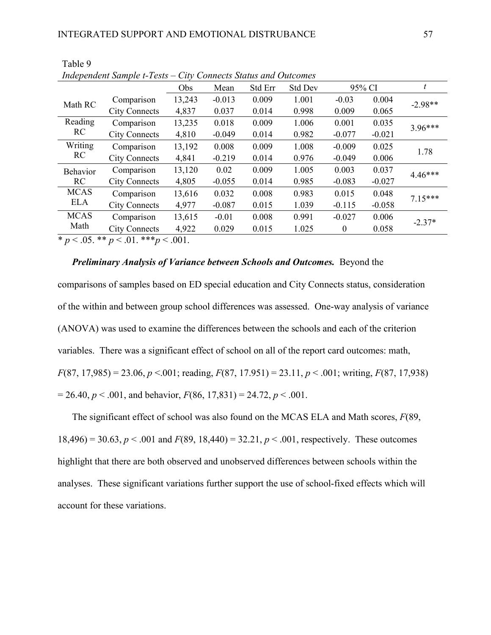|                                                                                                                                                                                                                                                                                                                                    | Independent Sample t-Tests – City Connects Status and Outcomes |                 |          |         |                |              |          |           |
|------------------------------------------------------------------------------------------------------------------------------------------------------------------------------------------------------------------------------------------------------------------------------------------------------------------------------------|----------------------------------------------------------------|-----------------|----------|---------|----------------|--------------|----------|-----------|
|                                                                                                                                                                                                                                                                                                                                    |                                                                | Obs             | Mean     | Std Err | <b>Std Dev</b> |              | 95% CI   | t         |
| Math RC                                                                                                                                                                                                                                                                                                                            | Comparison                                                     | 13,243          | $-0.013$ | 0.009   | 1.001          | $-0.03$      | 0.004    | $-2.98**$ |
|                                                                                                                                                                                                                                                                                                                                    | <b>City Connects</b>                                           | 4,837           | 0.037    | 0.014   | 0.998          | 0.009        | 0.065    |           |
| Reading                                                                                                                                                                                                                                                                                                                            | Comparison                                                     | 13,235          | 0.018    | 0.009   | 1.006          | 0.001        | 0.035    | $3.96***$ |
| RC                                                                                                                                                                                                                                                                                                                                 | <b>City Connects</b>                                           | 4,810           | $-0.049$ | 0.014   | 0.982          | $-0.077$     | $-0.021$ |           |
| Writing                                                                                                                                                                                                                                                                                                                            | Comparison                                                     | 13,192          | 0.008    | 0.009   | 1.008          | $-0.009$     | 0.025    | 1.78      |
| RC                                                                                                                                                                                                                                                                                                                                 | <b>City Connects</b>                                           | 4,841           | $-0.219$ | 0.014   | 0.976          | $-0.049$     | 0.006    |           |
| Behavior                                                                                                                                                                                                                                                                                                                           | Comparison                                                     | 13,120          | 0.02     | 0.009   | 1.005          | 0.003        | 0.037    | $4.46***$ |
| RC                                                                                                                                                                                                                                                                                                                                 | <b>City Connects</b>                                           | 4,805           | $-0.055$ | 0.014   | 0.985          | $-0.083$     | $-0.027$ |           |
| <b>MCAS</b>                                                                                                                                                                                                                                                                                                                        | Comparison                                                     | 13,616          | 0.032    | 0.008   | 0.983          | 0.015        | 0.048    | $7.15***$ |
| <b>ELA</b>                                                                                                                                                                                                                                                                                                                         | <b>City Connects</b>                                           | 4,977           | $-0.087$ | 0.015   | 1.039          | $-0.115$     | $-0.058$ |           |
| <b>MCAS</b>                                                                                                                                                                                                                                                                                                                        | Comparison                                                     | 13,615          | $-0.01$  | 0.008   | 0.991          | $-0.027$     | 0.006    | $-2.37*$  |
| Math                                                                                                                                                                                                                                                                                                                               | <b>City Connects</b>                                           | 4,922           | 0.029    | 0.015   | 1.025          | $\mathbf{0}$ | 0.058    |           |
| $\mathbf{a}$ $\mathbf{b}$ $\mathbf{c}$ $\mathbf{c}$ $\mathbf{d}$ $\mathbf{c}$ $\mathbf{d}$ $\mathbf{c}$ $\mathbf{d}$ $\mathbf{d}$ $\mathbf{d}$ $\mathbf{d}$ $\mathbf{d}$ $\mathbf{d}$ $\mathbf{d}$ $\mathbf{d}$ $\mathbf{d}$ $\mathbf{d}$ $\mathbf{d}$ $\mathbf{d}$ $\mathbf{d}$ $\mathbf{d}$ $\mathbf{d}$ $\mathbf{d}$ $\mathbf{$ |                                                                | $\sim$ $\sim$ 1 |          |         |                |              |          |           |

Table 9 *Independent Sample t-Tests – City Connects Status and Outcomes*

\*  $p < .05$ . \*\*  $p < .01$ . \*\*\*  $p < .001$ .

# *Preliminary Analysis of Variance between Schools and Outcomes.* Beyond the

comparisons of samples based on ED special education and City Connects status, consideration of the within and between group school differences was assessed. One-way analysis of variance (ANOVA) was used to examine the differences between the schools and each of the criterion variables. There was a significant effect of school on all of the report card outcomes: math, *F*(87, 17,985) = 23.06, *p* <.001; reading, *F*(87, 17.951) = 23.11, *p* < .001; writing, *F*(87, 17,938)  $= 26.40, p < .001$ , and behavior,  $F(86, 17, 831) = 24.72, p < .001$ .

The significant effect of school was also found on the MCAS ELA and Math scores, *F*(89, 18,496) = 30.63,  $p < .001$  and  $F(89, 18,440) = 32.21$ ,  $p < .001$ , respectively. These outcomes highlight that there are both observed and unobserved differences between schools within the analyses. These significant variations further support the use of school-fixed effects which will account for these variations.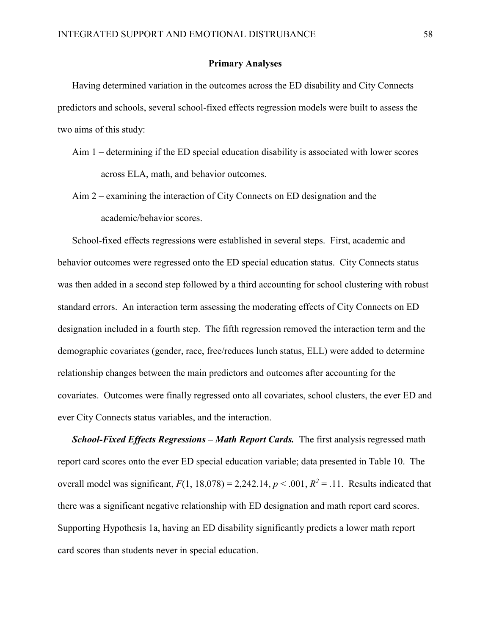## Primary Analyses

Having determined variation in the outcomes across the ED disability and City Connects predictors and schools, several school-fixed effects regression models were built to assess the two aims of this study:

- Aim 1 determining if the ED special education disability is associated with lower scores across ELA, math, and behavior outcomes.
- Aim 2 examining the interaction of City Connects on ED designation and the academic/behavior scores.

School-fixed effects regressions were established in several steps. First, academic and behavior outcomes were regressed onto the ED special education status. City Connects status was then added in a second step followed by a third accounting for school clustering with robust standard errors. An interaction term assessing the moderating effects of City Connects on ED designation included in a fourth step. The fifth regression removed the interaction term and the demographic covariates (gender, race, free/reduces lunch status, ELL) were added to determine relationship changes between the main predictors and outcomes after accounting for the covariates. Outcomes were finally regressed onto all covariates, school clusters, the ever ED and ever City Connects status variables, and the interaction.

*School-Fixed Effects Regressions – Math Report Cards.* The first analysis regressed math report card scores onto the ever ED special education variable; data presented in Table 10. The overall model was significant,  $F(1, 18,078) = 2,242.14, p < .001, R^2 = .11$ . Results indicated that there was a significant negative relationship with ED designation and math report card scores. Supporting Hypothesis 1a, having an ED disability significantly predicts a lower math report card scores than students never in special education.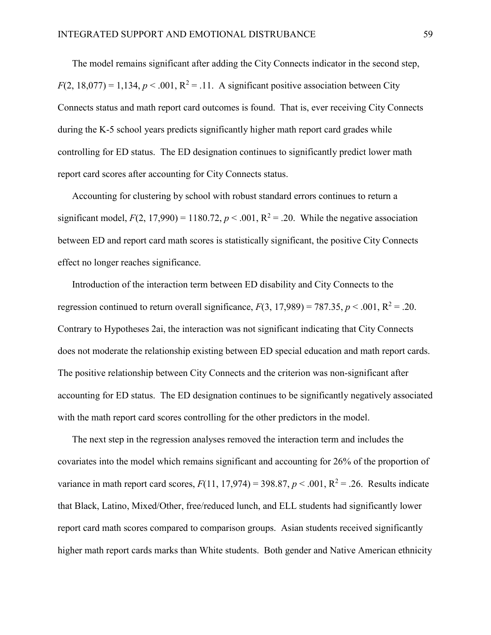The model remains significant after adding the City Connects indicator in the second step,  $F(2, 18,077) = 1,134, p < .001, R<sup>2</sup> = .11$ . A significant positive association between City Connects status and math report card outcomes is found. That is, ever receiving City Connects during the K-5 school years predicts significantly higher math report card grades while controlling for ED status. The ED designation continues to significantly predict lower math report card scores after accounting for City Connects status.

Accounting for clustering by school with robust standard errors continues to return a significant model,  $F(2, 17,990) = 1180.72$ ,  $p < .001$ ,  $R^2 = .20$ . While the negative association between ED and report card math scores is statistically significant, the positive City Connects effect no longer reaches significance.

Introduction of the interaction term between ED disability and City Connects to the regression continued to return overall significance,  $F(3, 17,989) = 787.35$ ,  $p < .001$ ,  $R^2 = .20$ . Contrary to Hypotheses 2ai, the interaction was not significant indicating that City Connects does not moderate the relationship existing between ED special education and math report cards. The positive relationship between City Connects and the criterion was non-significant after accounting for ED status. The ED designation continues to be significantly negatively associated with the math report card scores controlling for the other predictors in the model.

The next step in the regression analyses removed the interaction term and includes the covariates into the model which remains significant and accounting for 26% of the proportion of variance in math report card scores,  $F(11, 17,974) = 398.87$ ,  $p < .001$ ,  $R^2 = .26$ . Results indicate that Black, Latino, Mixed/Other, free/reduced lunch, and ELL students had significantly lower report card math scores compared to comparison groups. Asian students received significantly higher math report cards marks than White students. Both gender and Native American ethnicity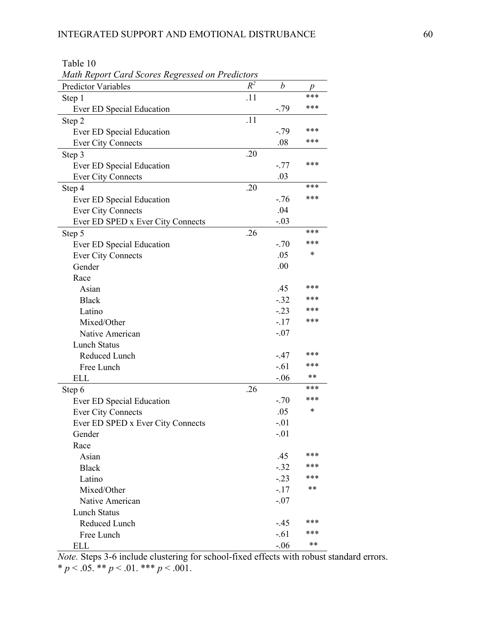Table 10

| Math Report Card Scores Regressed on Predictors |       |        |       |
|-------------------------------------------------|-------|--------|-------|
| <b>Predictor Variables</b>                      | $R^2$ | b      | p     |
| Step 1                                          | .11   |        | ***   |
| Ever ED Special Education                       |       | $-.79$ | ***   |
| Step 2                                          | .11   |        |       |
| Ever ED Special Education                       |       | $-.79$ | ***   |
| <b>Ever City Connects</b>                       |       | .08    | ***   |
| Step 3                                          | .20   |        |       |
| Ever ED Special Education                       |       | $-.77$ | ***   |
| <b>Ever City Connects</b>                       |       | .03    |       |
| Step 4                                          | .20   |        | ***   |
| Ever ED Special Education                       |       | $-.76$ | ***   |
| <b>Ever City Connects</b>                       |       | .04    |       |
| Ever ED SPED x Ever City Connects               |       | $-.03$ |       |
| Step 5                                          | .26   |        | ***   |
| Ever ED Special Education                       |       | $-.70$ | ***   |
| <b>Ever City Connects</b>                       |       | .05    | *     |
| Gender                                          |       | .00    |       |
| Race                                            |       |        |       |
| Asian                                           |       | .45    | ***   |
| <b>Black</b>                                    |       | $-.32$ | ***   |
| Latino                                          |       | $-.23$ | ***   |
| Mixed/Other                                     |       | $-17$  | ***   |
| Native American                                 |       | $-.07$ |       |
| <b>Lunch Status</b>                             |       |        |       |
| Reduced Lunch                                   |       | $-.47$ | ***   |
| Free Lunch                                      |       | $-.61$ | ***   |
| <b>ELL</b>                                      |       | $-.06$ | **    |
| Step 6                                          | .26   |        | ***   |
| Ever ED Special Education                       |       | $-.70$ | ***   |
| <b>Ever City Connects</b>                       |       | .05    | *     |
| Ever ED SPED x Ever City Connects               |       | $-.01$ |       |
| Gender                                          |       | $-.01$ |       |
| Race                                            |       |        |       |
| Asian                                           |       | .45    | ***   |
| <b>Black</b>                                    |       | $-.32$ | ***   |
| Latino                                          |       | $-.23$ | ***   |
| Mixed/Other                                     |       | $-17$  | **    |
| Native American                                 |       | $-.07$ |       |
| <b>Lunch Status</b>                             |       |        |       |
| Reduced Lunch                                   |       | $-.45$ | ***   |
| Free Lunch                                      |       | $-.61$ | ***   |
| <b>ELL</b>                                      |       | $-.06$ | $***$ |

*Note.* Steps 3-6 include clustering for school-fixed effects with robust standard errors. \*  $p < .05.$  \*\*  $p < .01.$  \*\*\*  $p < .001.$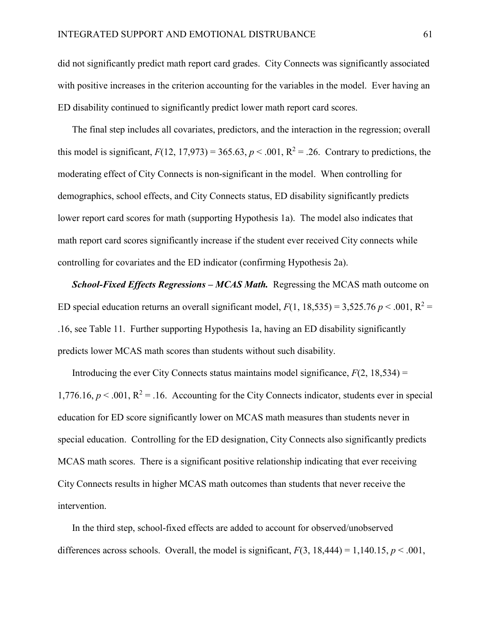did not significantly predict math report card grades. City Connects was significantly associated with positive increases in the criterion accounting for the variables in the model. Ever having an ED disability continued to significantly predict lower math report card scores.

The final step includes all covariates, predictors, and the interaction in the regression; overall this model is significant,  $F(12, 17, 973) = 365.63$ ,  $p < .001$ ,  $R^2 = .26$ . Contrary to predictions, the moderating effect of City Connects is non-significant in the model. When controlling for demographics, school effects, and City Connects status, ED disability significantly predicts lower report card scores for math (supporting Hypothesis 1a). The model also indicates that math report card scores significantly increase if the student ever received City connects while controlling for covariates and the ED indicator (confirming Hypothesis 2a).

*School-Fixed Effects Regressions – MCAS Math.* Regressing the MCAS math outcome on ED special education returns an overall significant model,  $F(1, 18, 535) = 3,525.76$   $p < .001$ ,  $R^2 =$ .16, see Table 11. Further supporting Hypothesis 1a, having an ED disability significantly predicts lower MCAS math scores than students without such disability.

Introducing the ever City Connects status maintains model significance,  $F(2, 18, 534) =$ 1,776.16,  $p < 0.001$ ,  $R^2 = 0.16$ . Accounting for the City Connects indicator, students ever in special education for ED score significantly lower on MCAS math measures than students never in special education. Controlling for the ED designation, City Connects also significantly predicts MCAS math scores. There is a significant positive relationship indicating that ever receiving City Connects results in higher MCAS math outcomes than students that never receive the intervention.

In the third step, school-fixed effects are added to account for observed/unobserved differences across schools. Overall, the model is significant,  $F(3, 18,444) = 1,140.15, p < .001$ ,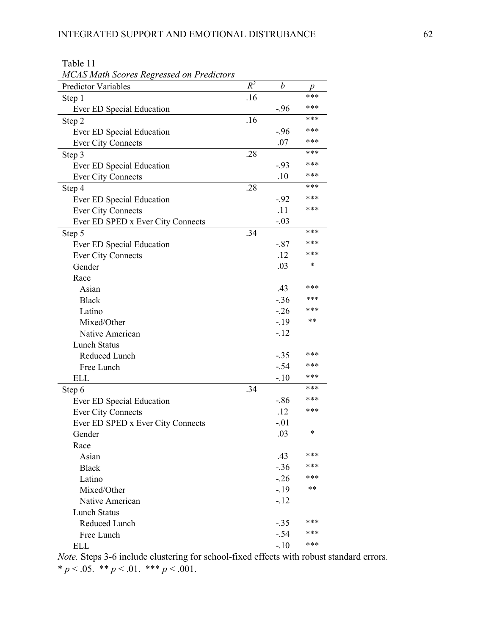| <b>MCAS Math Scores Regressed on Predictors</b> |       |                  |     |
|-------------------------------------------------|-------|------------------|-----|
| Predictor Variables                             | $R^2$ | $\boldsymbol{b}$ | p   |
| Step 1                                          | .16   |                  | *** |
| Ever ED Special Education                       |       | $-.96$           | *** |
| Step 2                                          | .16   |                  | *** |
| Ever ED Special Education                       |       | $-.96$           | *** |
| <b>Ever City Connects</b>                       |       | .07              | *** |
| Step 3                                          | .28   |                  | *** |
| Ever ED Special Education                       |       | $-.93$           | *** |
| <b>Ever City Connects</b>                       |       | .10              | *** |
| Step 4                                          | .28   |                  | *** |
| Ever ED Special Education                       |       | $-.92$           | *** |
| <b>Ever City Connects</b>                       |       | .11              | *** |
| Ever ED SPED x Ever City Connects               |       | $-.03$           |     |
| Step 5                                          | .34   |                  | *** |
| Ever ED Special Education                       |       | $-.87$           | *** |
| <b>Ever City Connects</b>                       |       | .12              | *** |
| Gender                                          |       | .03              | *   |
| Race                                            |       |                  |     |
| Asian                                           |       | .43              | *** |
| <b>Black</b>                                    |       | $-.36$           | *** |
| Latino                                          |       | $-26$            | *** |
| Mixed/Other                                     |       | $-19$            | **  |
| Native American                                 |       | $-12$            |     |
| <b>Lunch Status</b>                             |       |                  |     |
| Reduced Lunch                                   |       | $-.35$           | *** |
| Free Lunch                                      |       | $-.54$           | *** |
| <b>ELL</b>                                      |       | $-.10$           | *** |
| Step 6                                          | .34   |                  | *** |
| Ever ED Special Education                       |       | $-86$            | *** |
| <b>Ever City Connects</b>                       |       | .12              | *** |
| Ever ED SPED x Ever City Connects               |       | $-.01$           |     |
| Gender                                          |       | .03              | *   |
| Race                                            |       |                  |     |
| Asian                                           |       | .43              | *** |
| <b>Black</b>                                    |       | $-.36$           | *** |
| Latino                                          |       | $-26$            | *** |
| Mixed/Other                                     |       | $-19$            | **  |
| Native American                                 |       | $-.12$           |     |
| <b>Lunch Status</b>                             |       |                  |     |
| Reduced Lunch                                   |       | $-.35$           | *** |
| Free Lunch                                      |       | $-.54$           | *** |
| <b>ELL</b>                                      |       | $-.10$           | *** |

Table 11

*Note.* Steps 3-6 include clustering for school-fixed effects with robust standard errors. \*  $p < .05.$  \*\*  $p < .01.$  \*\*\*  $p < .001.$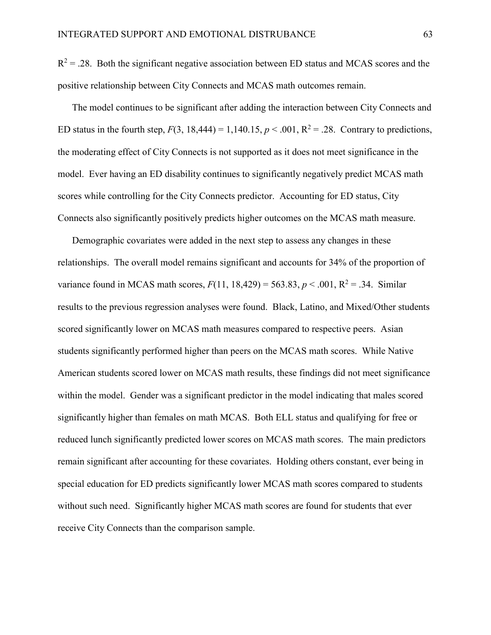$R^2 = .28$ . Both the significant negative association between ED status and MCAS scores and the positive relationship between City Connects and MCAS math outcomes remain.

The model continues to be significant after adding the interaction between City Connects and ED status in the fourth step,  $F(3, 18,444) = 1,140.15, p < .001, R^2 = .28$ . Contrary to predictions, the moderating effect of City Connects is not supported as it does not meet significance in the model. Ever having an ED disability continues to significantly negatively predict MCAS math scores while controlling for the City Connects predictor. Accounting for ED status, City Connects also significantly positively predicts higher outcomes on the MCAS math measure.

Demographic covariates were added in the next step to assess any changes in these relationships. The overall model remains significant and accounts for 34% of the proportion of variance found in MCAS math scores,  $F(11, 18,429) = 563.83$ ,  $p < .001$ ,  $R^2 = .34$ . Similar results to the previous regression analyses were found. Black, Latino, and Mixed/Other students scored significantly lower on MCAS math measures compared to respective peers. Asian students significantly performed higher than peers on the MCAS math scores. While Native American students scored lower on MCAS math results, these findings did not meet significance within the model. Gender was a significant predictor in the model indicating that males scored significantly higher than females on math MCAS. Both ELL status and qualifying for free or reduced lunch significantly predicted lower scores on MCAS math scores. The main predictors remain significant after accounting for these covariates. Holding others constant, ever being in special education for ED predicts significantly lower MCAS math scores compared to students without such need. Significantly higher MCAS math scores are found for students that ever receive City Connects than the comparison sample.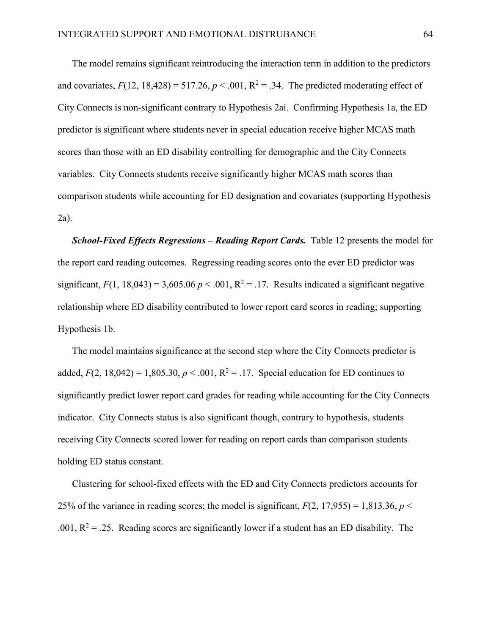The model remains significant reintroducing the interaction term in addition to the predictors and covariates,  $F(12, 18,428) = 517.26$ ,  $p < .001$ ,  $R^2 = .34$ . The predicted moderating effect of City Connects is non-significant contrary to Hypothesis 2ai. Confirming Hypothesis 1a, the ED predictor is significant where students never in special education receive higher MCAS math scores than those with an ED disability controlling for demographic and the City Connects variables. City Connects students receive significantly higher MCAS math scores than comparison students while accounting for ED designation and covariates (supporting Hypothesis 2a).

*School-Fixed Effects Regressions – Reading Report Cards.* Table 12 presents the model for the report card reading outcomes. Regressing reading scores onto the ever ED predictor was significant,  $F(1, 18,043) = 3,605.06 \, p \le 0.001$ ,  $R^2 = 0.17$ . Results indicated a significant negative relationship where ED disability contributed to lower report card scores in reading; supporting Hypothesis 1b.

The model maintains significance at the second step where the City Connects predictor is added,  $F(2, 18,042) = 1,805.30, p < .001, R^2 = .17$ . Special education for ED continues to significantly predict lower report card grades for reading while accounting for the City Connects indicator. City Connects status is also significant though, contrary to hypothesis, students receiving City Connects scored lower for reading on report cards than comparison students holding ED status constant.

Clustering for school-fixed effects with the ED and City Connects predictors accounts for 25% of the variance in reading scores; the model is significant,  $F(2, 17, 955) = 1,813.36$ ,  $p <$ .001,  $R^2 = 0.25$ . Reading scores are significantly lower if a student has an ED disability. The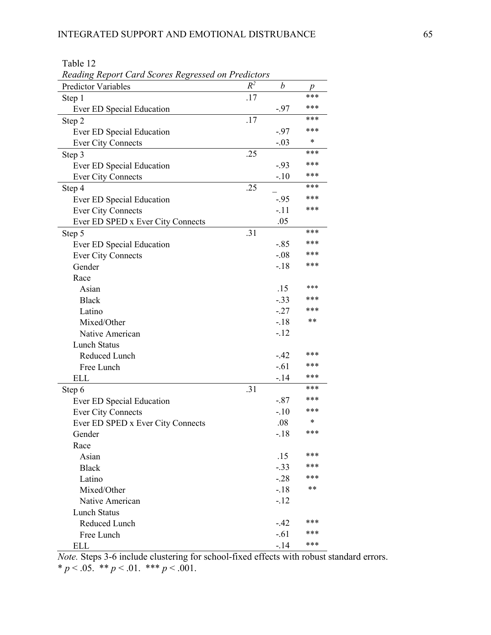Table 12

| Reading Report Card Scores Regressed on Predictors |       |         |     |  |  |
|----------------------------------------------------|-------|---------|-----|--|--|
| <b>Predictor Variables</b>                         | $R^2$ | b       | p   |  |  |
| Step 1                                             | .17   |         | *** |  |  |
| Ever ED Special Education                          |       | $-97$   | *** |  |  |
| Step 2                                             | .17   |         | *** |  |  |
| Ever ED Special Education                          |       | $-97$   | *** |  |  |
| <b>Ever City Connects</b>                          |       | $-.03$  | *   |  |  |
| Step 3                                             | .25   |         | *** |  |  |
| Ever ED Special Education                          |       | $-.93$  | *** |  |  |
| <b>Ever City Connects</b>                          |       | $-.10$  | *** |  |  |
| Step 4                                             | .25   |         | *** |  |  |
| Ever ED Special Education                          |       | $-.95$  | *** |  |  |
| <b>Ever City Connects</b>                          |       | $-.11$  | *** |  |  |
| Ever ED SPED x Ever City Connects                  |       | .05     |     |  |  |
| Step 5                                             | .31   |         | *** |  |  |
| Ever ED Special Education                          |       | $-.85$  | *** |  |  |
| <b>Ever City Connects</b>                          |       | $-.08$  | *** |  |  |
| Gender                                             |       | $-18$   | *** |  |  |
| Race                                               |       |         |     |  |  |
| Asian                                              |       | .15     | *** |  |  |
| <b>Black</b>                                       |       | $-.33$  | *** |  |  |
| Latino                                             |       | $-27$   | *** |  |  |
| Mixed/Other                                        |       | $-18$   | **  |  |  |
| Native American                                    |       | $-12$   |     |  |  |
| <b>Lunch Status</b>                                |       |         |     |  |  |
| Reduced Lunch                                      |       | $-42$   | *** |  |  |
| Free Lunch                                         |       | $-.61$  | *** |  |  |
| <b>ELL</b>                                         |       | $-14$   | *** |  |  |
| Step 6                                             | .31   |         | *** |  |  |
| Ever ED Special Education                          |       | $-.87$  | *** |  |  |
| <b>Ever City Connects</b>                          |       | $-.10$  | *** |  |  |
| Ever ED SPED x Ever City Connects                  |       | .08     | *   |  |  |
| Gender                                             |       | $-18$   | *** |  |  |
| Race                                               |       |         |     |  |  |
| Asian                                              |       | .15     | *** |  |  |
| <b>Black</b>                                       |       | $-0.33$ | *** |  |  |
| Latino                                             |       | $-.28$  | *** |  |  |
| Mixed/Other                                        |       | $-.18$  | **  |  |  |
| Native American                                    |       | $-.12$  |     |  |  |
| <b>Lunch Status</b>                                |       |         |     |  |  |
| Reduced Lunch                                      |       | $-.42$  | *** |  |  |
| Free Lunch                                         |       | $-.61$  | *** |  |  |
| <b>ELL</b>                                         |       | $-14$   | *** |  |  |

*Note.* Steps 3-6 include clustering for school-fixed effects with robust standard errors. \*  $p < .05.$  \*\*  $p < .01.$  \*\*\*  $p < .001.$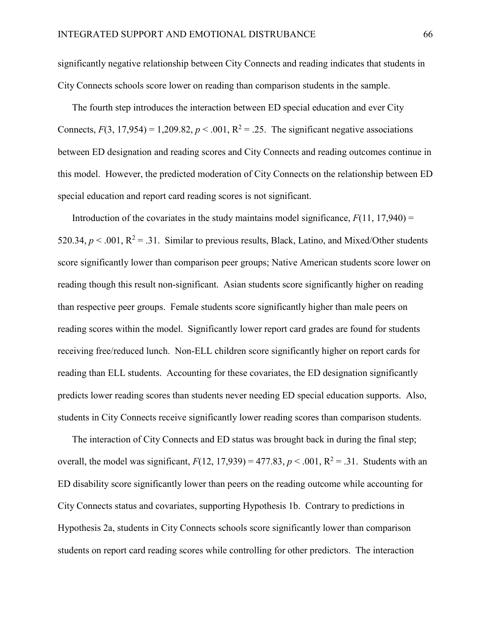significantly negative relationship between City Connects and reading indicates that students in City Connects schools score lower on reading than comparison students in the sample.

The fourth step introduces the interaction between ED special education and ever City Connects,  $F(3, 17, 954) = 1,209.82$ ,  $p < .001$ ,  $R^2 = .25$ . The significant negative associations between ED designation and reading scores and City Connects and reading outcomes continue in this model. However, the predicted moderation of City Connects on the relationship between ED special education and report card reading scores is not significant.

Introduction of the covariates in the study maintains model significance,  $F(11, 17,940) =$ 520.34,  $p < .001$ ,  $R^2 = .31$ . Similar to previous results, Black, Latino, and Mixed/Other students score significantly lower than comparison peer groups; Native American students score lower on reading though this result non-significant. Asian students score significantly higher on reading than respective peer groups. Female students score significantly higher than male peers on reading scores within the model. Significantly lower report card grades are found for students receiving free/reduced lunch. Non-ELL children score significantly higher on report cards for reading than ELL students. Accounting for these covariates, the ED designation significantly predicts lower reading scores than students never needing ED special education supports. Also, students in City Connects receive significantly lower reading scores than comparison students.

The interaction of City Connects and ED status was brought back in during the final step; overall, the model was significant,  $F(12, 17, 939) = 477.83$ ,  $p < .001$ ,  $R^2 = .31$ . Students with an ED disability score significantly lower than peers on the reading outcome while accounting for City Connects status and covariates, supporting Hypothesis 1b. Contrary to predictions in Hypothesis 2a, students in City Connects schools score significantly lower than comparison students on report card reading scores while controlling for other predictors. The interaction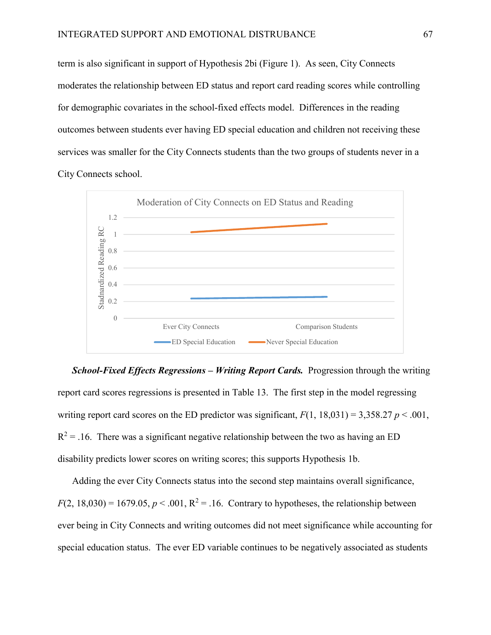term is also significant in support of Hypothesis 2bi (Figure 1). As seen, City Connects moderates the relationship between ED status and report card reading scores while controlling for demographic covariates in the school-fixed effects model. Differences in the reading outcomes between students ever having ED special education and children not receiving these services was smaller for the City Connects students than the two groups of students never in a City Connects school.



*School-Fixed Effects Regressions – Writing Report Cards.* Progression through the writing report card scores regressions is presented in Table 13. The first step in the model regressing writing report card scores on the ED predictor was significant,  $F(1, 18,031) = 3,358.27 \, p \le 0.001$ ,  $R^2$  = .16. There was a significant negative relationship between the two as having an ED disability predicts lower scores on writing scores; this supports Hypothesis 1b.

Adding the ever City Connects status into the second step maintains overall significance,  $F(2, 18,030) = 1679.05$ ,  $p < .001$ ,  $R^2 = .16$ . Contrary to hypotheses, the relationship between ever being in City Connects and writing outcomes did not meet significance while accounting for special education status. The ever ED variable continues to be negatively associated as students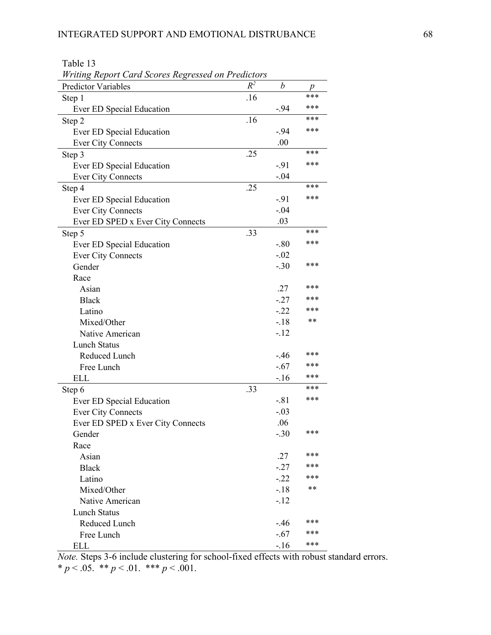| Writing Report Card Scores Regressed on Predictors |       |                  |     |
|----------------------------------------------------|-------|------------------|-----|
| <b>Predictor Variables</b>                         | $R^2$ | $\boldsymbol{b}$ | p   |
| Step 1                                             | .16   |                  | *** |
| Ever ED Special Education                          |       | $-.94$           | *** |
| Step 2                                             | .16   |                  | *** |
| Ever ED Special Education                          |       | $-.94$           | *** |
| <b>Ever City Connects</b>                          |       | .00              |     |
| Step 3                                             | .25   |                  | *** |
| Ever ED Special Education                          |       | $-91$            | *** |
| <b>Ever City Connects</b>                          |       | $-.04$           |     |
| Step 4                                             | .25   |                  | *** |
| Ever ED Special Education                          |       | $-91$            | *** |
| <b>Ever City Connects</b>                          |       | $-.04$           |     |
| Ever ED SPED x Ever City Connects                  |       | .03              |     |
| Step 5                                             | .33   |                  | *** |
| Ever ED Special Education                          |       | $-.80$           | *** |
| <b>Ever City Connects</b>                          |       | $-.02$           |     |
| Gender                                             |       | $-.30$           | *** |
| Race                                               |       |                  |     |
| Asian                                              |       | .27              | *** |
| <b>Black</b>                                       |       | $-27$            | *** |
| Latino                                             |       | $-.22$           | *** |
| Mixed/Other                                        |       | $-18$            | **  |
| Native American                                    |       | $-12$            |     |
| <b>Lunch Status</b>                                |       |                  |     |
| Reduced Lunch                                      |       | $-.46$           | *** |
| Free Lunch                                         |       | $-.67$           | *** |
| <b>ELL</b>                                         |       | $-16$            | *** |
| Step 6                                             | .33   |                  | *** |
| Ever ED Special Education                          |       | $-.81$           | *** |
| <b>Ever City Connects</b>                          |       | $-.03$           |     |
| Ever ED SPED x Ever City Connects                  |       | .06              |     |
| Gender                                             |       | $-.30$           | *** |
| Race                                               |       |                  |     |
| Asian                                              |       | .27              | *** |
| <b>Black</b>                                       |       | $-27$            | *** |
| Latino                                             |       | $-.22$           | *** |
| Mixed/Other                                        |       | $-18$            | **  |
| Native American                                    |       | $-12$            |     |
| <b>Lunch Status</b>                                |       |                  |     |
| Reduced Lunch                                      |       | $-.46$           | *** |
| Free Lunch                                         |       | $-.67$           | *** |
| <b>ELL</b>                                         |       | $-16$            | *** |

Table 13 *Writing Report Card Scores Regressed on Predictors*

*Note.* Steps 3-6 include clustering for school-fixed effects with robust standard errors. \*  $p < .05.$  \*\*  $p < .01.$  \*\*\*  $p < .001.$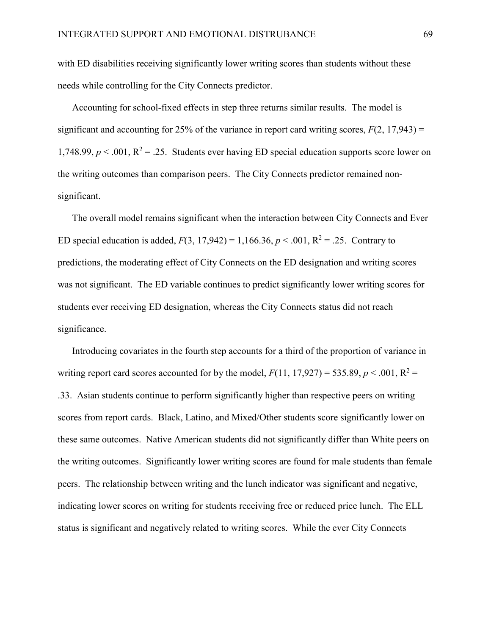with ED disabilities receiving significantly lower writing scores than students without these needs while controlling for the City Connects predictor.

Accounting for school-fixed effects in step three returns similar results. The model is significant and accounting for 25% of the variance in report card writing scores,  $F(2, 17, 943) =$ 1,748.99,  $p < 0.001$ ,  $R^2 = 0.25$ . Students ever having ED special education supports score lower on the writing outcomes than comparison peers. The City Connects predictor remained nonsignificant.

The overall model remains significant when the interaction between City Connects and Ever ED special education is added,  $F(3, 17,942) = 1,166.36, p < .001, R^2 = .25$ . Contrary to predictions, the moderating effect of City Connects on the ED designation and writing scores was not significant. The ED variable continues to predict significantly lower writing scores for students ever receiving ED designation, whereas the City Connects status did not reach significance.

Introducing covariates in the fourth step accounts for a third of the proportion of variance in writing report card scores accounted for by the model,  $F(11, 17, 927) = 535.89$ ,  $p < .001$ ,  $R^2 =$ .33. Asian students continue to perform significantly higher than respective peers on writing scores from report cards. Black, Latino, and Mixed/Other students score significantly lower on these same outcomes. Native American students did not significantly differ than White peers on the writing outcomes. Significantly lower writing scores are found for male students than female peers. The relationship between writing and the lunch indicator was significant and negative, indicating lower scores on writing for students receiving free or reduced price lunch. The ELL status is significant and negatively related to writing scores. While the ever City Connects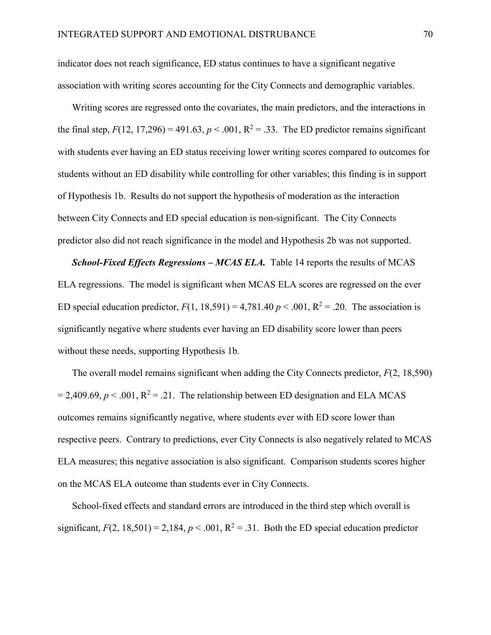indicator does not reach significance, ED status continues to have a significant negative association with writing scores accounting for the City Connects and demographic variables.

Writing scores are regressed onto the covariates, the main predictors, and the interactions in the final step,  $F(12, 17,296) = 491.63$ ,  $p < .001$ ,  $R^2 = .33$ . The ED predictor remains significant with students ever having an ED status receiving lower writing scores compared to outcomes for students without an ED disability while controlling for other variables; this finding is in support of Hypothesis 1b. Results do not support the hypothesis of moderation as the interaction between City Connects and ED special education is non-significant. The City Connects predictor also did not reach significance in the model and Hypothesis 2b was not supported.

*School-Fixed Effects Regressions – MCAS ELA.* Table 14 reports the results of MCAS ELA regressions. The model is significant when MCAS ELA scores are regressed on the ever ED special education predictor,  $F(1, 18,591) = 4,781.40 \, p \le 0.001$ ,  $R^2 = 0.20$ . The association is significantly negative where students ever having an ED disability score lower than peers without these needs, supporting Hypothesis 1b.

The overall model remains significant when adding the City Connects predictor, *F*(2, 18,590)  $= 2,409.69, p < .001, R<sup>2</sup> = .21$ . The relationship between ED designation and ELA MCAS outcomes remains significantly negative, where students ever with ED score lower than respective peers. Contrary to predictions, ever City Connects is also negatively related to MCAS ELA measures; this negative association is also significant. Comparison students scores higher on the MCAS ELA outcome than students ever in City Connects.

School-fixed effects and standard errors are introduced in the third step which overall is significant,  $F(2, 18, 501) = 2,184$ ,  $p < .001$ ,  $R^2 = .31$ . Both the ED special education predictor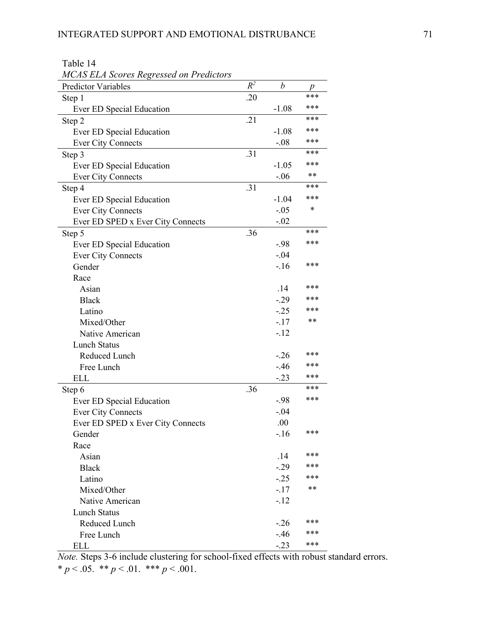| <b>MCAS ELA Scores Regressed on Predictors</b> |       |                  |     |
|------------------------------------------------|-------|------------------|-----|
| <b>Predictor Variables</b>                     | $R^2$ | $\boldsymbol{b}$ | p   |
| Step 1                                         | .20   |                  | *** |
| Ever ED Special Education                      |       | $-1.08$          | *** |
| Step 2                                         | .21   |                  | *** |
| Ever ED Special Education                      |       | $-1.08$          | *** |
| <b>Ever City Connects</b>                      |       | $-.08$           | *** |
| Step 3                                         | .31   |                  | *** |
| Ever ED Special Education                      |       | $-1.05$          | *** |
| <b>Ever City Connects</b>                      |       | $-.06$           | **  |
| Step 4                                         | .31   |                  | *** |
| Ever ED Special Education                      |       | $-1.04$          | *** |
| <b>Ever City Connects</b>                      |       | $-.05$           | *   |
| Ever ED SPED x Ever City Connects              |       | $-.02$           |     |
| Step 5                                         | .36   |                  | *** |
| Ever ED Special Education                      |       | $-98$            | *** |
| <b>Ever City Connects</b>                      |       | $-.04$           |     |
| Gender                                         |       | $-16$            | *** |
| Race                                           |       |                  |     |
| Asian                                          |       | .14              | *** |
| <b>Black</b>                                   |       | $-.29$           | *** |
| Latino                                         |       | $-.25$           | *** |
| Mixed/Other                                    |       | $-17$            | **  |
| Native American                                |       | $-12$            |     |
| <b>Lunch Status</b>                            |       |                  |     |
| Reduced Lunch                                  |       | $-.26$           | *** |
| Free Lunch                                     |       | $-46$            | *** |
| <b>ELL</b>                                     |       | $-.23$           | *** |
| Step 6                                         | .36   |                  | *** |
| Ever ED Special Education                      |       | $-.98$           | *** |
| <b>Ever City Connects</b>                      |       | $-.04$           |     |
| Ever ED SPED x Ever City Connects              |       | .00              |     |
| Gender                                         |       | $-16$            | *** |
| Race                                           |       |                  |     |
| Asian                                          |       | .14              | *** |
| <b>Black</b>                                   |       | $-.29$           | *** |
| Latino                                         |       | $-25$            | *** |
| Mixed/Other                                    |       | $-17$            | **  |
| Native American                                |       | $-12$            |     |
| <b>Lunch Status</b>                            |       |                  |     |
| Reduced Lunch                                  |       | $-26$            | *** |
| Free Lunch                                     |       | $-46$            | *** |
| <b>ELL</b>                                     |       | $-.23$           | *** |

Table 14

*Note.* Steps 3-6 include clustering for school-fixed effects with robust standard errors. \*  $p < .05.$  \*\*  $p < .01.$  \*\*\*  $p < .001.$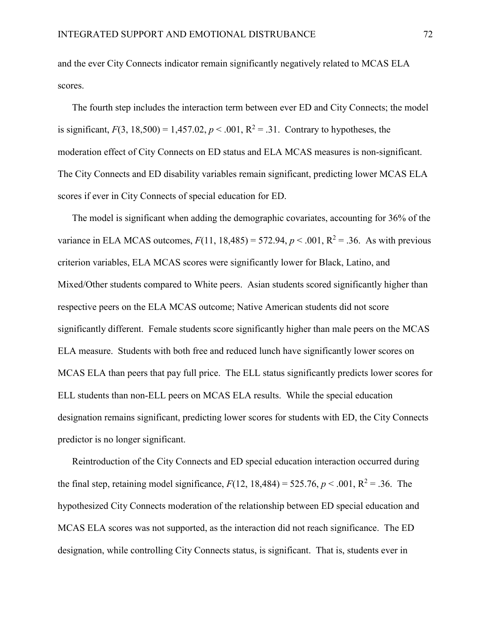and the ever City Connects indicator remain significantly negatively related to MCAS ELA scores.

The fourth step includes the interaction term between ever ED and City Connects; the model is significant,  $F(3, 18,500) = 1,457.02, p < .001, R^2 = .31$ . Contrary to hypotheses, the moderation effect of City Connects on ED status and ELA MCAS measures is non-significant. The City Connects and ED disability variables remain significant, predicting lower MCAS ELA scores if ever in City Connects of special education for ED.

The model is significant when adding the demographic covariates, accounting for 36% of the variance in ELA MCAS outcomes,  $F(11, 18,485) = 572.94$ ,  $p < .001$ ,  $R^2 = .36$ . As with previous criterion variables, ELA MCAS scores were significantly lower for Black, Latino, and Mixed/Other students compared to White peers. Asian students scored significantly higher than respective peers on the ELA MCAS outcome; Native American students did not score significantly different. Female students score significantly higher than male peers on the MCAS ELA measure. Students with both free and reduced lunch have significantly lower scores on MCAS ELA than peers that pay full price. The ELL status significantly predicts lower scores for ELL students than non-ELL peers on MCAS ELA results. While the special education designation remains significant, predicting lower scores for students with ED, the City Connects predictor is no longer significant.

Reintroduction of the City Connects and ED special education interaction occurred during the final step, retaining model significance,  $F(12, 18,484) = 525.76$ ,  $p < .001$ ,  $R^2 = .36$ . The hypothesized City Connects moderation of the relationship between ED special education and MCAS ELA scores was not supported, as the interaction did not reach significance. The ED designation, while controlling City Connects status, is significant. That is, students ever in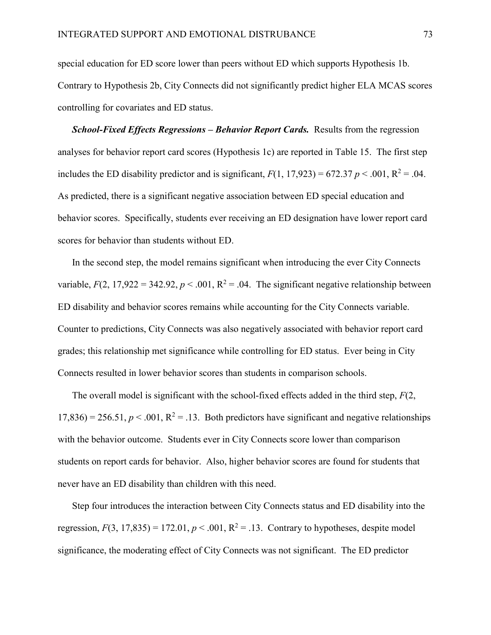special education for ED score lower than peers without ED which supports Hypothesis 1b. Contrary to Hypothesis 2b, City Connects did not significantly predict higher ELA MCAS scores controlling for covariates and ED status.

*School-Fixed Effects Regressions – Behavior Report Cards.* Results from the regression analyses for behavior report card scores (Hypothesis 1c) are reported in Table 15. The first step includes the ED disability predictor and is significant,  $F(1, 17.923) = 672.37 p < .001$ ,  $R^2 = .04$ . As predicted, there is a significant negative association between ED special education and behavior scores. Specifically, students ever receiving an ED designation have lower report card scores for behavior than students without ED.

In the second step, the model remains significant when introducing the ever City Connects variable,  $F(2, 17,922 = 342.92, p < .001, R^2 = .04$ . The significant negative relationship between ED disability and behavior scores remains while accounting for the City Connects variable. Counter to predictions, City Connects was also negatively associated with behavior report card grades; this relationship met significance while controlling for ED status. Ever being in City Connects resulted in lower behavior scores than students in comparison schools.

The overall model is significant with the school-fixed effects added in the third step, *F*(2,  $17,836$ ) = 256.51,  $p < .001$ ,  $R^2 = .13$ . Both predictors have significant and negative relationships with the behavior outcome. Students ever in City Connects score lower than comparison students on report cards for behavior. Also, higher behavior scores are found for students that never have an ED disability than children with this need.

Step four introduces the interaction between City Connects status and ED disability into the regression,  $F(3, 17,835) = 172.01$ ,  $p < .001$ ,  $R^2 = .13$ . Contrary to hypotheses, despite model significance, the moderating effect of City Connects was not significant. The ED predictor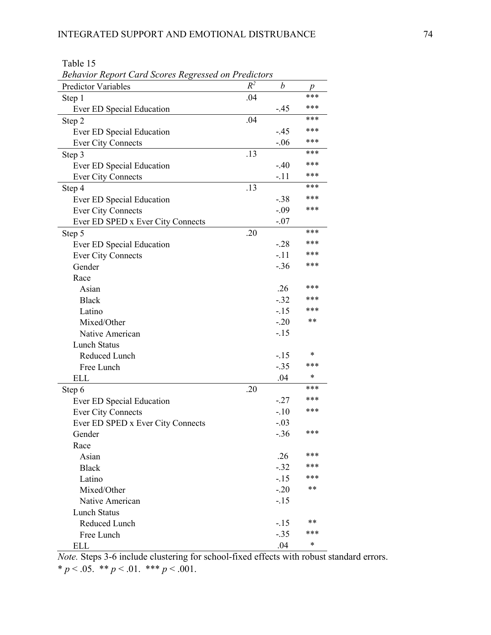Table 15

| <b>Behavior Report Card Scores Regressed on Predictors</b> |       |        |     |  |  |  |
|------------------------------------------------------------|-------|--------|-----|--|--|--|
| <b>Predictor Variables</b>                                 | $R^2$ | b      | p   |  |  |  |
| Step 1                                                     | .04   |        | *** |  |  |  |
| Ever ED Special Education                                  |       | -.45   | *** |  |  |  |
| Step 2                                                     | .04   |        | *** |  |  |  |
| Ever ED Special Education                                  |       | $-.45$ | *** |  |  |  |
| <b>Ever City Connects</b>                                  |       | $-.06$ | *** |  |  |  |
| Step 3                                                     | .13   |        | *** |  |  |  |
| Ever ED Special Education                                  |       | $-.40$ | *** |  |  |  |
| <b>Ever City Connects</b>                                  |       | -.11   | *** |  |  |  |
| Step 4                                                     | .13   |        | *** |  |  |  |
| Ever ED Special Education                                  |       | $-.38$ | *** |  |  |  |
| <b>Ever City Connects</b>                                  |       | $-.09$ | *** |  |  |  |
| Ever ED SPED x Ever City Connects                          |       | $-.07$ |     |  |  |  |
| Step 5                                                     | .20   |        | *** |  |  |  |
| Ever ED Special Education                                  |       | $-28$  | *** |  |  |  |
| <b>Ever City Connects</b>                                  |       | $-.11$ | *** |  |  |  |
| Gender                                                     |       | $-.36$ | *** |  |  |  |
| Race                                                       |       |        |     |  |  |  |
| Asian                                                      |       | .26    | *** |  |  |  |
| <b>Black</b>                                               |       | $-.32$ | *** |  |  |  |
| Latino                                                     |       | $-15$  | *** |  |  |  |
| Mixed/Other                                                |       | $-.20$ | **  |  |  |  |
| Native American                                            |       | $-15$  |     |  |  |  |
| <b>Lunch Status</b>                                        |       |        |     |  |  |  |
| Reduced Lunch                                              |       | $-.15$ | *   |  |  |  |
| Free Lunch                                                 |       | $-.35$ | *** |  |  |  |
| <b>ELL</b>                                                 |       | .04    | *   |  |  |  |
| Step 6                                                     | .20   |        | *** |  |  |  |
| Ever ED Special Education                                  |       | $-27$  | *** |  |  |  |
| <b>Ever City Connects</b>                                  |       | $-.10$ | *** |  |  |  |
| Ever ED SPED x Ever City Connects                          |       | $-.03$ |     |  |  |  |
| Gender                                                     |       | $-.36$ | *** |  |  |  |
| Race                                                       |       |        |     |  |  |  |
| Asian                                                      |       | .26    | *** |  |  |  |
| <b>Black</b>                                               |       | $-.32$ | *** |  |  |  |
| Latino                                                     |       | $-15$  | *** |  |  |  |
| Mixed/Other                                                |       | $-20$  | **  |  |  |  |
| Native American                                            |       | $-.15$ |     |  |  |  |
| <b>Lunch Status</b>                                        |       |        |     |  |  |  |
| Reduced Lunch                                              |       | $-.15$ | **  |  |  |  |
| Free Lunch                                                 |       | $-.35$ | *** |  |  |  |
| <b>ELL</b>                                                 |       | .04    | *   |  |  |  |

*Note.* Steps 3-6 include clustering for school-fixed effects with robust standard errors. \*  $p < .05.$  \*\*  $p < .01.$  \*\*\*  $p < .001.$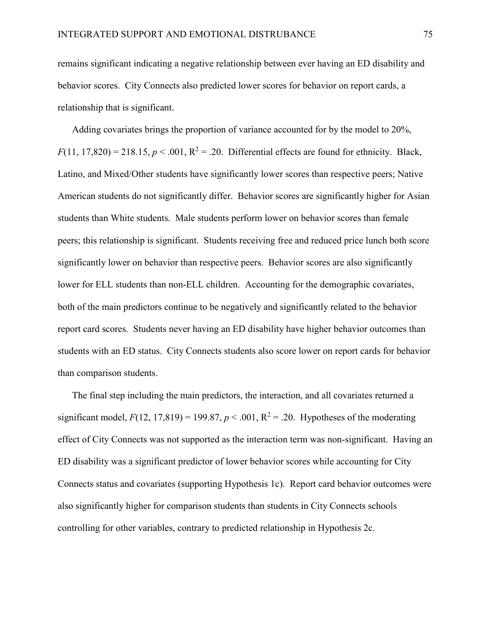remains significant indicating a negative relationship between ever having an ED disability and behavior scores. City Connects also predicted lower scores for behavior on report cards, a relationship that is significant.

Adding covariates brings the proportion of variance accounted for by the model to 20%,  $F(11, 17,820) = 218.15$ ,  $p < .001$ ,  $R^2 = .20$ . Differential effects are found for ethnicity. Black, Latino, and Mixed/Other students have significantly lower scores than respective peers; Native American students do not significantly differ. Behavior scores are significantly higher for Asian students than White students. Male students perform lower on behavior scores than female peers; this relationship is significant. Students receiving free and reduced price lunch both score significantly lower on behavior than respective peers. Behavior scores are also significantly lower for ELL students than non-ELL children. Accounting for the demographic covariates, both of the main predictors continue to be negatively and significantly related to the behavior report card scores. Students never having an ED disability have higher behavior outcomes than students with an ED status. City Connects students also score lower on report cards for behavior than comparison students.

The final step including the main predictors, the interaction, and all covariates returned a significant model,  $F(12, 17,819) = 199.87, p < .001, R^2 = .20$ . Hypotheses of the moderating effect of City Connects was not supported as the interaction term was non-significant. Having an ED disability was a significant predictor of lower behavior scores while accounting for City Connects status and covariates (supporting Hypothesis 1c). Report card behavior outcomes were also significantly higher for comparison students than students in City Connects schools controlling for other variables, contrary to predicted relationship in Hypothesis 2c.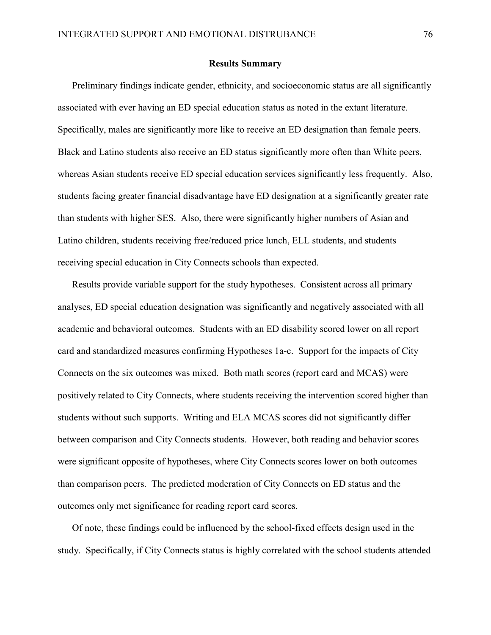### Results Summary

Preliminary findings indicate gender, ethnicity, and socioeconomic status are all significantly associated with ever having an ED special education status as noted in the extant literature. Specifically, males are significantly more like to receive an ED designation than female peers. Black and Latino students also receive an ED status significantly more often than White peers, whereas Asian students receive ED special education services significantly less frequently. Also, students facing greater financial disadvantage have ED designation at a significantly greater rate than students with higher SES. Also, there were significantly higher numbers of Asian and Latino children, students receiving free/reduced price lunch, ELL students, and students receiving special education in City Connects schools than expected.

Results provide variable support for the study hypotheses. Consistent across all primary analyses, ED special education designation was significantly and negatively associated with all academic and behavioral outcomes. Students with an ED disability scored lower on all report card and standardized measures confirming Hypotheses 1a-c. Support for the impacts of City Connects on the six outcomes was mixed. Both math scores (report card and MCAS) were positively related to City Connects, where students receiving the intervention scored higher than students without such supports. Writing and ELA MCAS scores did not significantly differ between comparison and City Connects students. However, both reading and behavior scores were significant opposite of hypotheses, where City Connects scores lower on both outcomes than comparison peers. The predicted moderation of City Connects on ED status and the outcomes only met significance for reading report card scores.

Of note, these findings could be influenced by the school-fixed effects design used in the study. Specifically, if City Connects status is highly correlated with the school students attended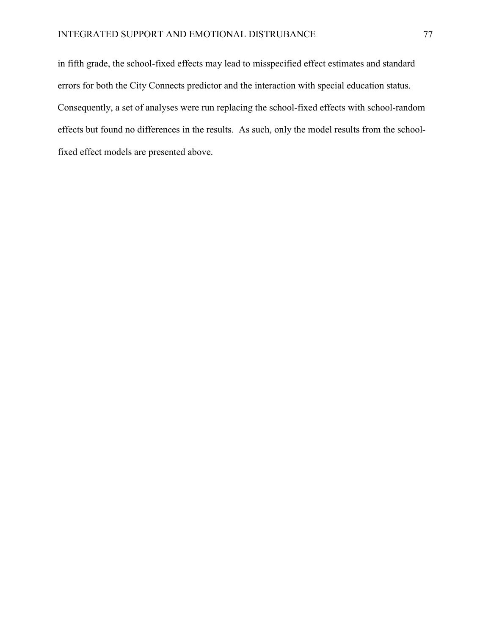in fifth grade, the school-fixed effects may lead to misspecified effect estimates and standard errors for both the City Connects predictor and the interaction with special education status. Consequently, a set of analyses were run replacing the school-fixed effects with school-random effects but found no differences in the results. As such, only the model results from the schoolfixed effect models are presented above.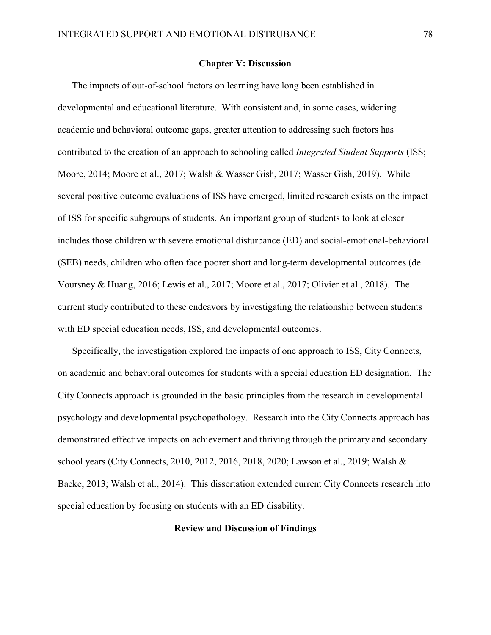### Chapter V: Discussion

The impacts of out-of-school factors on learning have long been established in developmental and educational literature. With consistent and, in some cases, widening academic and behavioral outcome gaps, greater attention to addressing such factors has contributed to the creation of an approach to schooling called *Integrated Student Supports* (ISS; Moore, 2014; Moore et al., 2017; Walsh & Wasser Gish, 2017; Wasser Gish, 2019). While several positive outcome evaluations of ISS have emerged, limited research exists on the impact of ISS for specific subgroups of students. An important group of students to look at closer includes those children with severe emotional disturbance (ED) and social-emotional-behavioral (SEB) needs, children who often face poorer short and long-term developmental outcomes (de Voursney & Huang, 2016; Lewis et al., 2017; Moore et al., 2017; Olivier et al., 2018). The current study contributed to these endeavors by investigating the relationship between students with ED special education needs, ISS, and developmental outcomes.

Specifically, the investigation explored the impacts of one approach to ISS, City Connects, on academic and behavioral outcomes for students with a special education ED designation. The City Connects approach is grounded in the basic principles from the research in developmental psychology and developmental psychopathology. Research into the City Connects approach has demonstrated effective impacts on achievement and thriving through the primary and secondary school years (City Connects, 2010, 2012, 2016, 2018, 2020; Lawson et al., 2019; Walsh & Backe, 2013; Walsh et al., 2014). This dissertation extended current City Connects research into special education by focusing on students with an ED disability.

# Review and Discussion of Findings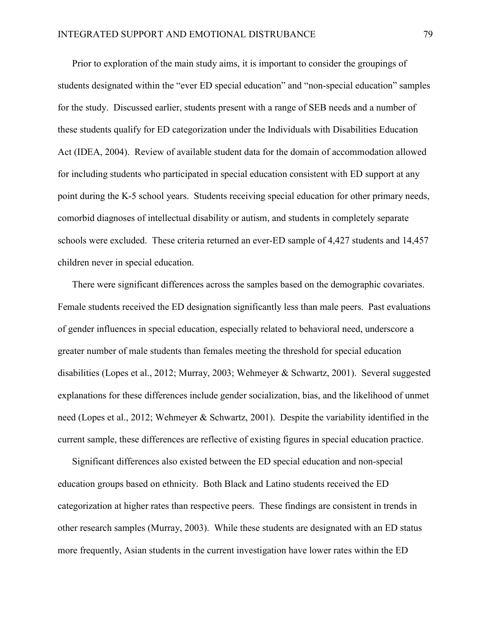Prior to exploration of the main study aims, it is important to consider the groupings of students designated within the "ever ED special education" and "non-special education" samples for the study. Discussed earlier, students present with a range of SEB needs and a number of these students qualify for ED categorization under the Individuals with Disabilities Education Act (IDEA, 2004). Review of available student data for the domain of accommodation allowed for including students who participated in special education consistent with ED support at any point during the K-5 school years. Students receiving special education for other primary needs, comorbid diagnoses of intellectual disability or autism, and students in completely separate schools were excluded. These criteria returned an ever-ED sample of 4,427 students and 14,457 children never in special education.

There were significant differences across the samples based on the demographic covariates. Female students received the ED designation significantly less than male peers. Past evaluations of gender influences in special education, especially related to behavioral need, underscore a greater number of male students than females meeting the threshold for special education disabilities (Lopes et al., 2012; Murray, 2003; Wehmeyer & Schwartz, 2001). Several suggested explanations for these differences include gender socialization, bias, and the likelihood of unmet need (Lopes et al., 2012; Wehmeyer & Schwartz, 2001). Despite the variability identified in the current sample, these differences are reflective of existing figures in special education practice.

Significant differences also existed between the ED special education and non-special education groups based on ethnicity. Both Black and Latino students received the ED categorization at higher rates than respective peers. These findings are consistent in trends in other research samples (Murray, 2003). While these students are designated with an ED status more frequently, Asian students in the current investigation have lower rates within the ED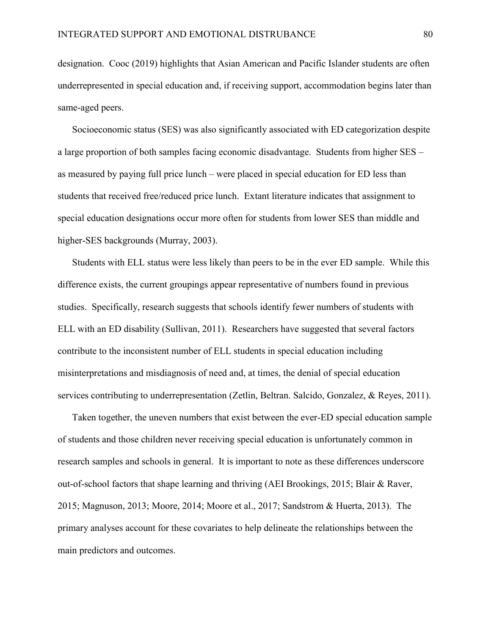designation. Cooc (2019) highlights that Asian American and Pacific Islander students are often underrepresented in special education and, if receiving support, accommodation begins later than same-aged peers.

Socioeconomic status (SES) was also significantly associated with ED categorization despite a large proportion of both samples facing economic disadvantage. Students from higher SES – as measured by paying full price lunch – were placed in special education for ED less than students that received free/reduced price lunch. Extant literature indicates that assignment to special education designations occur more often for students from lower SES than middle and higher-SES backgrounds (Murray, 2003).

Students with ELL status were less likely than peers to be in the ever ED sample. While this difference exists, the current groupings appear representative of numbers found in previous studies. Specifically, research suggests that schools identify fewer numbers of students with ELL with an ED disability (Sullivan, 2011). Researchers have suggested that several factors contribute to the inconsistent number of ELL students in special education including misinterpretations and misdiagnosis of need and, at times, the denial of special education services contributing to underrepresentation (Zetlin, Beltran. Salcido, Gonzalez, & Reyes, 2011).

Taken together, the uneven numbers that exist between the ever-ED special education sample of students and those children never receiving special education is unfortunately common in research samples and schools in general. It is important to note as these differences underscore out-of-school factors that shape learning and thriving (AEI Brookings, 2015; Blair & Raver, 2015; Magnuson, 2013; Moore, 2014; Moore et al., 2017; Sandstrom & Huerta, 2013). The primary analyses account for these covariates to help delineate the relationships between the main predictors and outcomes.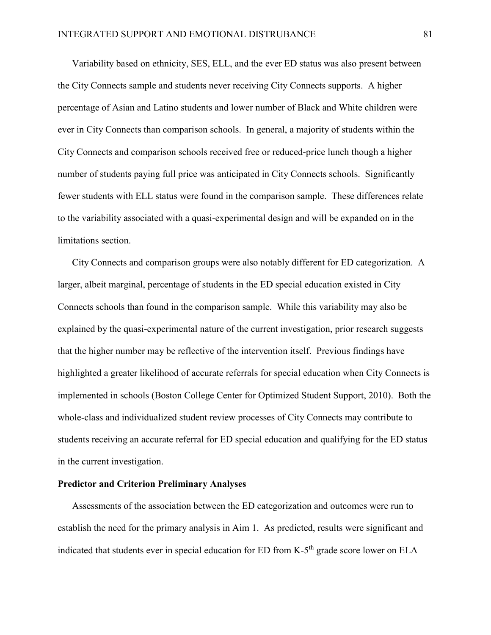Variability based on ethnicity, SES, ELL, and the ever ED status was also present between the City Connects sample and students never receiving City Connects supports. A higher percentage of Asian and Latino students and lower number of Black and White children were ever in City Connects than comparison schools. In general, a majority of students within the City Connects and comparison schools received free or reduced-price lunch though a higher number of students paying full price was anticipated in City Connects schools. Significantly fewer students with ELL status were found in the comparison sample. These differences relate to the variability associated with a quasi-experimental design and will be expanded on in the limitations section.

City Connects and comparison groups were also notably different for ED categorization. A larger, albeit marginal, percentage of students in the ED special education existed in City Connects schools than found in the comparison sample. While this variability may also be explained by the quasi-experimental nature of the current investigation, prior research suggests that the higher number may be reflective of the intervention itself. Previous findings have highlighted a greater likelihood of accurate referrals for special education when City Connects is implemented in schools (Boston College Center for Optimized Student Support, 2010). Both the whole-class and individualized student review processes of City Connects may contribute to students receiving an accurate referral for ED special education and qualifying for the ED status in the current investigation.

# Predictor and Criterion Preliminary Analyses

Assessments of the association between the ED categorization and outcomes were run to establish the need for the primary analysis in Aim 1. As predicted, results were significant and indicated that students ever in special education for ED from K-5<sup>th</sup> grade score lower on ELA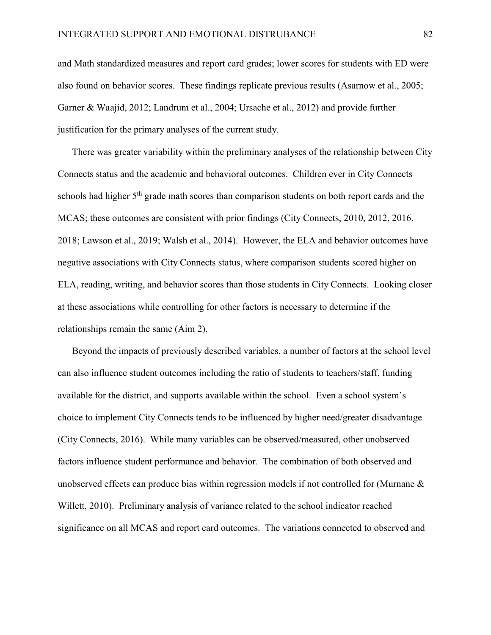and Math standardized measures and report card grades; lower scores for students with ED were also found on behavior scores. These findings replicate previous results (Asarnow et al., 2005; Garner & Waajid, 2012; Landrum et al., 2004; Ursache et al., 2012) and provide further justification for the primary analyses of the current study.

There was greater variability within the preliminary analyses of the relationship between City Connects status and the academic and behavioral outcomes. Children ever in City Connects schools had higher 5<sup>th</sup> grade math scores than comparison students on both report cards and the MCAS; these outcomes are consistent with prior findings (City Connects, 2010, 2012, 2016, 2018; Lawson et al., 2019; Walsh et al., 2014). However, the ELA and behavior outcomes have negative associations with City Connects status, where comparison students scored higher on ELA, reading, writing, and behavior scores than those students in City Connects. Looking closer at these associations while controlling for other factors is necessary to determine if the relationships remain the same (Aim 2).

Beyond the impacts of previously described variables, a number of factors at the school level can also influence student outcomes including the ratio of students to teachers/staff, funding available for the district, and supports available within the school. Even a school system's choice to implement City Connects tends to be influenced by higher need/greater disadvantage (City Connects, 2016). While many variables can be observed/measured, other unobserved factors influence student performance and behavior. The combination of both observed and unobserved effects can produce bias within regression models if not controlled for (Murnane  $\&$ Willett, 2010). Preliminary analysis of variance related to the school indicator reached significance on all MCAS and report card outcomes. The variations connected to observed and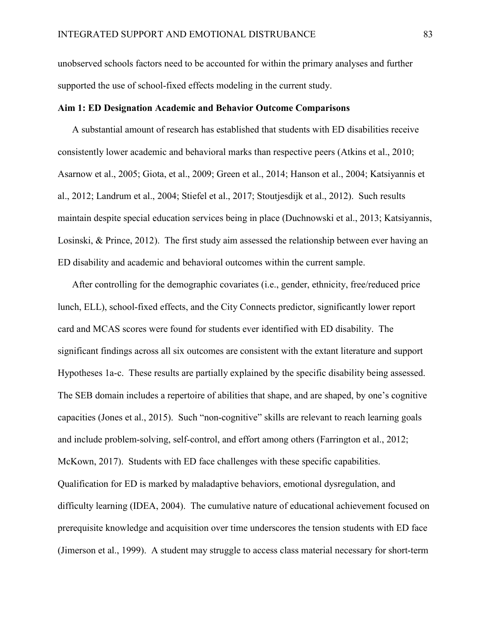unobserved schools factors need to be accounted for within the primary analyses and further supported the use of school-fixed effects modeling in the current study.

### Aim 1: ED Designation Academic and Behavior Outcome Comparisons

A substantial amount of research has established that students with ED disabilities receive consistently lower academic and behavioral marks than respective peers (Atkins et al., 2010; Asarnow et al., 2005; Giota, et al., 2009; Green et al., 2014; Hanson et al., 2004; Katsiyannis et al., 2012; Landrum et al., 2004; Stiefel et al., 2017; Stoutjesdijk et al., 2012). Such results maintain despite special education services being in place (Duchnowski et al., 2013; Katsiyannis, Losinski, & Prince, 2012). The first study aim assessed the relationship between ever having an ED disability and academic and behavioral outcomes within the current sample.

After controlling for the demographic covariates (i.e., gender, ethnicity, free/reduced price lunch, ELL), school-fixed effects, and the City Connects predictor, significantly lower report card and MCAS scores were found for students ever identified with ED disability. The significant findings across all six outcomes are consistent with the extant literature and support Hypotheses 1a-c. These results are partially explained by the specific disability being assessed. The SEB domain includes a repertoire of abilities that shape, and are shaped, by one's cognitive capacities (Jones et al., 2015). Such "non-cognitive" skills are relevant to reach learning goals and include problem-solving, self-control, and effort among others (Farrington et al., 2012; McKown, 2017). Students with ED face challenges with these specific capabilities. Qualification for ED is marked by maladaptive behaviors, emotional dysregulation, and difficulty learning (IDEA, 2004). The cumulative nature of educational achievement focused on prerequisite knowledge and acquisition over time underscores the tension students with ED face (Jimerson et al., 1999). A student may struggle to access class material necessary for short-term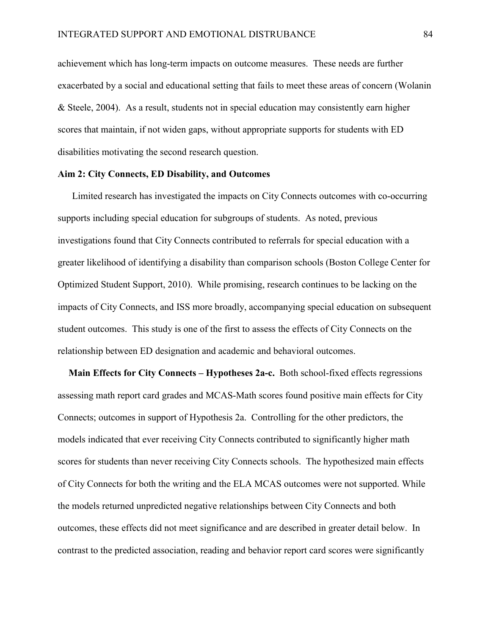achievement which has long-term impacts on outcome measures. These needs are further exacerbated by a social and educational setting that fails to meet these areas of concern (Wolanin & Steele, 2004). As a result, students not in special education may consistently earn higher scores that maintain, if not widen gaps, without appropriate supports for students with ED disabilities motivating the second research question.

# Aim 2: City Connects, ED Disability, and Outcomes

Limited research has investigated the impacts on City Connects outcomes with co-occurring supports including special education for subgroups of students. As noted, previous investigations found that City Connects contributed to referrals for special education with a greater likelihood of identifying a disability than comparison schools (Boston College Center for Optimized Student Support, 2010). While promising, research continues to be lacking on the impacts of City Connects, and ISS more broadly, accompanying special education on subsequent student outcomes. This study is one of the first to assess the effects of City Connects on the relationship between ED designation and academic and behavioral outcomes.

Main Effects for City Connects – Hypotheses 2a-c. Both school-fixed effects regressions assessing math report card grades and MCAS-Math scores found positive main effects for City Connects; outcomes in support of Hypothesis 2a. Controlling for the other predictors, the models indicated that ever receiving City Connects contributed to significantly higher math scores for students than never receiving City Connects schools. The hypothesized main effects of City Connects for both the writing and the ELA MCAS outcomes were not supported. While the models returned unpredicted negative relationships between City Connects and both outcomes, these effects did not meet significance and are described in greater detail below. In contrast to the predicted association, reading and behavior report card scores were significantly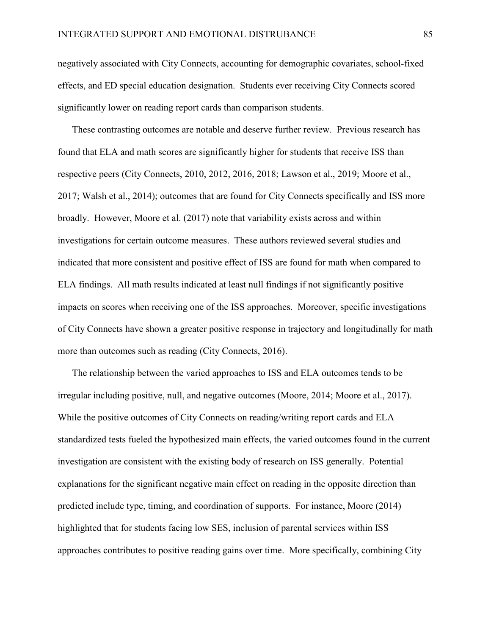negatively associated with City Connects, accounting for demographic covariates, school-fixed effects, and ED special education designation. Students ever receiving City Connects scored significantly lower on reading report cards than comparison students.

These contrasting outcomes are notable and deserve further review. Previous research has found that ELA and math scores are significantly higher for students that receive ISS than respective peers (City Connects, 2010, 2012, 2016, 2018; Lawson et al., 2019; Moore et al., 2017; Walsh et al., 2014); outcomes that are found for City Connects specifically and ISS more broadly. However, Moore et al. (2017) note that variability exists across and within investigations for certain outcome measures. These authors reviewed several studies and indicated that more consistent and positive effect of ISS are found for math when compared to ELA findings. All math results indicated at least null findings if not significantly positive impacts on scores when receiving one of the ISS approaches. Moreover, specific investigations of City Connects have shown a greater positive response in trajectory and longitudinally for math more than outcomes such as reading (City Connects, 2016).

The relationship between the varied approaches to ISS and ELA outcomes tends to be irregular including positive, null, and negative outcomes (Moore, 2014; Moore et al., 2017). While the positive outcomes of City Connects on reading/writing report cards and ELA standardized tests fueled the hypothesized main effects, the varied outcomes found in the current investigation are consistent with the existing body of research on ISS generally. Potential explanations for the significant negative main effect on reading in the opposite direction than predicted include type, timing, and coordination of supports. For instance, Moore (2014) highlighted that for students facing low SES, inclusion of parental services within ISS approaches contributes to positive reading gains over time. More specifically, combining City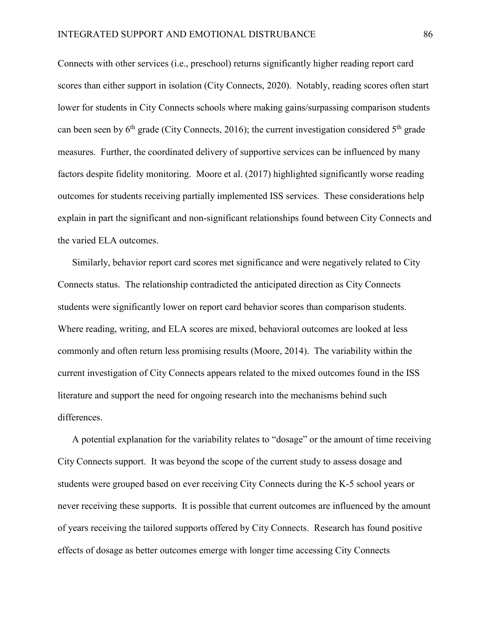Connects with other services (i.e., preschool) returns significantly higher reading report card scores than either support in isolation (City Connects, 2020). Notably, reading scores often start lower for students in City Connects schools where making gains/surpassing comparison students can been seen by  $6<sup>th</sup>$  grade (City Connects, 2016); the current investigation considered  $5<sup>th</sup>$  grade measures. Further, the coordinated delivery of supportive services can be influenced by many factors despite fidelity monitoring. Moore et al. (2017) highlighted significantly worse reading outcomes for students receiving partially implemented ISS services. These considerations help explain in part the significant and non-significant relationships found between City Connects and the varied ELA outcomes.

Similarly, behavior report card scores met significance and were negatively related to City Connects status. The relationship contradicted the anticipated direction as City Connects students were significantly lower on report card behavior scores than comparison students. Where reading, writing, and ELA scores are mixed, behavioral outcomes are looked at less commonly and often return less promising results (Moore, 2014). The variability within the current investigation of City Connects appears related to the mixed outcomes found in the ISS literature and support the need for ongoing research into the mechanisms behind such differences.

A potential explanation for the variability relates to "dosage" or the amount of time receiving City Connects support. It was beyond the scope of the current study to assess dosage and students were grouped based on ever receiving City Connects during the K-5 school years or never receiving these supports. It is possible that current outcomes are influenced by the amount of years receiving the tailored supports offered by City Connects. Research has found positive effects of dosage as better outcomes emerge with longer time accessing City Connects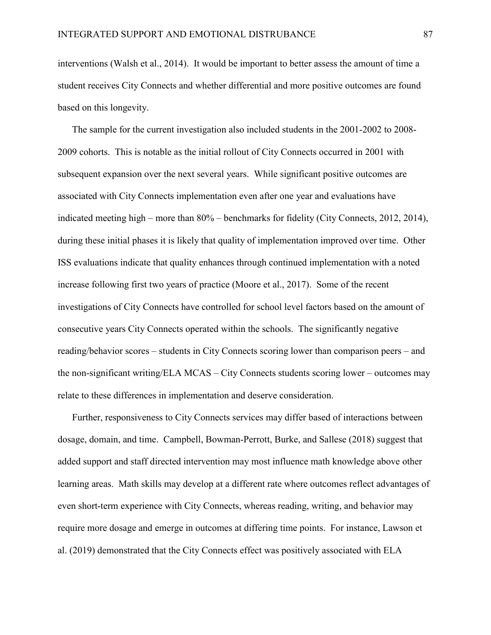interventions (Walsh et al., 2014). It would be important to better assess the amount of time a student receives City Connects and whether differential and more positive outcomes are found based on this longevity.

The sample for the current investigation also included students in the 2001-2002 to 2008- 2009 cohorts. This is notable as the initial rollout of City Connects occurred in 2001 with subsequent expansion over the next several years. While significant positive outcomes are associated with City Connects implementation even after one year and evaluations have indicated meeting high – more than 80% – benchmarks for fidelity (City Connects, 2012, 2014), during these initial phases it is likely that quality of implementation improved over time. Other ISS evaluations indicate that quality enhances through continued implementation with a noted increase following first two years of practice (Moore et al., 2017). Some of the recent investigations of City Connects have controlled for school level factors based on the amount of consecutive years City Connects operated within the schools. The significantly negative reading/behavior scores – students in City Connects scoring lower than comparison peers – and the non-significant writing/ELA MCAS – City Connects students scoring lower – outcomes may relate to these differences in implementation and deserve consideration.

Further, responsiveness to City Connects services may differ based of interactions between dosage, domain, and time. Campbell, Bowman-Perrott, Burke, and Sallese (2018) suggest that added support and staff directed intervention may most influence math knowledge above other learning areas. Math skills may develop at a different rate where outcomes reflect advantages of even short-term experience with City Connects, whereas reading, writing, and behavior may require more dosage and emerge in outcomes at differing time points. For instance, Lawson et al. (2019) demonstrated that the City Connects effect was positively associated with ELA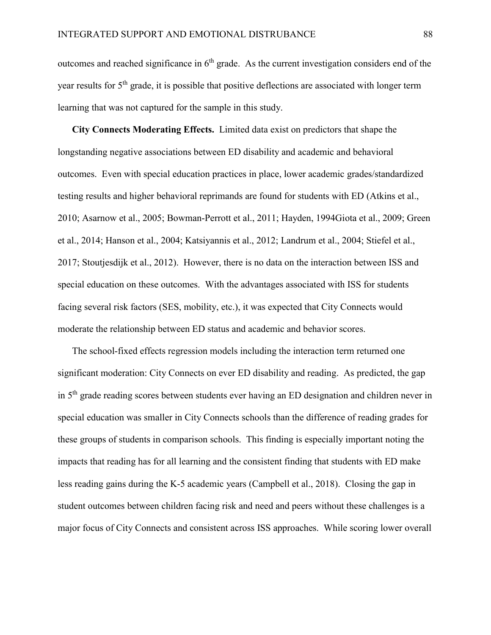outcomes and reached significance in  $6<sup>th</sup>$  grade. As the current investigation considers end of the year results for 5<sup>th</sup> grade, it is possible that positive deflections are associated with longer term learning that was not captured for the sample in this study.

City Connects Moderating Effects. Limited data exist on predictors that shape the longstanding negative associations between ED disability and academic and behavioral outcomes. Even with special education practices in place, lower academic grades/standardized testing results and higher behavioral reprimands are found for students with ED (Atkins et al., 2010; Asarnow et al., 2005; Bowman-Perrott et al., 2011; Hayden, 1994Giota et al., 2009; Green et al., 2014; Hanson et al., 2004; Katsiyannis et al., 2012; Landrum et al., 2004; Stiefel et al., 2017; Stoutjesdijk et al., 2012). However, there is no data on the interaction between ISS and special education on these outcomes. With the advantages associated with ISS for students facing several risk factors (SES, mobility, etc.), it was expected that City Connects would moderate the relationship between ED status and academic and behavior scores.

The school-fixed effects regression models including the interaction term returned one significant moderation: City Connects on ever ED disability and reading. As predicted, the gap in 5th grade reading scores between students ever having an ED designation and children never in special education was smaller in City Connects schools than the difference of reading grades for these groups of students in comparison schools. This finding is especially important noting the impacts that reading has for all learning and the consistent finding that students with ED make less reading gains during the K-5 academic years (Campbell et al., 2018). Closing the gap in student outcomes between children facing risk and need and peers without these challenges is a major focus of City Connects and consistent across ISS approaches. While scoring lower overall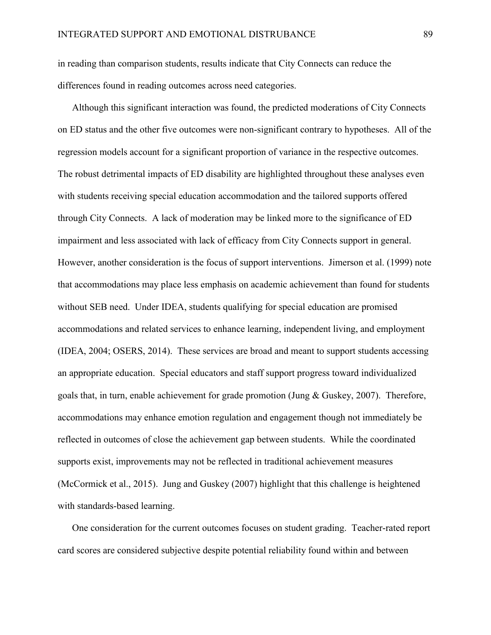in reading than comparison students, results indicate that City Connects can reduce the differences found in reading outcomes across need categories.

Although this significant interaction was found, the predicted moderations of City Connects on ED status and the other five outcomes were non-significant contrary to hypotheses. All of the regression models account for a significant proportion of variance in the respective outcomes. The robust detrimental impacts of ED disability are highlighted throughout these analyses even with students receiving special education accommodation and the tailored supports offered through City Connects. A lack of moderation may be linked more to the significance of ED impairment and less associated with lack of efficacy from City Connects support in general. However, another consideration is the focus of support interventions. Jimerson et al. (1999) note that accommodations may place less emphasis on academic achievement than found for students without SEB need. Under IDEA, students qualifying for special education are promised accommodations and related services to enhance learning, independent living, and employment (IDEA, 2004; OSERS, 2014). These services are broad and meant to support students accessing an appropriate education. Special educators and staff support progress toward individualized goals that, in turn, enable achievement for grade promotion (Jung & Guskey, 2007). Therefore, accommodations may enhance emotion regulation and engagement though not immediately be reflected in outcomes of close the achievement gap between students. While the coordinated supports exist, improvements may not be reflected in traditional achievement measures (McCormick et al., 2015). Jung and Guskey (2007) highlight that this challenge is heightened with standards-based learning.

One consideration for the current outcomes focuses on student grading. Teacher-rated report card scores are considered subjective despite potential reliability found within and between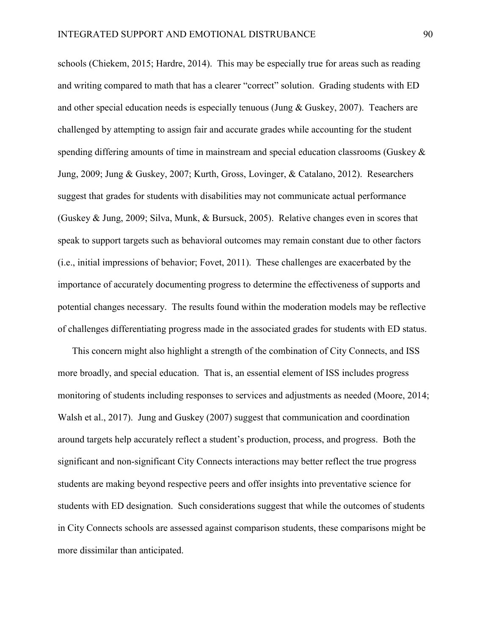schools (Chiekem, 2015; Hardre, 2014). This may be especially true for areas such as reading and writing compared to math that has a clearer "correct" solution. Grading students with ED and other special education needs is especially tenuous (Jung & Guskey, 2007). Teachers are challenged by attempting to assign fair and accurate grades while accounting for the student spending differing amounts of time in mainstream and special education classrooms (Guskey & Jung, 2009; Jung & Guskey, 2007; Kurth, Gross, Lovinger, & Catalano, 2012). Researchers suggest that grades for students with disabilities may not communicate actual performance (Guskey & Jung, 2009; Silva, Munk, & Bursuck, 2005). Relative changes even in scores that speak to support targets such as behavioral outcomes may remain constant due to other factors (i.e., initial impressions of behavior; Fovet, 2011). These challenges are exacerbated by the importance of accurately documenting progress to determine the effectiveness of supports and potential changes necessary. The results found within the moderation models may be reflective of challenges differentiating progress made in the associated grades for students with ED status.

This concern might also highlight a strength of the combination of City Connects, and ISS more broadly, and special education. That is, an essential element of ISS includes progress monitoring of students including responses to services and adjustments as needed (Moore, 2014; Walsh et al., 2017). Jung and Guskey (2007) suggest that communication and coordination around targets help accurately reflect a student's production, process, and progress. Both the significant and non-significant City Connects interactions may better reflect the true progress students are making beyond respective peers and offer insights into preventative science for students with ED designation. Such considerations suggest that while the outcomes of students in City Connects schools are assessed against comparison students, these comparisons might be more dissimilar than anticipated.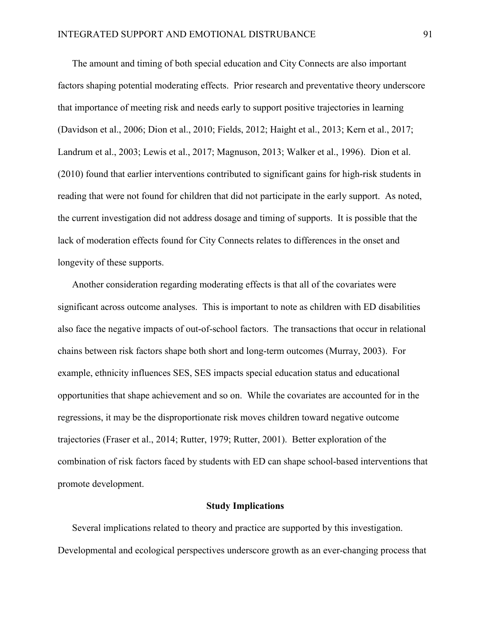The amount and timing of both special education and City Connects are also important factors shaping potential moderating effects. Prior research and preventative theory underscore that importance of meeting risk and needs early to support positive trajectories in learning (Davidson et al., 2006; Dion et al., 2010; Fields, 2012; Haight et al., 2013; Kern et al., 2017; Landrum et al., 2003; Lewis et al., 2017; Magnuson, 2013; Walker et al., 1996). Dion et al. (2010) found that earlier interventions contributed to significant gains for high-risk students in reading that were not found for children that did not participate in the early support. As noted, the current investigation did not address dosage and timing of supports. It is possible that the lack of moderation effects found for City Connects relates to differences in the onset and longevity of these supports.

Another consideration regarding moderating effects is that all of the covariates were significant across outcome analyses. This is important to note as children with ED disabilities also face the negative impacts of out-of-school factors. The transactions that occur in relational chains between risk factors shape both short and long-term outcomes (Murray, 2003). For example, ethnicity influences SES, SES impacts special education status and educational opportunities that shape achievement and so on. While the covariates are accounted for in the regressions, it may be the disproportionate risk moves children toward negative outcome trajectories (Fraser et al., 2014; Rutter, 1979; Rutter, 2001). Better exploration of the combination of risk factors faced by students with ED can shape school-based interventions that promote development.

### Study Implications

Several implications related to theory and practice are supported by this investigation. Developmental and ecological perspectives underscore growth as an ever-changing process that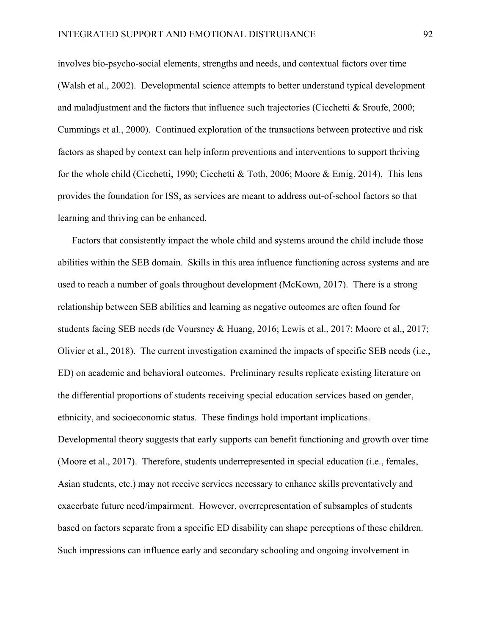involves bio-psycho-social elements, strengths and needs, and contextual factors over time (Walsh et al., 2002). Developmental science attempts to better understand typical development and maladjustment and the factors that influence such trajectories (Cicchetti  $\&$  Sroufe, 2000; Cummings et al., 2000). Continued exploration of the transactions between protective and risk factors as shaped by context can help inform preventions and interventions to support thriving for the whole child (Cicchetti, 1990; Cicchetti & Toth, 2006; Moore & Emig, 2014). This lens provides the foundation for ISS, as services are meant to address out-of-school factors so that learning and thriving can be enhanced.

Factors that consistently impact the whole child and systems around the child include those abilities within the SEB domain. Skills in this area influence functioning across systems and are used to reach a number of goals throughout development (McKown, 2017). There is a strong relationship between SEB abilities and learning as negative outcomes are often found for students facing SEB needs (de Voursney & Huang, 2016; Lewis et al., 2017; Moore et al., 2017; Olivier et al., 2018). The current investigation examined the impacts of specific SEB needs (i.e., ED) on academic and behavioral outcomes. Preliminary results replicate existing literature on the differential proportions of students receiving special education services based on gender, ethnicity, and socioeconomic status. These findings hold important implications. Developmental theory suggests that early supports can benefit functioning and growth over time (Moore et al., 2017). Therefore, students underrepresented in special education (i.e., females, Asian students, etc.) may not receive services necessary to enhance skills preventatively and exacerbate future need/impairment. However, overrepresentation of subsamples of students based on factors separate from a specific ED disability can shape perceptions of these children. Such impressions can influence early and secondary schooling and ongoing involvement in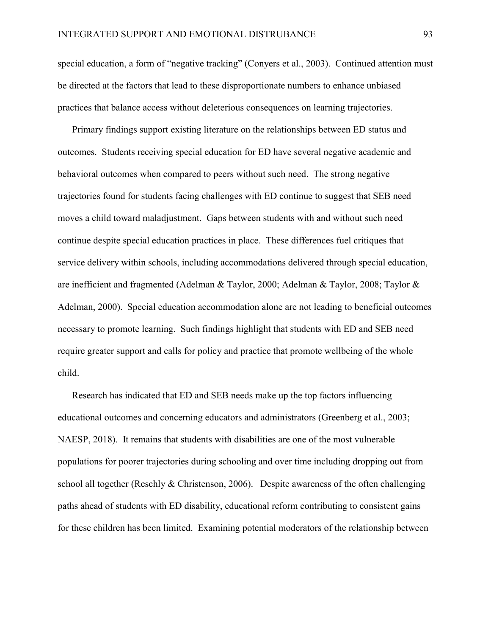special education, a form of "negative tracking" (Conyers et al., 2003). Continued attention must be directed at the factors that lead to these disproportionate numbers to enhance unbiased practices that balance access without deleterious consequences on learning trajectories.

Primary findings support existing literature on the relationships between ED status and outcomes. Students receiving special education for ED have several negative academic and behavioral outcomes when compared to peers without such need. The strong negative trajectories found for students facing challenges with ED continue to suggest that SEB need moves a child toward maladjustment. Gaps between students with and without such need continue despite special education practices in place. These differences fuel critiques that service delivery within schools, including accommodations delivered through special education, are inefficient and fragmented (Adelman & Taylor, 2000; Adelman & Taylor, 2008; Taylor & Adelman, 2000). Special education accommodation alone are not leading to beneficial outcomes necessary to promote learning. Such findings highlight that students with ED and SEB need require greater support and calls for policy and practice that promote wellbeing of the whole child.

Research has indicated that ED and SEB needs make up the top factors influencing educational outcomes and concerning educators and administrators (Greenberg et al., 2003; NAESP, 2018). It remains that students with disabilities are one of the most vulnerable populations for poorer trajectories during schooling and over time including dropping out from school all together (Reschly & Christenson, 2006). Despite awareness of the often challenging paths ahead of students with ED disability, educational reform contributing to consistent gains for these children has been limited. Examining potential moderators of the relationship between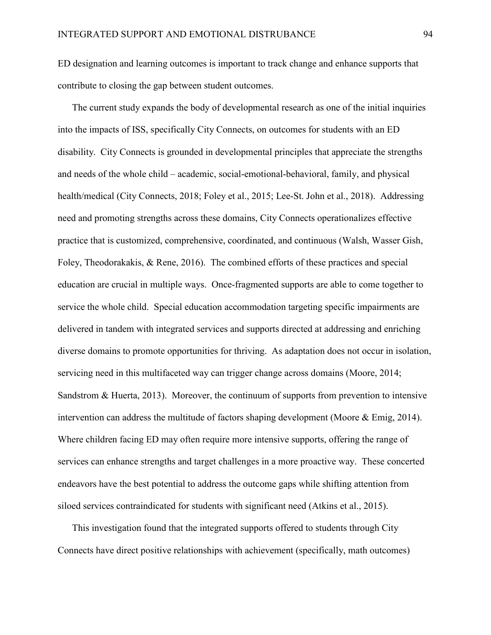ED designation and learning outcomes is important to track change and enhance supports that contribute to closing the gap between student outcomes.

The current study expands the body of developmental research as one of the initial inquiries into the impacts of ISS, specifically City Connects, on outcomes for students with an ED disability. City Connects is grounded in developmental principles that appreciate the strengths and needs of the whole child – academic, social-emotional-behavioral, family, and physical health/medical (City Connects, 2018; Foley et al., 2015; Lee-St. John et al., 2018). Addressing need and promoting strengths across these domains, City Connects operationalizes effective practice that is customized, comprehensive, coordinated, and continuous (Walsh, Wasser Gish, Foley, Theodorakakis, & Rene, 2016). The combined efforts of these practices and special education are crucial in multiple ways. Once-fragmented supports are able to come together to service the whole child. Special education accommodation targeting specific impairments are delivered in tandem with integrated services and supports directed at addressing and enriching diverse domains to promote opportunities for thriving. As adaptation does not occur in isolation, servicing need in this multifaceted way can trigger change across domains (Moore, 2014; Sandstrom & Huerta, 2013). Moreover, the continuum of supports from prevention to intensive intervention can address the multitude of factors shaping development (Moore & Emig, 2014). Where children facing ED may often require more intensive supports, offering the range of services can enhance strengths and target challenges in a more proactive way. These concerted endeavors have the best potential to address the outcome gaps while shifting attention from siloed services contraindicated for students with significant need (Atkins et al., 2015).

This investigation found that the integrated supports offered to students through City Connects have direct positive relationships with achievement (specifically, math outcomes)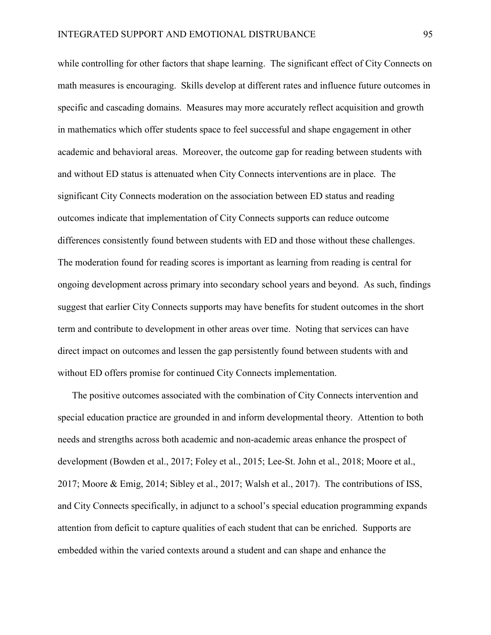while controlling for other factors that shape learning. The significant effect of City Connects on math measures is encouraging. Skills develop at different rates and influence future outcomes in specific and cascading domains. Measures may more accurately reflect acquisition and growth in mathematics which offer students space to feel successful and shape engagement in other academic and behavioral areas. Moreover, the outcome gap for reading between students with and without ED status is attenuated when City Connects interventions are in place. The significant City Connects moderation on the association between ED status and reading outcomes indicate that implementation of City Connects supports can reduce outcome differences consistently found between students with ED and those without these challenges. The moderation found for reading scores is important as learning from reading is central for ongoing development across primary into secondary school years and beyond. As such, findings suggest that earlier City Connects supports may have benefits for student outcomes in the short term and contribute to development in other areas over time. Noting that services can have direct impact on outcomes and lessen the gap persistently found between students with and without ED offers promise for continued City Connects implementation.

The positive outcomes associated with the combination of City Connects intervention and special education practice are grounded in and inform developmental theory. Attention to both needs and strengths across both academic and non-academic areas enhance the prospect of development (Bowden et al., 2017; Foley et al., 2015; Lee-St. John et al., 2018; Moore et al., 2017; Moore & Emig, 2014; Sibley et al., 2017; Walsh et al., 2017). The contributions of ISS, and City Connects specifically, in adjunct to a school's special education programming expands attention from deficit to capture qualities of each student that can be enriched. Supports are embedded within the varied contexts around a student and can shape and enhance the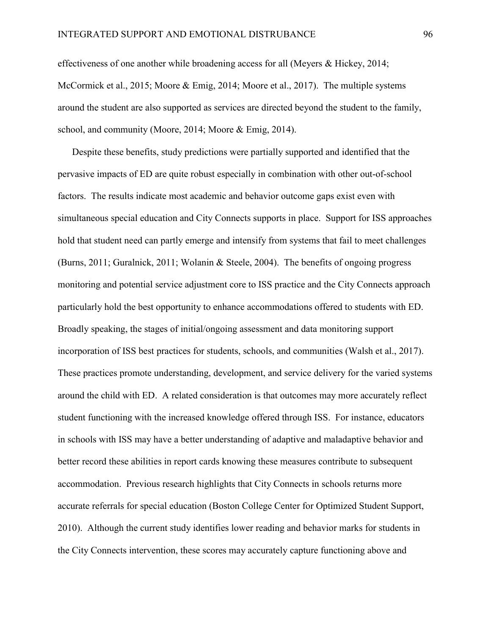effectiveness of one another while broadening access for all (Meyers & Hickey, 2014; McCormick et al., 2015; Moore & Emig, 2014; Moore et al., 2017). The multiple systems around the student are also supported as services are directed beyond the student to the family, school, and community (Moore, 2014; Moore & Emig, 2014).

Despite these benefits, study predictions were partially supported and identified that the pervasive impacts of ED are quite robust especially in combination with other out-of-school factors. The results indicate most academic and behavior outcome gaps exist even with simultaneous special education and City Connects supports in place. Support for ISS approaches hold that student need can partly emerge and intensify from systems that fail to meet challenges (Burns, 2011; Guralnick, 2011; Wolanin & Steele, 2004). The benefits of ongoing progress monitoring and potential service adjustment core to ISS practice and the City Connects approach particularly hold the best opportunity to enhance accommodations offered to students with ED. Broadly speaking, the stages of initial/ongoing assessment and data monitoring support incorporation of ISS best practices for students, schools, and communities (Walsh et al., 2017). These practices promote understanding, development, and service delivery for the varied systems around the child with ED. A related consideration is that outcomes may more accurately reflect student functioning with the increased knowledge offered through ISS. For instance, educators in schools with ISS may have a better understanding of adaptive and maladaptive behavior and better record these abilities in report cards knowing these measures contribute to subsequent accommodation. Previous research highlights that City Connects in schools returns more accurate referrals for special education (Boston College Center for Optimized Student Support, 2010). Although the current study identifies lower reading and behavior marks for students in the City Connects intervention, these scores may accurately capture functioning above and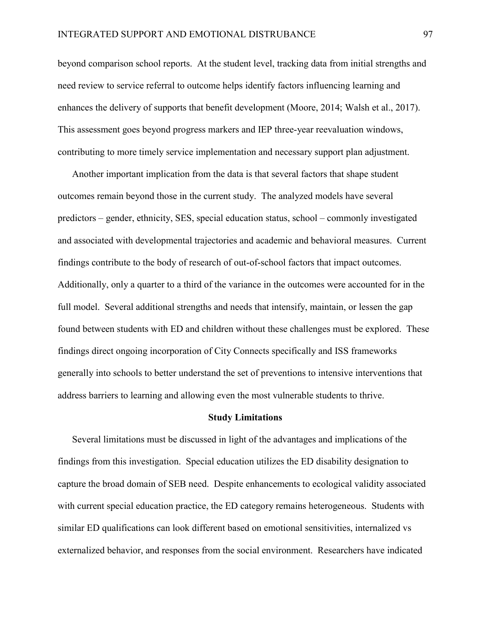beyond comparison school reports. At the student level, tracking data from initial strengths and need review to service referral to outcome helps identify factors influencing learning and enhances the delivery of supports that benefit development (Moore, 2014; Walsh et al., 2017). This assessment goes beyond progress markers and IEP three-year reevaluation windows, contributing to more timely service implementation and necessary support plan adjustment.

Another important implication from the data is that several factors that shape student outcomes remain beyond those in the current study. The analyzed models have several predictors – gender, ethnicity, SES, special education status, school – commonly investigated and associated with developmental trajectories and academic and behavioral measures. Current findings contribute to the body of research of out-of-school factors that impact outcomes. Additionally, only a quarter to a third of the variance in the outcomes were accounted for in the full model. Several additional strengths and needs that intensify, maintain, or lessen the gap found between students with ED and children without these challenges must be explored. These findings direct ongoing incorporation of City Connects specifically and ISS frameworks generally into schools to better understand the set of preventions to intensive interventions that address barriers to learning and allowing even the most vulnerable students to thrive.

#### Study Limitations

Several limitations must be discussed in light of the advantages and implications of the findings from this investigation. Special education utilizes the ED disability designation to capture the broad domain of SEB need. Despite enhancements to ecological validity associated with current special education practice, the ED category remains heterogeneous. Students with similar ED qualifications can look different based on emotional sensitivities, internalized vs externalized behavior, and responses from the social environment. Researchers have indicated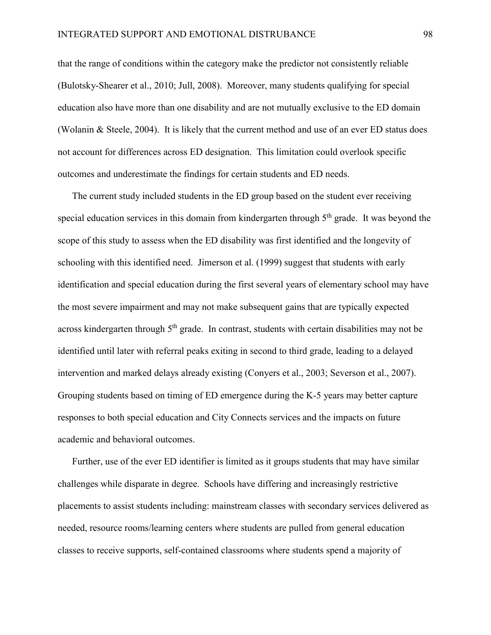that the range of conditions within the category make the predictor not consistently reliable (Bulotsky-Shearer et al., 2010; Jull, 2008). Moreover, many students qualifying for special education also have more than one disability and are not mutually exclusive to the ED domain (Wolanin & Steele, 2004). It is likely that the current method and use of an ever ED status does not account for differences across ED designation. This limitation could overlook specific outcomes and underestimate the findings for certain students and ED needs.

The current study included students in the ED group based on the student ever receiving special education services in this domain from kindergarten through  $5<sup>th</sup>$  grade. It was beyond the scope of this study to assess when the ED disability was first identified and the longevity of schooling with this identified need. Jimerson et al. (1999) suggest that students with early identification and special education during the first several years of elementary school may have the most severe impairment and may not make subsequent gains that are typically expected across kindergarten through  $5<sup>th</sup>$  grade. In contrast, students with certain disabilities may not be identified until later with referral peaks exiting in second to third grade, leading to a delayed intervention and marked delays already existing (Conyers et al., 2003; Severson et al., 2007). Grouping students based on timing of ED emergence during the K-5 years may better capture responses to both special education and City Connects services and the impacts on future academic and behavioral outcomes.

Further, use of the ever ED identifier is limited as it groups students that may have similar challenges while disparate in degree. Schools have differing and increasingly restrictive placements to assist students including: mainstream classes with secondary services delivered as needed, resource rooms/learning centers where students are pulled from general education classes to receive supports, self-contained classrooms where students spend a majority of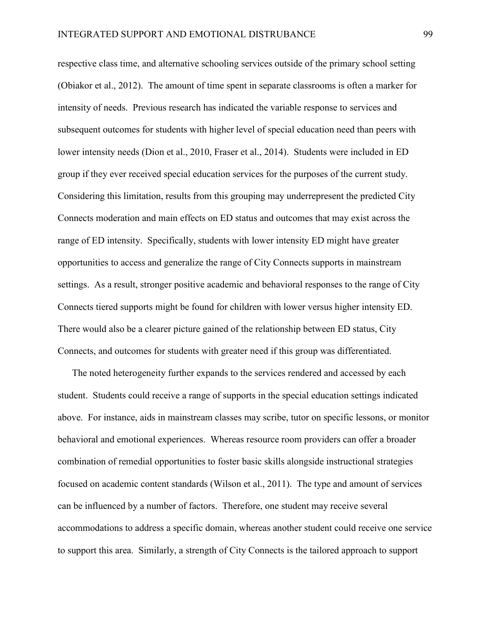respective class time, and alternative schooling services outside of the primary school setting (Obiakor et al., 2012). The amount of time spent in separate classrooms is often a marker for intensity of needs. Previous research has indicated the variable response to services and subsequent outcomes for students with higher level of special education need than peers with lower intensity needs (Dion et al., 2010, Fraser et al., 2014). Students were included in ED group if they ever received special education services for the purposes of the current study. Considering this limitation, results from this grouping may underrepresent the predicted City Connects moderation and main effects on ED status and outcomes that may exist across the range of ED intensity. Specifically, students with lower intensity ED might have greater opportunities to access and generalize the range of City Connects supports in mainstream settings. As a result, stronger positive academic and behavioral responses to the range of City Connects tiered supports might be found for children with lower versus higher intensity ED. There would also be a clearer picture gained of the relationship between ED status, City Connects, and outcomes for students with greater need if this group was differentiated.

The noted heterogeneity further expands to the services rendered and accessed by each student. Students could receive a range of supports in the special education settings indicated above. For instance, aids in mainstream classes may scribe, tutor on specific lessons, or monitor behavioral and emotional experiences. Whereas resource room providers can offer a broader combination of remedial opportunities to foster basic skills alongside instructional strategies focused on academic content standards (Wilson et al., 2011). The type and amount of services can be influenced by a number of factors. Therefore, one student may receive several accommodations to address a specific domain, whereas another student could receive one service to support this area. Similarly, a strength of City Connects is the tailored approach to support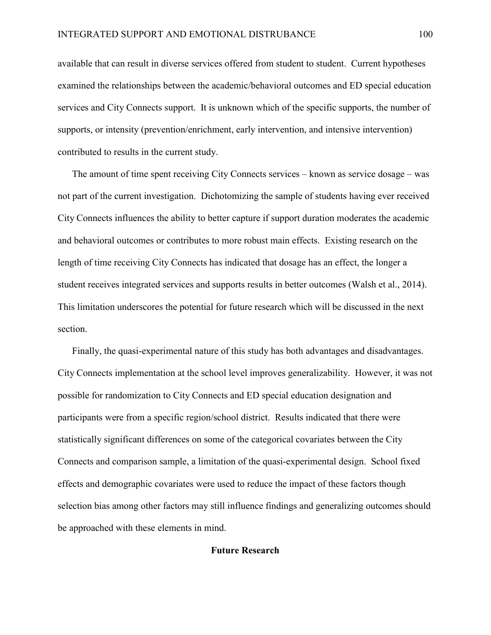available that can result in diverse services offered from student to student. Current hypotheses examined the relationships between the academic/behavioral outcomes and ED special education services and City Connects support. It is unknown which of the specific supports, the number of supports, or intensity (prevention/enrichment, early intervention, and intensive intervention) contributed to results in the current study.

The amount of time spent receiving City Connects services – known as service dosage – was not part of the current investigation. Dichotomizing the sample of students having ever received City Connects influences the ability to better capture if support duration moderates the academic and behavioral outcomes or contributes to more robust main effects. Existing research on the length of time receiving City Connects has indicated that dosage has an effect, the longer a student receives integrated services and supports results in better outcomes (Walsh et al., 2014). This limitation underscores the potential for future research which will be discussed in the next section.

Finally, the quasi-experimental nature of this study has both advantages and disadvantages. City Connects implementation at the school level improves generalizability. However, it was not possible for randomization to City Connects and ED special education designation and participants were from a specific region/school district. Results indicated that there were statistically significant differences on some of the categorical covariates between the City Connects and comparison sample, a limitation of the quasi-experimental design. School fixed effects and demographic covariates were used to reduce the impact of these factors though selection bias among other factors may still influence findings and generalizing outcomes should be approached with these elements in mind.

# Future Research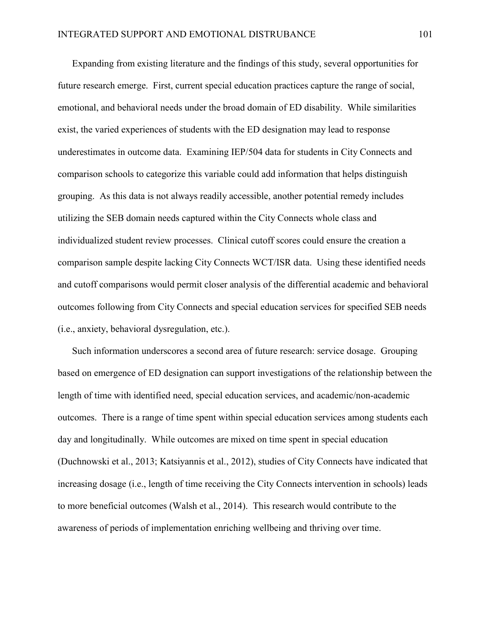Expanding from existing literature and the findings of this study, several opportunities for future research emerge. First, current special education practices capture the range of social, emotional, and behavioral needs under the broad domain of ED disability. While similarities exist, the varied experiences of students with the ED designation may lead to response underestimates in outcome data. Examining IEP/504 data for students in City Connects and comparison schools to categorize this variable could add information that helps distinguish grouping. As this data is not always readily accessible, another potential remedy includes utilizing the SEB domain needs captured within the City Connects whole class and individualized student review processes. Clinical cutoff scores could ensure the creation a comparison sample despite lacking City Connects WCT/ISR data. Using these identified needs and cutoff comparisons would permit closer analysis of the differential academic and behavioral outcomes following from City Connects and special education services for specified SEB needs (i.e., anxiety, behavioral dysregulation, etc.).

Such information underscores a second area of future research: service dosage. Grouping based on emergence of ED designation can support investigations of the relationship between the length of time with identified need, special education services, and academic/non-academic outcomes. There is a range of time spent within special education services among students each day and longitudinally. While outcomes are mixed on time spent in special education (Duchnowski et al., 2013; Katsiyannis et al., 2012), studies of City Connects have indicated that increasing dosage (i.e., length of time receiving the City Connects intervention in schools) leads to more beneficial outcomes (Walsh et al., 2014). This research would contribute to the awareness of periods of implementation enriching wellbeing and thriving over time.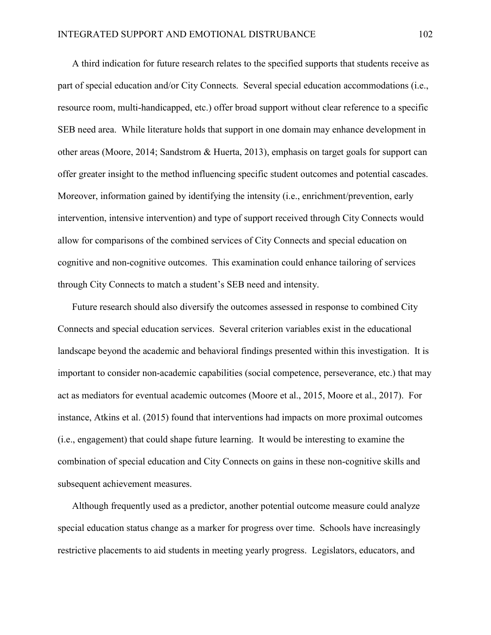A third indication for future research relates to the specified supports that students receive as part of special education and/or City Connects. Several special education accommodations (i.e., resource room, multi-handicapped, etc.) offer broad support without clear reference to a specific SEB need area. While literature holds that support in one domain may enhance development in other areas (Moore, 2014; Sandstrom & Huerta, 2013), emphasis on target goals for support can offer greater insight to the method influencing specific student outcomes and potential cascades. Moreover, information gained by identifying the intensity (i.e., enrichment/prevention, early intervention, intensive intervention) and type of support received through City Connects would allow for comparisons of the combined services of City Connects and special education on cognitive and non-cognitive outcomes. This examination could enhance tailoring of services through City Connects to match a student's SEB need and intensity.

Future research should also diversify the outcomes assessed in response to combined City Connects and special education services. Several criterion variables exist in the educational landscape beyond the academic and behavioral findings presented within this investigation. It is important to consider non-academic capabilities (social competence, perseverance, etc.) that may act as mediators for eventual academic outcomes (Moore et al., 2015, Moore et al., 2017). For instance, Atkins et al. (2015) found that interventions had impacts on more proximal outcomes (i.e., engagement) that could shape future learning. It would be interesting to examine the combination of special education and City Connects on gains in these non-cognitive skills and subsequent achievement measures.

Although frequently used as a predictor, another potential outcome measure could analyze special education status change as a marker for progress over time. Schools have increasingly restrictive placements to aid students in meeting yearly progress. Legislators, educators, and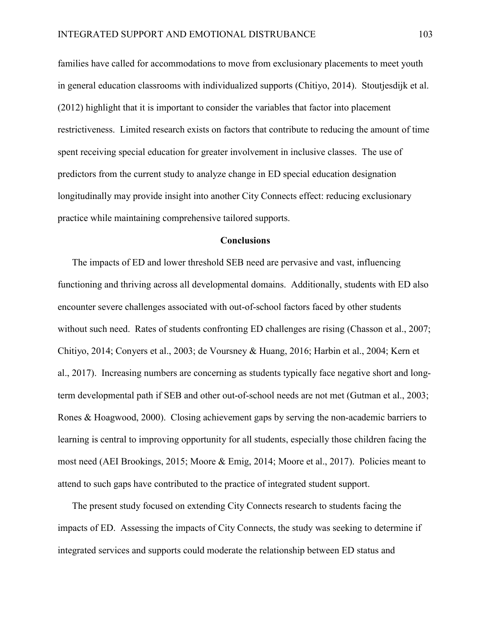families have called for accommodations to move from exclusionary placements to meet youth in general education classrooms with individualized supports (Chitiyo, 2014). Stoutjesdijk et al. (2012) highlight that it is important to consider the variables that factor into placement restrictiveness. Limited research exists on factors that contribute to reducing the amount of time spent receiving special education for greater involvement in inclusive classes. The use of predictors from the current study to analyze change in ED special education designation longitudinally may provide insight into another City Connects effect: reducing exclusionary practice while maintaining comprehensive tailored supports.

## **Conclusions**

The impacts of ED and lower threshold SEB need are pervasive and vast, influencing functioning and thriving across all developmental domains. Additionally, students with ED also encounter severe challenges associated with out-of-school factors faced by other students without such need. Rates of students confronting ED challenges are rising (Chasson et al., 2007; Chitiyo, 2014; Conyers et al., 2003; de Voursney & Huang, 2016; Harbin et al., 2004; Kern et al., 2017). Increasing numbers are concerning as students typically face negative short and longterm developmental path if SEB and other out-of-school needs are not met (Gutman et al., 2003; Rones & Hoagwood, 2000). Closing achievement gaps by serving the non-academic barriers to learning is central to improving opportunity for all students, especially those children facing the most need (AEI Brookings, 2015; Moore & Emig, 2014; Moore et al., 2017). Policies meant to attend to such gaps have contributed to the practice of integrated student support.

The present study focused on extending City Connects research to students facing the impacts of ED. Assessing the impacts of City Connects, the study was seeking to determine if integrated services and supports could moderate the relationship between ED status and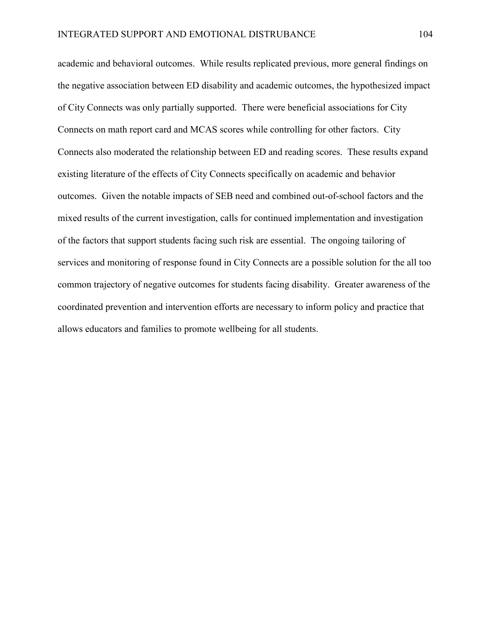academic and behavioral outcomes. While results replicated previous, more general findings on the negative association between ED disability and academic outcomes, the hypothesized impact of City Connects was only partially supported. There were beneficial associations for City Connects on math report card and MCAS scores while controlling for other factors. City Connects also moderated the relationship between ED and reading scores. These results expand existing literature of the effects of City Connects specifically on academic and behavior outcomes. Given the notable impacts of SEB need and combined out-of-school factors and the mixed results of the current investigation, calls for continued implementation and investigation of the factors that support students facing such risk are essential. The ongoing tailoring of services and monitoring of response found in City Connects are a possible solution for the all too common trajectory of negative outcomes for students facing disability. Greater awareness of the coordinated prevention and intervention efforts are necessary to inform policy and practice that allows educators and families to promote wellbeing for all students.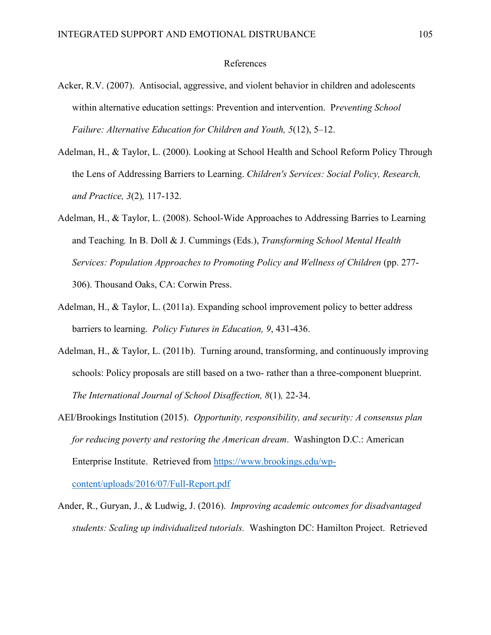## References

- Acker, R.V. (2007). Antisocial, aggressive, and violent behavior in children and adolescents within alternative education settings: Prevention and intervention. P*reventing School Failure: Alternative Education for Children and Youth, 5*(12), 5–12.
- Adelman, H., & Taylor, L. (2000). Looking at School Health and School Reform Policy Through the Lens of Addressing Barriers to Learning. *Children's Services: Social Policy, Research, and Practice, 3*(2)*,* 117-132.
- Adelman, H., & Taylor, L. (2008). School-Wide Approaches to Addressing Barries to Learning and Teaching*.* In B. Doll & J. Cummings (Eds.), *Transforming School Mental Health Services: Population Approaches to Promoting Policy and Wellness of Children* (pp. 277- 306). Thousand Oaks, CA: Corwin Press.
- Adelman, H., & Taylor, L. (2011a). Expanding school improvement policy to better address barriers to learning. *Policy Futures in Education, 9*, 431-436.
- Adelman, H., & Taylor, L. (2011b). Turning around, transforming, and continuously improving schools: Policy proposals are still based on a two- rather than a three-component blueprint. *The International Journal of School Disaffection, 8*(1)*,* 22-34.
- AEI/Brookings Institution (2015). *Opportunity, responsibility, and security: A consensus plan for reducing poverty and restoring the American dream*. Washington D.C.: American Enterprise Institute. Retrieved from https://www.brookings.edu/wpcontent/uploads/2016/07/Full-Report.pdf
- Ander, R., Guryan, J., & Ludwig, J. (2016). *Improving academic outcomes for disadvantaged students: Scaling up individualized tutorials.* Washington DC: Hamilton Project. Retrieved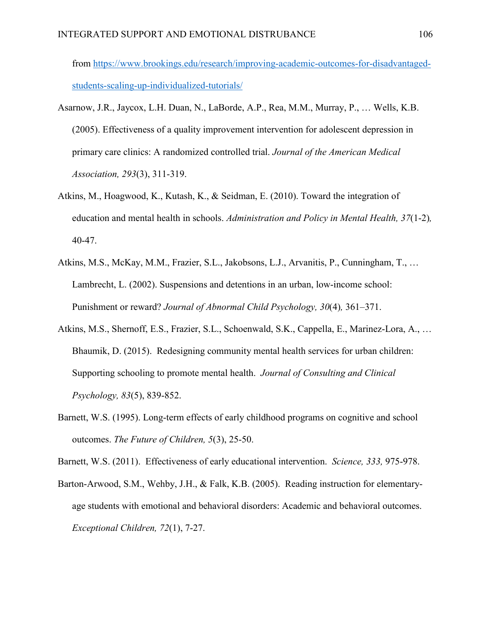from https://www.brookings.edu/research/improving-academic-outcomes-for-disadvantagedstudents-scaling-up-individualized-tutorials/

- Asarnow, J.R., Jaycox, L.H. Duan, N., LaBorde, A.P., Rea, M.M., Murray, P., … Wells, K.B. (2005). Effectiveness of a quality improvement intervention for adolescent depression in primary care clinics: A randomized controlled trial. *Journal of the American Medical Association, 293*(3), 311-319.
- Atkins, M., Hoagwood, K., Kutash, K., & Seidman, E. (2010). Toward the integration of education and mental health in schools. *Administration and Policy in Mental Health, 37*(1-2)*,* 40-47.
- Atkins, M.S., McKay, M.M., Frazier, S.L., Jakobsons, L.J., Arvanitis, P., Cunningham, T., … Lambrecht, L. (2002). Suspensions and detentions in an urban, low-income school: Punishment or reward? *Journal of Abnormal Child Psychology, 30*(4)*,* 361–371.
- Atkins, M.S., Shernoff, E.S., Frazier, S.L., Schoenwald, S.K., Cappella, E., Marinez-Lora, A., … Bhaumik, D. (2015). Redesigning community mental health services for urban children: Supporting schooling to promote mental health. *Journal of Consulting and Clinical Psychology, 83*(5), 839-852.
- Barnett, W.S. (1995). Long-term effects of early childhood programs on cognitive and school outcomes. *The Future of Children, 5*(3), 25-50.

Barnett, W.S. (2011). Effectiveness of early educational intervention. *Science, 333,* 975-978.

Barton-Arwood, S.M., Wehby, J.H., & Falk, K.B. (2005). Reading instruction for elementaryage students with emotional and behavioral disorders: Academic and behavioral outcomes. *Exceptional Children, 72*(1), 7-27.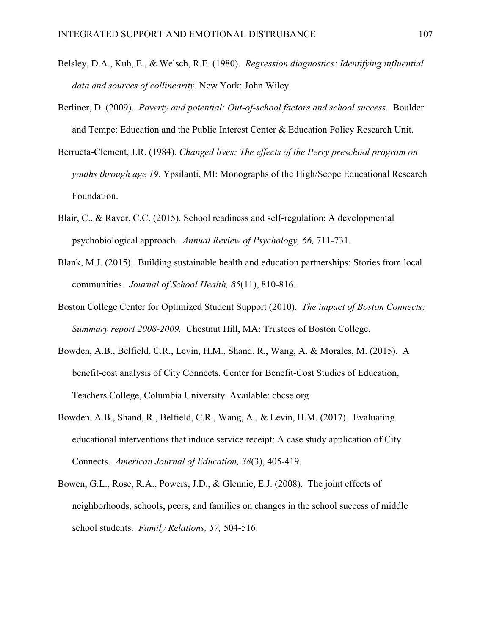- Belsley, D.A., Kuh, E., & Welsch, R.E. (1980). *Regression diagnostics: Identifying influential data and sources of collinearity.* New York: John Wiley.
- Berliner, D. (2009). *Poverty and potential: Out-of-school factors and school success.* Boulder and Tempe: Education and the Public Interest Center & Education Policy Research Unit.
- Berrueta-Clement, J.R. (1984). *Changed lives: The effects of the Perry preschool program on youths through age 19*. Ypsilanti, MI: Monographs of the High/Scope Educational Research Foundation.
- Blair, C., & Raver, C.C. (2015). School readiness and self-regulation: A developmental psychobiological approach. *Annual Review of Psychology, 66,* 711-731.
- Blank, M.J. (2015). Building sustainable health and education partnerships: Stories from local communities. *Journal of School Health, 85*(11), 810-816.
- Boston College Center for Optimized Student Support (2010). *The impact of Boston Connects: Summary report 2008-2009.* Chestnut Hill, MA: Trustees of Boston College.
- Bowden, A.B., Belfield, C.R., Levin, H.M., Shand, R., Wang, A. & Morales, M. (2015). A benefit-cost analysis of City Connects. Center for Benefit-Cost Studies of Education, Teachers College, Columbia University. Available: cbcse.org
- Bowden, A.B., Shand, R., Belfield, C.R., Wang, A., & Levin, H.M. (2017). Evaluating educational interventions that induce service receipt: A case study application of City Connects. *American Journal of Education, 38*(3), 405-419.
- Bowen, G.L., Rose, R.A., Powers, J.D., & Glennie, E.J. (2008). The joint effects of neighborhoods, schools, peers, and families on changes in the school success of middle school students. *Family Relations, 57,* 504-516.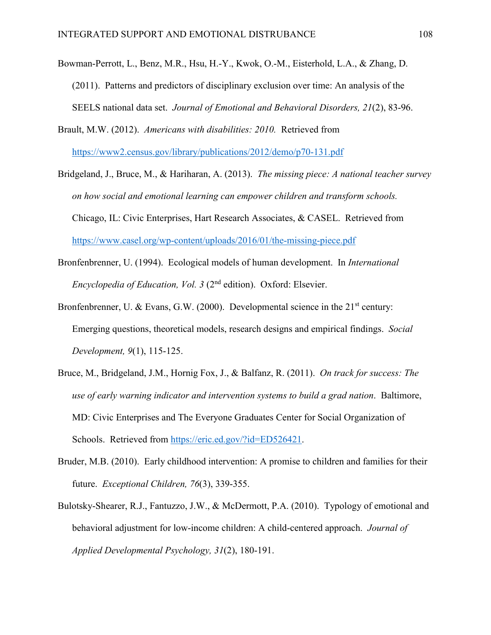- Bowman-Perrott, L., Benz, M.R., Hsu, H.-Y., Kwok, O.-M., Eisterhold, L.A., & Zhang, D. (2011). Patterns and predictors of disciplinary exclusion over time: An analysis of the SEELS national data set. *Journal of Emotional and Behavioral Disorders, 21*(2), 83-96.
- Brault, M.W. (2012). *Americans with disabilities: 2010.* Retrieved from https://www2.census.gov/library/publications/2012/demo/p70-131.pdf
- Bridgeland, J., Bruce, M., & Hariharan, A. (2013). *The missing piece: A national teacher survey on how social and emotional learning can empower children and transform schools.* Chicago, IL: Civic Enterprises, Hart Research Associates, & CASEL. Retrieved from https://www.casel.org/wp-content/uploads/2016/01/the-missing-piece.pdf
- Bronfenbrenner, U. (1994). Ecological models of human development. In *International Encyclopedia of Education, Vol. 3* (2nd edition). Oxford: Elsevier.
- Bronfenbrenner, U. & Evans, G.W. (2000). Developmental science in the  $21<sup>st</sup>$  century: Emerging questions, theoretical models, research designs and empirical findings. *Social Development, 9*(1), 115-125.
- Bruce, M., Bridgeland, J.M., Hornig Fox, J., & Balfanz, R. (2011). *On track for success: The use of early warning indicator and intervention systems to build a grad nation*. Baltimore, MD: Civic Enterprises and The Everyone Graduates Center for Social Organization of Schools. Retrieved from https://eric.ed.gov/?id=ED526421.
- Bruder, M.B. (2010). Early childhood intervention: A promise to children and families for their future. *Exceptional Children, 76*(3), 339-355.
- Bulotsky-Shearer, R.J., Fantuzzo, J.W., & McDermott, P.A. (2010). Typology of emotional and behavioral adjustment for low-income children: A child-centered approach. *Journal of Applied Developmental Psychology, 31*(2), 180-191.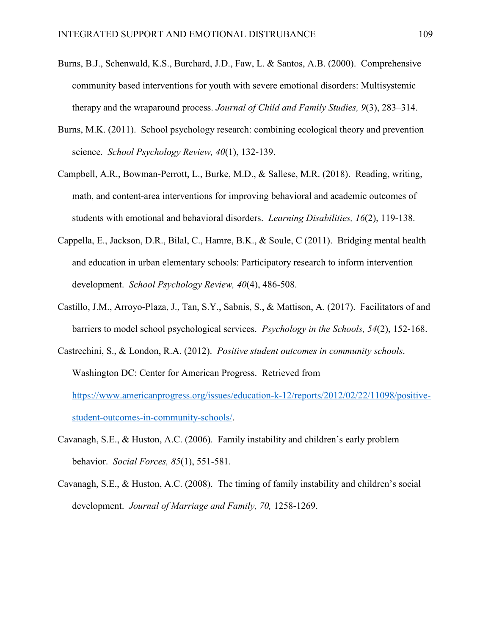- Burns, B.J., Schenwald, K.S., Burchard, J.D., Faw, L. & Santos, A.B. (2000). Comprehensive community based interventions for youth with severe emotional disorders: Multisystemic therapy and the wraparound process. *Journal of Child and Family Studies, 9*(3), 283–314.
- Burns, M.K. (2011). School psychology research: combining ecological theory and prevention science. *School Psychology Review, 40*(1), 132-139.
- Campbell, A.R., Bowman-Perrott, L., Burke, M.D., & Sallese, M.R. (2018). Reading, writing, math, and content-area interventions for improving behavioral and academic outcomes of students with emotional and behavioral disorders. *Learning Disabilities, 16*(2), 119-138.
- Cappella, E., Jackson, D.R., Bilal, C., Hamre, B.K., & Soule, C (2011). Bridging mental health and education in urban elementary schools: Participatory research to inform intervention development. *School Psychology Review, 40*(4), 486-508.
- Castillo, J.M., Arroyo-Plaza, J., Tan, S.Y., Sabnis, S., & Mattison, A. (2017). Facilitators of and barriers to model school psychological services. *Psychology in the Schools, 54*(2), 152-168.
- Castrechini, S., & London, R.A. (2012). *Positive student outcomes in community schools*. Washington DC: Center for American Progress. Retrieved from https://www.americanprogress.org/issues/education-k-12/reports/2012/02/22/11098/positivestudent-outcomes-in-community-schools/.
- Cavanagh, S.E., & Huston, A.C. (2006). Family instability and children's early problem behavior. *Social Forces, 85*(1), 551-581.
- Cavanagh, S.E., & Huston, A.C. (2008). The timing of family instability and children's social development. *Journal of Marriage and Family, 70,* 1258-1269.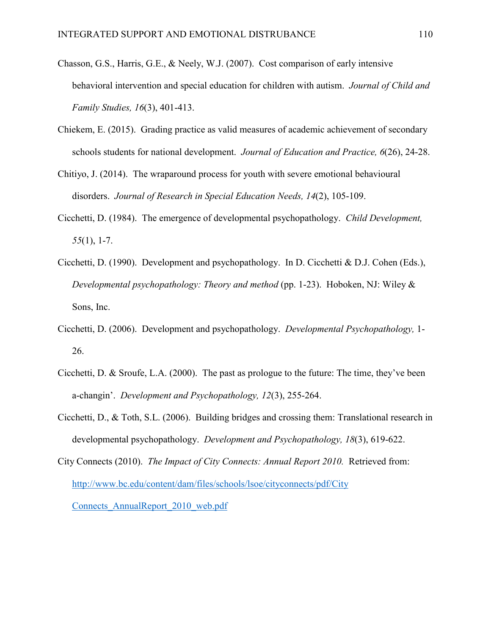- Chasson, G.S., Harris, G.E., & Neely, W.J. (2007). Cost comparison of early intensive behavioral intervention and special education for children with autism. *Journal of Child and Family Studies, 16*(3), 401-413.
- Chiekem, E. (2015). Grading practice as valid measures of academic achievement of secondary schools students for national development. *Journal of Education and Practice, 6*(26), 24-28.
- Chitiyo, J. (2014). The wraparound process for youth with severe emotional behavioural disorders. *Journal of Research in Special Education Needs, 14*(2), 105-109.
- Cicchetti, D. (1984). The emergence of developmental psychopathology. *Child Development, 55*(1), 1-7.
- Cicchetti, D. (1990). Development and psychopathology. In D. Cicchetti & D.J. Cohen (Eds.), *Developmental psychopathology: Theory and method* (pp. 1-23). Hoboken, NJ: Wiley & Sons, Inc.
- Cicchetti, D. (2006). Development and psychopathology. *Developmental Psychopathology,* 1- 26.
- Cicchetti, D. & Sroufe, L.A. (2000). The past as prologue to the future: The time, they've been a-changin'. *Development and Psychopathology, 12*(3), 255-264.
- Cicchetti, D., & Toth, S.L. (2006). Building bridges and crossing them: Translational research in developmental psychopathology. *Development and Psychopathology, 18*(3), 619-622.
- City Connects (2010). *The Impact of City Connects: Annual Report 2010.* Retrieved from: [http://www.bc.edu/content/dam/files/schools/lsoe/cityconnects/pdf/City](http://www.bc.edu/content/dam/files/schools/lsoe/cityconnects/pdf/City Connects_AnnualReport_2010_web.pdf)  [Connects\\_AnnualReport\\_2010\\_web.pdf](http://www.bc.edu/content/dam/files/schools/lsoe/cityconnects/pdf/City Connects_AnnualReport_2010_web.pdf)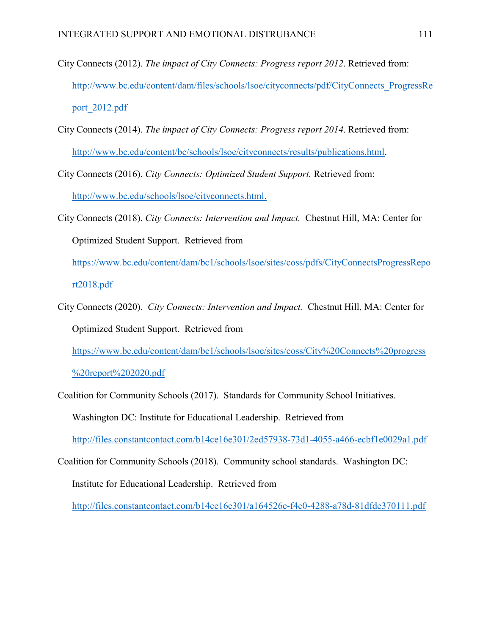- City Connects (2012). *The impact of City Connects: Progress report 2012*. Retrieved from: [http://www.bc.edu/content/dam/files/schools/lsoe/cityconnects/pdf/CityConnects\\_ProgressRe](http://www.bc.edu/content/dam/files/schools/lsoe/cityconnects/pdf/CityConnects_ProgressReport_2012.pdf) [port\\_2012.pdf](http://www.bc.edu/content/dam/files/schools/lsoe/cityconnects/pdf/CityConnects_ProgressReport_2012.pdf)
- City Connects (2014). *The impact of City Connects: Progress report 2014*. Retrieved from: [http://www.bc.edu/content/bc/schools/lsoe/cityconnects/results/publications.html.](http://www.bc.edu/content/bc/schools/lsoe/cityconnects/results/publications.html)
- City Connects (2016). *City Connects: Optimized Student Support.* Retrieved from: [http://www.bc.edu/schools/lsoe/cityconnects.html.](http://www.bc.edu/schools/lsoe/cityconnects.html)
- City Connects (2018). *City Connects: Intervention and Impact.* Chestnut Hill, MA: Center for Optimized Student Support. Retrieved from

https://www.bc.edu/content/dam/bc1/schools/lsoe/sites/coss/pdfs/CityConnectsProgressRepo rt2018.pdf

City Connects (2020). *City Connects: Intervention and Impact.* Chestnut Hill, MA: Center for Optimized Student Support. Retrieved from

https://www.bc.edu/content/dam/bc1/schools/lsoe/sites/coss/City%20Connects%20progress

%20report%202020.pdf

Coalition for Community Schools (2017). Standards for Community School Initiatives. Washington DC: Institute for Educational Leadership. Retrieved from <http://files.constantcontact.com/b14ce16e301/2ed57938-73d1-4055-a466-ecbf1e0029a1.pdf>

Coalition for Community Schools (2018). Community school standards. Washington DC: Institute for Educational Leadership. Retrieved from

<http://files.constantcontact.com/b14ce16e301/a164526e-f4c0-4288-a78d-81dfde370111.pdf>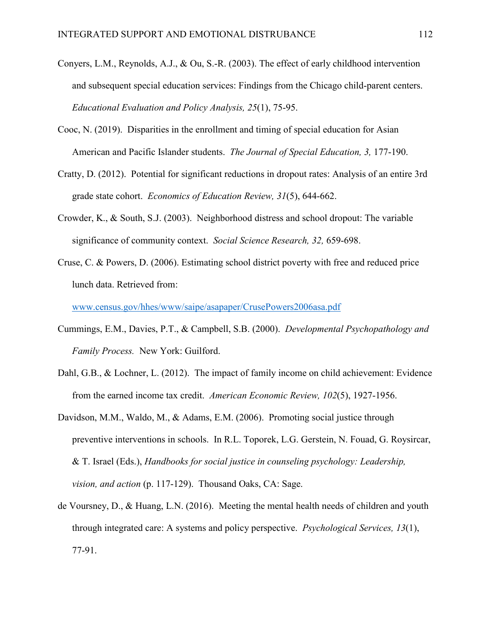- Conyers, L.M., Reynolds, A.J., & Ou, S.-R. (2003). The effect of early childhood intervention and subsequent special education services: Findings from the Chicago child-parent centers. *Educational Evaluation and Policy Analysis, 25*(1), 75-95.
- Cooc, N. (2019). Disparities in the enrollment and timing of special education for Asian American and Pacific Islander students. *The Journal of Special Education, 3,* 177-190.
- Cratty, D. (2012). Potential for significant reductions in dropout rates: Analysis of an entire 3rd grade state cohort. *Economics of Education Review, 31*(5), 644-662.
- Crowder, K., & South, S.J. (2003). Neighborhood distress and school dropout: The variable significance of community context. *Social Science Research, 32,* 659-698.
- Cruse, C. & Powers, D. (2006). Estimating school district poverty with free and reduced price lunch data. Retrieved from:

[www.census.gov/hhes/www/saipe/asapaper/CrusePowers2006asa.pdf](http://www.census.gov/hhes/www/saipe/asapaper/CrusePowers2006asa.pdf)

- Cummings, E.M., Davies, P.T., & Campbell, S.B. (2000). *Developmental Psychopathology and Family Process.* New York: Guilford.
- Dahl, G.B., & Lochner, L. (2012). The impact of family income on child achievement: Evidence from the earned income tax credit. *American Economic Review, 102*(5), 1927-1956.
- Davidson, M.M., Waldo, M., & Adams, E.M. (2006). Promoting social justice through preventive interventions in schools. In R.L. Toporek, L.G. Gerstein, N. Fouad, G. Roysircar, & T. Israel (Eds.), *Handbooks for social justice in counseling psychology: Leadership, vision, and action* (p. 117-129). Thousand Oaks, CA: Sage.
- de Voursney, D., & Huang, L.N. (2016). Meeting the mental health needs of children and youth through integrated care: A systems and policy perspective. *Psychological Services, 13*(1), 77-91.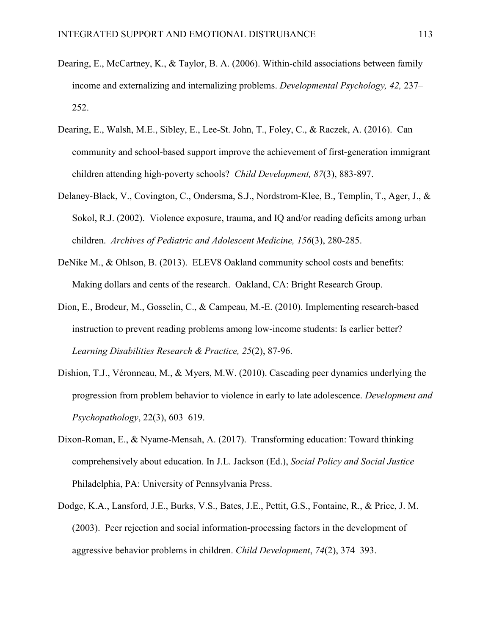- Dearing, E., McCartney, K., & Taylor, B. A. (2006). Within-child associations between family income and externalizing and internalizing problems. *Developmental Psychology, 42,* 237– 252.
- Dearing, E., Walsh, M.E., Sibley, E., Lee-St. John, T., Foley, C., & Raczek, A. (2016). Can community and school-based support improve the achievement of first-generation immigrant children attending high-poverty schools? *Child Development, 87*(3), 883-897.
- Delaney-Black, V., Covington, C., Ondersma, S.J., Nordstrom-Klee, B., Templin, T., Ager, J., & Sokol, R.J. (2002). Violence exposure, trauma, and IQ and/or reading deficits among urban children. *Archives of Pediatric and Adolescent Medicine, 156*(3), 280-285.
- DeNike M., & Ohlson, B. (2013). ELEV8 Oakland community school costs and benefits: Making dollars and cents of the research. Oakland, CA: Bright Research Group.
- Dion, E., Brodeur, M., Gosselin, C., & Campeau, M.-E. (2010). Implementing research-based instruction to prevent reading problems among low-income students: Is earlier better? *Learning Disabilities Research & Practice, 25*(2), 87-96.
- Dishion, T.J., Véronneau, M., & Myers, M.W. (2010). Cascading peer dynamics underlying the progression from problem behavior to violence in early to late adolescence. *Development and Psychopathology*, 22(3), 603–619.
- Dixon-Roman, E., & Nyame-Mensah, A. (2017). Transforming education: Toward thinking comprehensively about education. In J.L. Jackson (Ed.), *Social Policy and Social Justice* Philadelphia, PA: University of Pennsylvania Press.
- Dodge, K.A., Lansford, J.E., Burks, V.S., Bates, J.E., Pettit, G.S., Fontaine, R., & Price, J. M. (2003). Peer rejection and social information-processing factors in the development of aggressive behavior problems in children. *Child Development*, *74*(2), 374–393.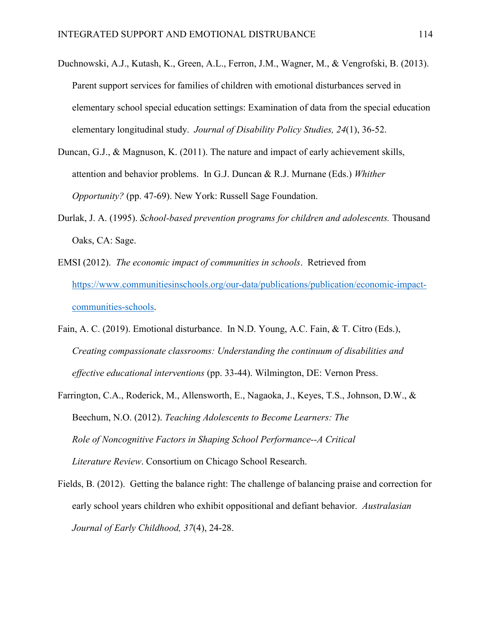- Duchnowski, A.J., Kutash, K., Green, A.L., Ferron, J.M., Wagner, M., & Vengrofski, B. (2013). Parent support services for families of children with emotional disturbances served in elementary school special education settings: Examination of data from the special education elementary longitudinal study. *Journal of Disability Policy Studies, 24*(1), 36-52.
- Duncan, G.J., & Magnuson, K. (2011). The nature and impact of early achievement skills, attention and behavior problems. In G.J. Duncan & R.J. Murnane (Eds.) *Whither Opportunity?* (pp. 47-69). New York: Russell Sage Foundation.
- Durlak, J. A. (1995). *School-based prevention programs for children and adolescents.* Thousand Oaks, CA: Sage.
- EMSI (2012). *The economic impact of communities in schools*. Retrieved from https://www.communitiesinschools.org/our-data/publications/publication/economic-impactcommunities-schools.
- Fain, A. C. (2019). Emotional disturbance. In N.D. Young, A.C. Fain, & T. Citro (Eds.), *Creating compassionate classrooms: Understanding the continuum of disabilities and effective educational interventions* (pp. 33-44). Wilmington, DE: Vernon Press.
- Farrington, C.A., Roderick, M., Allensworth, E., Nagaoka, J., Keyes, T.S., Johnson, D.W., & Beechum, N.O. (2012). *Teaching Adolescents to Become Learners: The Role of Noncognitive Factors in Shaping School Performance--A Critical Literature Review*. Consortium on Chicago School Research.
- Fields, B. (2012). Getting the balance right: The challenge of balancing praise and correction for early school years children who exhibit oppositional and defiant behavior. *Australasian Journal of Early Childhood, 37*(4), 24-28.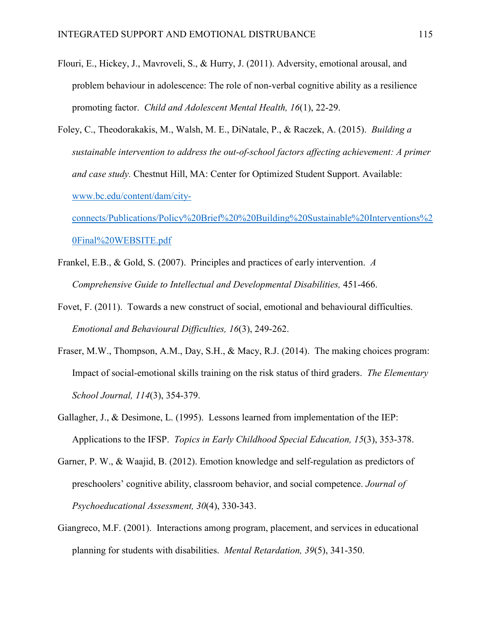- Flouri, E., Hickey, J., Mavroveli, S., & Hurry, J. (2011). Adversity, emotional arousal, and problem behaviour in adolescence: The role of non-verbal cognitive ability as a resilience promoting factor. *Child and Adolescent Mental Health, 16*(1), 22-29.
- Foley, C., Theodorakakis, M., Walsh, M. E., DiNatale, P., & Raczek, A. (2015). *Building a sustainable intervention to address the out-of-school factors affecting achievement: A primer and case study.* Chestnut Hill, MA: Center for Optimized Student Support. Available: [www.bc.edu/content/dam/city-](http://www.bc.edu/content/dam/city-connects/Publications/Policy Brief  Building Sustainable Interventions Final WEBSITE.pdf)

[connects/Publications/Policy%20Brief%20%20Building%20Sustainable%20Interventions%2](http://www.bc.edu/content/dam/city-connects/Publications/Policy Brief  Building Sustainable Interventions Final WEBSITE.pdf) [0Final%20WEBSITE.pdf](http://www.bc.edu/content/dam/city-connects/Publications/Policy Brief  Building Sustainable Interventions Final WEBSITE.pdf)

- Frankel, E.B., & Gold, S. (2007). Principles and practices of early intervention. *A Comprehensive Guide to Intellectual and Developmental Disabilities,* 451-466.
- Fovet, F. (2011). Towards a new construct of social, emotional and behavioural difficulties. *Emotional and Behavioural Difficulties, 16*(3), 249-262.
- Fraser, M.W., Thompson, A.M., Day, S.H., & Macy, R.J. (2014). The making choices program: Impact of social-emotional skills training on the risk status of third graders. *The Elementary School Journal, 114*(3), 354-379.
- Gallagher, J., & Desimone, L. (1995). Lessons learned from implementation of the IEP: Applications to the IFSP. *Topics in Early Childhood Special Education, 15*(3), 353-378.
- Garner, P. W., & Waajid, B. (2012). Emotion knowledge and self-regulation as predictors of preschoolers' cognitive ability, classroom behavior, and social competence. *Journal of Psychoeducational Assessment, 30*(4), 330-343.
- Giangreco, M.F. (2001). Interactions among program, placement, and services in educational planning for students with disabilities. *Mental Retardation, 39*(5), 341-350.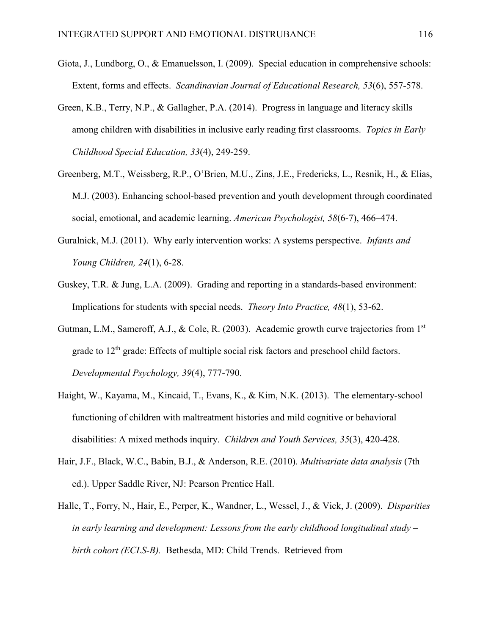- Giota, J., Lundborg, O., & Emanuelsson, I. (2009). Special education in comprehensive schools: Extent, forms and effects. *Scandinavian Journal of Educational Research, 53*(6), 557-578.
- Green, K.B., Terry, N.P., & Gallagher, P.A. (2014). Progress in language and literacy skills among children with disabilities in inclusive early reading first classrooms. *Topics in Early Childhood Special Education, 33*(4), 249-259.
- Greenberg, M.T., Weissberg, R.P., O'Brien, M.U., Zins, J.E., Fredericks, L., Resnik, H., & Elias, M.J. (2003). Enhancing school-based prevention and youth development through coordinated social, emotional, and academic learning. *American Psychologist, 58*(6-7), 466–474.
- Guralnick, M.J. (2011). Why early intervention works: A systems perspective. *Infants and Young Children, 24*(1), 6-28.
- Guskey, T.R. & Jung, L.A. (2009). Grading and reporting in a standards-based environment: Implications for students with special needs. *Theory Into Practice, 48*(1), 53-62.
- Gutman, L.M., Sameroff, A.J., & Cole, R. (2003). Academic growth curve trajectories from 1<sup>st</sup> grade to  $12<sup>th</sup>$  grade: Effects of multiple social risk factors and preschool child factors. *Developmental Psychology, 39*(4), 777-790.
- Haight, W., Kayama, M., Kincaid, T., Evans, K., & Kim, N.K. (2013). The elementary-school functioning of children with maltreatment histories and mild cognitive or behavioral disabilities: A mixed methods inquiry. *Children and Youth Services, 35*(3), 420-428.
- Hair, J.F., Black, W.C., Babin, B.J., & Anderson, R.E. (2010). *Multivariate data analysis* (7th ed.). Upper Saddle River, NJ: Pearson Prentice Hall.
- Halle, T., Forry, N., Hair, E., Perper, K., Wandner, L., Wessel, J., & Vick, J. (2009). *Disparities in early learning and development: Lessons from the early childhood longitudinal study – birth cohort (ECLS-B).* Bethesda, MD: Child Trends. Retrieved from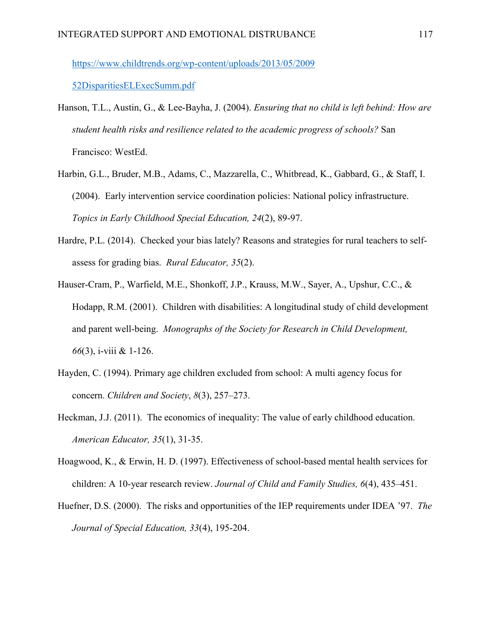https://www.childtrends.org/wp-content/uploads/2013/05/2009

52DisparitiesELExecSumm.pdf

- Hanson, T.L., Austin, G., & Lee-Bayha, J. (2004). *Ensuring that no child is left behind: How are student health risks and resilience related to the academic progress of schools?* San Francisco: WestEd.
- Harbin, G.L., Bruder, M.B., Adams, C., Mazzarella, C., Whitbread, K., Gabbard, G., & Staff, I. (2004). Early intervention service coordination policies: National policy infrastructure. *Topics in Early Childhood Special Education, 24*(2), 89-97.
- Hardre, P.L. (2014). Checked your bias lately? Reasons and strategies for rural teachers to selfassess for grading bias. *Rural Educator, 35*(2).
- Hauser-Cram, P., Warfield, M.E., Shonkoff, J.P., Krauss, M.W., Sayer, A., Upshur, C.C., & Hodapp, R.M. (2001). Children with disabilities: A longitudinal study of child development and parent well-being. *Monographs of the Society for Research in Child Development, 66*(3), i-viii & 1-126.
- Hayden, C. (1994). Primary age children excluded from school: A multi agency focus for concern. *Children and Society*, *8*(3), 257–273.
- Heckman, J.J. (2011). The economics of inequality: The value of early childhood education. *American Educator, 35*(1), 31-35.
- Hoagwood, K., & Erwin, H. D. (1997). Effectiveness of school-based mental health services for children: A 10-year research review. *Journal of Child and Family Studies, 6*(4), 435–451.
- Huefner, D.S. (2000). The risks and opportunities of the IEP requirements under IDEA '97. *The Journal of Special Education, 33*(4), 195-204.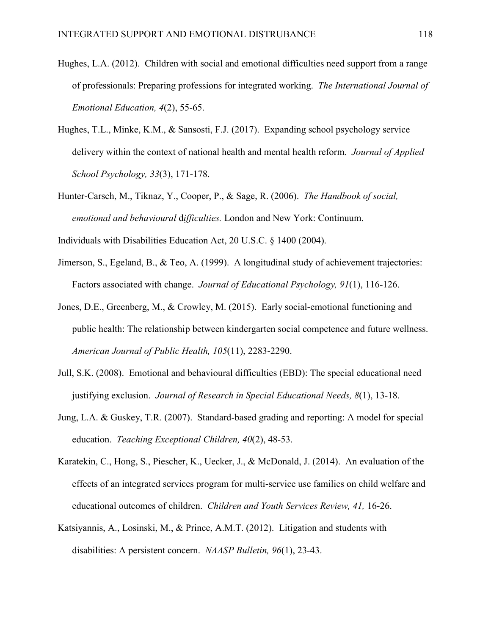- Hughes, L.A. (2012). Children with social and emotional difficulties need support from a range of professionals: Preparing professions for integrated working. *The International Journal of Emotional Education, 4*(2), 55-65.
- Hughes, T.L., Minke, K.M., & Sansosti, F.J. (2017). Expanding school psychology service delivery within the context of national health and mental health reform. *Journal of Applied School Psychology, 33*(3), 171-178.
- Hunter-Carsch, M., Tiknaz, Y., Cooper, P., & Sage, R. (2006). *The Handbook of social, emotional and behavioural* d*ifficulties.* London and New York: Continuum.
- Individuals with Disabilities Education Act, 20 U.S.C. § 1400 (2004).
- Jimerson, S., Egeland, B., & Teo, A. (1999). A longitudinal study of achievement trajectories: Factors associated with change. *Journal of Educational Psychology, 91*(1), 116-126.
- Jones, D.E., Greenberg, M., & Crowley, M. (2015). Early social-emotional functioning and public health: The relationship between kindergarten social competence and future wellness. *American Journal of Public Health, 105*(11), 2283-2290.
- Jull, S.K. (2008). Emotional and behavioural difficulties (EBD): The special educational need justifying exclusion. *Journal of Research in Special Educational Needs, 8*(1), 13-18.
- Jung, L.A. & Guskey, T.R. (2007). Standard-based grading and reporting: A model for special education. *Teaching Exceptional Children, 40*(2), 48-53.
- Karatekin, C., Hong, S., Piescher, K., Uecker, J., & McDonald, J. (2014). An evaluation of the effects of an integrated services program for multi-service use families on child welfare and educational outcomes of children. *Children and Youth Services Review, 41,* 16-26.
- Katsiyannis, A., Losinski, M., & Prince, A.M.T. (2012). Litigation and students with disabilities: A persistent concern. *NAASP Bulletin, 96*(1), 23-43.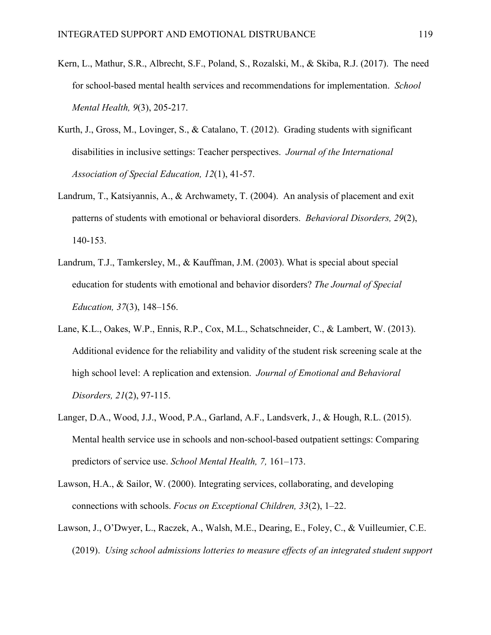- Kern, L., Mathur, S.R., Albrecht, S.F., Poland, S., Rozalski, M., & Skiba, R.J. (2017). The need for school-based mental health services and recommendations for implementation. *School Mental Health, 9*(3), 205-217.
- Kurth, J., Gross, M., Lovinger, S., & Catalano, T. (2012). Grading students with significant disabilities in inclusive settings: Teacher perspectives. *Journal of the International Association of Special Education, 12*(1), 41-57.
- Landrum, T., Katsiyannis, A., & Archwamety, T. (2004). An analysis of placement and exit patterns of students with emotional or behavioral disorders. *Behavioral Disorders, 29*(2), 140-153.
- Landrum, T.J., Tamkersley, M., & Kauffman, J.M. (2003). What is special about special education for students with emotional and behavior disorders? *The Journal of Special Education, 37*(3), 148–156.
- Lane, K.L., Oakes, W.P., Ennis, R.P., Cox, M.L., Schatschneider, C., & Lambert, W. (2013). Additional evidence for the reliability and validity of the student risk screening scale at the high school level: A replication and extension. *Journal of Emotional and Behavioral Disorders, 21*(2), 97-115.
- Langer, D.A., Wood, J.J., Wood, P.A., Garland, A.F., Landsverk, J., & Hough, R.L. (2015). Mental health service use in schools and non-school-based outpatient settings: Comparing predictors of service use. *School Mental Health, 7,* 161–173.
- Lawson, H.A., & Sailor, W. (2000). Integrating services, collaborating, and developing connections with schools. *Focus on Exceptional Children, 33*(2), 1–22.
- Lawson, J., O'Dwyer, L., Raczek, A., Walsh, M.E., Dearing, E., Foley, C., & Vuilleumier, C.E. (2019). *Using school admissions lotteries to measure effects of an integrated student support*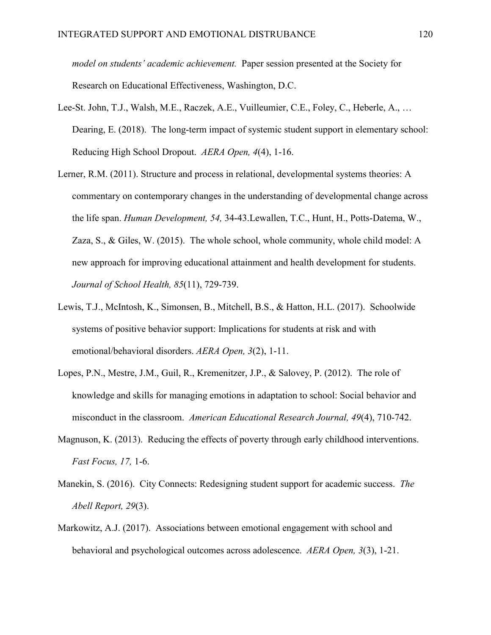*model on students' academic achievement.* Paper session presented at the Society for Research on Educational Effectiveness, Washington, D.C.

- Lee-St. John, T.J., Walsh, M.E., Raczek, A.E., Vuilleumier, C.E., Foley, C., Heberle, A., … Dearing, E. (2018). The long-term impact of systemic student support in elementary school: Reducing High School Dropout. *AERA Open, 4*(4), 1-16.
- Lerner, R.M. (2011). Structure and process in relational, developmental systems theories: A commentary on contemporary changes in the understanding of developmental change across the life span. *Human Development, 54,* 34-43.Lewallen, T.C., Hunt, H., Potts-Datema, W., Zaza, S., & Giles, W. (2015). The whole school, whole community, whole child model: A new approach for improving educational attainment and health development for students. *Journal of School Health, 85*(11), 729-739.
- Lewis, T.J., McIntosh, K., Simonsen, B., Mitchell, B.S., & Hatton, H.L. (2017). Schoolwide systems of positive behavior support: Implications for students at risk and with emotional/behavioral disorders. *AERA Open, 3*(2), 1-11.
- Lopes, P.N., Mestre, J.M., Guil, R., Kremenitzer, J.P., & Salovey, P. (2012). The role of knowledge and skills for managing emotions in adaptation to school: Social behavior and misconduct in the classroom. *American Educational Research Journal, 49*(4), 710-742.
- Magnuson, K. (2013). Reducing the effects of poverty through early childhood interventions. *Fast Focus, 17,* 1-6.
- Manekin, S. (2016). City Connects: Redesigning student support for academic success. *The Abell Report, 29*(3).
- Markowitz, A.J. (2017). Associations between emotional engagement with school and behavioral and psychological outcomes across adolescence. *AERA Open, 3*(3), 1-21.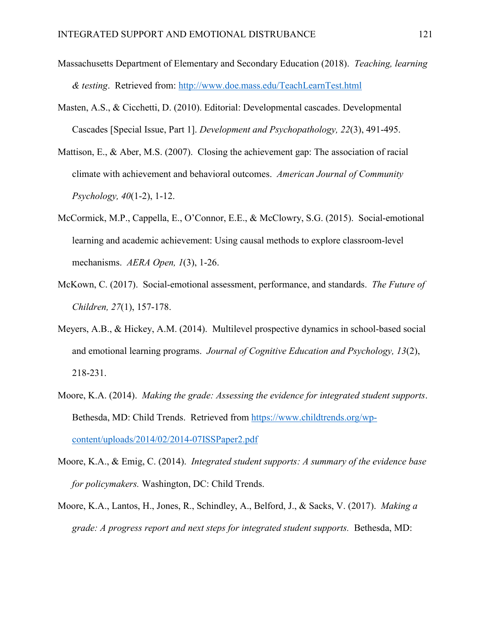- Massachusetts Department of Elementary and Secondary Education (2018). *Teaching, learning & testing*. Retrieved from:<http://www.doe.mass.edu/TeachLearnTest.html>
- Masten, A.S., & Cicchetti, D. (2010). Editorial: Developmental cascades. Developmental Cascades [Special Issue, Part 1]. *Development and Psychopathology, 22*(3), 491-495.
- Mattison, E., & Aber, M.S. (2007). Closing the achievement gap: The association of racial climate with achievement and behavioral outcomes. *American Journal of Community Psychology, 40*(1-2), 1-12.
- McCormick, M.P., Cappella, E., O'Connor, E.E., & McClowry, S.G. (2015). Social-emotional learning and academic achievement: Using causal methods to explore classroom-level mechanisms. *AERA Open, 1*(3), 1-26.
- McKown, C. (2017). Social-emotional assessment, performance, and standards. *The Future of Children, 27*(1), 157-178.
- Meyers, A.B., & Hickey, A.M. (2014). Multilevel prospective dynamics in school-based social and emotional learning programs. *Journal of Cognitive Education and Psychology, 13*(2), 218-231.
- Moore, K.A. (2014). *Making the grade: Assessing the evidence for integrated student supports*. Bethesda, MD: Child Trends. Retrieved from https://www.childtrends.org/wpcontent/uploads/2014/02/2014-07ISSPaper2.pdf
- Moore, K.A., & Emig, C. (2014). *Integrated student supports: A summary of the evidence base for policymakers.* Washington, DC: Child Trends.
- Moore, K.A., Lantos, H., Jones, R., Schindley, A., Belford, J., & Sacks, V. (2017). *Making a grade: A progress report and next steps for integrated student supports.* Bethesda, MD: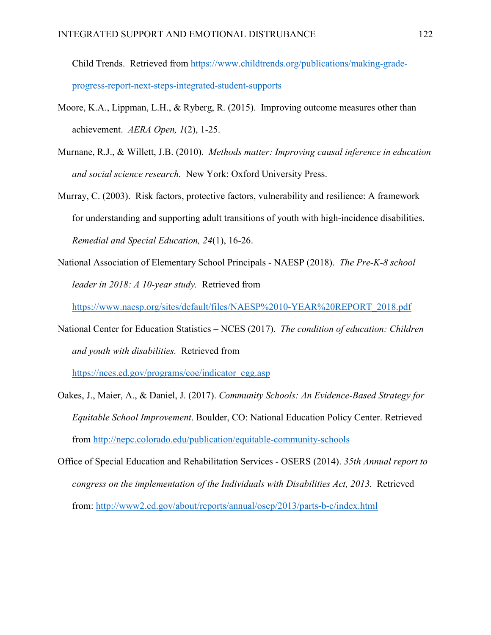Child Trends. Retrieved from https://www.childtrends.org/publications/making-gradeprogress-report-next-steps-integrated-student-supports

- Moore, K.A., Lippman, L.H., & Ryberg, R. (2015). Improving outcome measures other than achievement. *AERA Open, 1*(2), 1-25.
- Murnane, R.J., & Willett, J.B. (2010). *Methods matter: Improving causal inference in education and social science research.* New York: Oxford University Press.
- Murray, C. (2003). Risk factors, protective factors, vulnerability and resilience: A framework for understanding and supporting adult transitions of youth with high-incidence disabilities. *Remedial and Special Education, 24*(1), 16-26.
- National Association of Elementary School Principals NAESP (2018). *The Pre-K-8 school leader in 2018: A 10-year study.* Retrieved from

https://www.naesp.org/sites/default/files/NAESP%2010-YEAR%20REPORT\_2018.pdf

National Center for Education Statistics – NCES (2017). *The condition of education: Children and youth with disabilities.* Retrieved from

https://nces.ed.gov/programs/coe/indicator\_cgg.asp

- Oakes, J., Maier, A., & Daniel, J. (2017). *Community Schools: An Evidence-Based Strategy for Equitable School Improvement*. Boulder, CO: National Education Policy Center. Retrieved from<http://nepc.colorado.edu/publication/equitable-community-schools>
- Office of Special Education and Rehabilitation Services OSERS (2014). *35th Annual report to congress on the implementation of the Individuals with Disabilities Act, 2013.* Retrieved from: <http://www2.ed.gov/about/reports/annual/osep/2013/parts-b-c/index.html>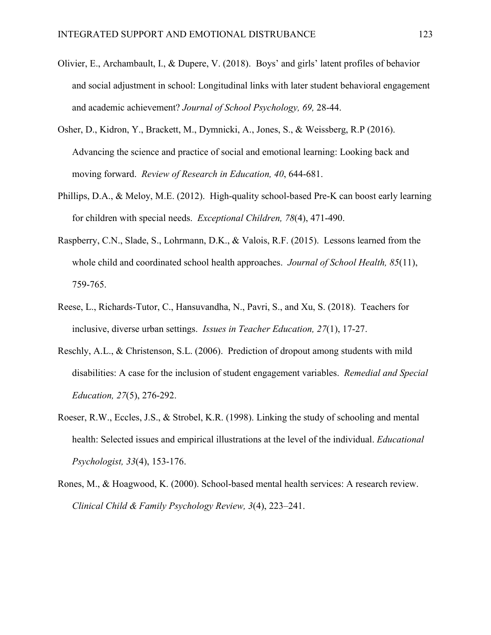- Olivier, E., Archambault, I., & Dupere, V. (2018). Boys' and girls' latent profiles of behavior and social adjustment in school: Longitudinal links with later student behavioral engagement and academic achievement? *Journal of School Psychology, 69,* 28-44.
- Osher, D., Kidron, Y., Brackett, M., Dymnicki, A., Jones, S., & Weissberg, R.P (2016). Advancing the science and practice of social and emotional learning: Looking back and moving forward. *Review of Research in Education, 40*, 644-681.
- Phillips, D.A., & Meloy, M.E. (2012). High-quality school-based Pre-K can boost early learning for children with special needs. *Exceptional Children, 78*(4), 471-490.
- Raspberry, C.N., Slade, S., Lohrmann, D.K., & Valois, R.F. (2015). Lessons learned from the whole child and coordinated school health approaches. *Journal of School Health, 85*(11), 759-765.
- Reese, L., Richards-Tutor, C., Hansuvandha, N., Pavri, S., and Xu, S. (2018). Teachers for inclusive, diverse urban settings. *Issues in Teacher Education, 27*(1), 17-27.
- Reschly, A.L., & Christenson, S.L. (2006). Prediction of dropout among students with mild disabilities: A case for the inclusion of student engagement variables. *Remedial and Special Education, 27*(5), 276-292.
- Roeser, R.W., Eccles, J.S., & Strobel, K.R. (1998). Linking the study of schooling and mental health: Selected issues and empirical illustrations at the level of the individual. *Educational Psychologist, 33*(4), 153-176.
- Rones, M., & Hoagwood, K. (2000). School-based mental health services: A research review. *Clinical Child & Family Psychology Review, 3*(4), 223–241.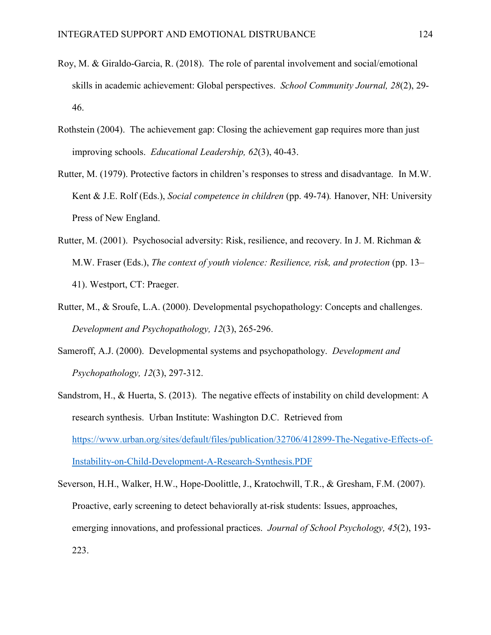- Roy, M. & Giraldo-Garcia, R. (2018). The role of parental involvement and social/emotional skills in academic achievement: Global perspectives. *School Community Journal, 28*(2), 29- 46.
- Rothstein (2004). The achievement gap: Closing the achievement gap requires more than just improving schools. *Educational Leadership, 62*(3), 40-43.
- Rutter, M. (1979). Protective factors in children's responses to stress and disadvantage. In M.W. Kent & J.E. Rolf (Eds.), *Social competence in children* (pp. 49-74)*.* Hanover, NH: University Press of New England.
- Rutter, M. (2001). Psychosocial adversity: Risk, resilience, and recovery. In J. M. Richman & M.W. Fraser (Eds.), *The context of youth violence: Resilience, risk, and protection* (pp. 13– 41). Westport, CT: Praeger.
- Rutter, M., & Sroufe, L.A. (2000). Developmental psychopathology: Concepts and challenges. *Development and Psychopathology, 12*(3), 265-296.
- Sameroff, A.J. (2000). Developmental systems and psychopathology. *Development and Psychopathology, 12*(3), 297-312.
- Sandstrom, H., & Huerta, S. (2013). The negative effects of instability on child development: A research synthesis. Urban Institute: Washington D.C. Retrieved from https://www.urban.org/sites/default/files/publication/32706/412899-The-Negative-Effects-of-Instability-on-Child-Development-A-Research-Synthesis.PDF
- Severson, H.H., Walker, H.W., Hope-Doolittle, J., Kratochwill, T.R., & Gresham, F.M. (2007). Proactive, early screening to detect behaviorally at-risk students: Issues, approaches, emerging innovations, and professional practices. *Journal of School Psychology, 45*(2), 193- 223.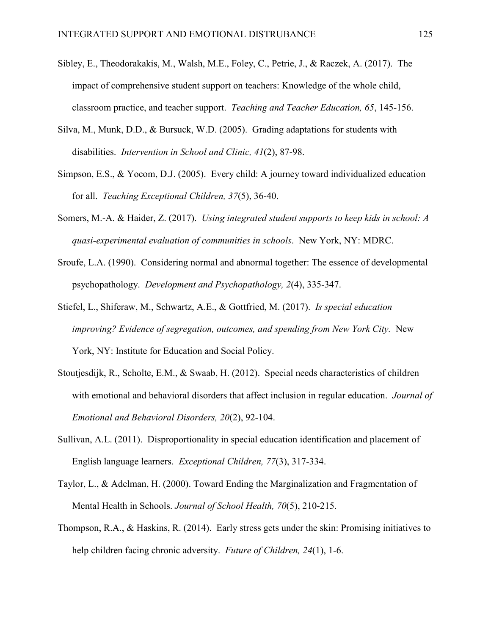- Sibley, E., Theodorakakis, M., Walsh, M.E., Foley, C., Petrie, J., & Raczek, A. (2017). The impact of comprehensive student support on teachers: Knowledge of the whole child, classroom practice, and teacher support. *Teaching and Teacher Education, 65*, 145-156.
- Silva, M., Munk, D.D., & Bursuck, W.D. (2005). Grading adaptations for students with disabilities. *Intervention in School and Clinic, 41*(2), 87-98.
- Simpson, E.S., & Yocom, D.J. (2005). Every child: A journey toward individualized education for all. *Teaching Exceptional Children, 37*(5), 36-40.
- Somers, M.-A. & Haider, Z. (2017). *Using integrated student supports to keep kids in school: A quasi-experimental evaluation of communities in schools*. New York, NY: MDRC.
- Sroufe, L.A. (1990). Considering normal and abnormal together: The essence of developmental psychopathology. *Development and Psychopathology, 2*(4), 335-347.
- Stiefel, L., Shiferaw, M., Schwartz, A.E., & Gottfried, M. (2017). *Is special education improving? Evidence of segregation, outcomes, and spending from New York City.* New York, NY: Institute for Education and Social Policy.
- Stoutjesdijk, R., Scholte, E.M., & Swaab, H. (2012). Special needs characteristics of children with emotional and behavioral disorders that affect inclusion in regular education. *Journal of Emotional and Behavioral Disorders, 20*(2), 92-104.
- Sullivan, A.L. (2011). Disproportionality in special education identification and placement of English language learners. *Exceptional Children, 77*(3), 317-334.
- Taylor, L., & Adelman, H. (2000). Toward Ending the Marginalization and Fragmentation of Mental Health in Schools. *Journal of School Health, 70*(5), 210-215.
- Thompson, R.A., & Haskins, R. (2014). Early stress gets under the skin: Promising initiatives to help children facing chronic adversity. *Future of Children, 24*(1), 1-6.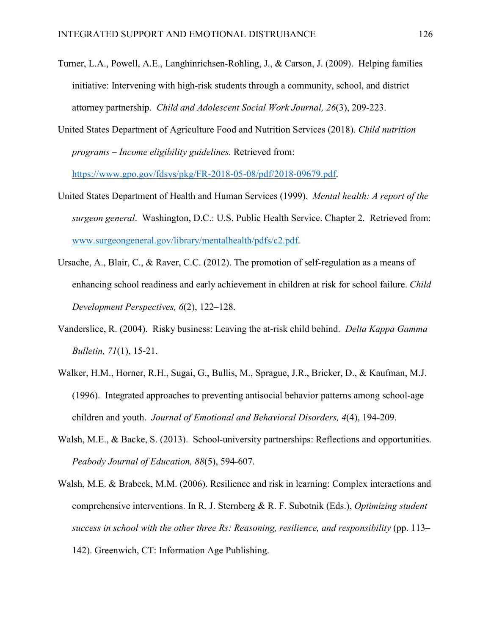- Turner, L.A., Powell, A.E., Langhinrichsen-Rohling, J., & Carson, J. (2009). Helping families initiative: Intervening with high-risk students through a community, school, and district attorney partnership. *Child and Adolescent Social Work Journal, 26*(3), 209-223.
- United States Department of Agriculture Food and Nutrition Services (2018). *Child nutrition programs – Income eligibility guidelines.* Retrieved from:

https://www.gpo.gov/fdsys/pkg/FR-2018-05-08/pdf/2018-09679.pdf.

- United States Department of Health and Human Services (1999). *Mental health: A report of the surgeon general*. Washington, D.C.: U.S. Public Health Service. Chapter 2. Retrieved from: [www.surgeongeneral.gov/library/mentalhealth/pdfs/c2.pdf.](http://www.surgeongeneral.gov/library/mentalhealth/pdfs/c2.pdf)
- Ursache, A., Blair, C., & Raver, C.C. (2012). The promotion of self-regulation as a means of enhancing school readiness and early achievement in children at risk for school failure. *Child Development Perspectives, 6*(2), 122–128.
- Vanderslice, R. (2004). Risky business: Leaving the at-risk child behind. *Delta Kappa Gamma Bulletin, 71*(1), 15-21.
- Walker, H.M., Horner, R.H., Sugai, G., Bullis, M., Sprague, J.R., Bricker, D., & Kaufman, M.J. (1996). Integrated approaches to preventing antisocial behavior patterns among school-age children and youth. *Journal of Emotional and Behavioral Disorders, 4*(4), 194-209.
- Walsh, M.E., & Backe, S. (2013). School-university partnerships: Reflections and opportunities. *Peabody Journal of Education, 88*(5), 594-607.
- Walsh, M.E. & Brabeck, M.M. (2006). Resilience and risk in learning: Complex interactions and comprehensive interventions. In R. J. Sternberg & R. F. Subotnik (Eds.), *Optimizing student*  success in school with the other three Rs: Reasoning, resilience, and responsibility (pp. 113– 142). Greenwich, CT: Information Age Publishing.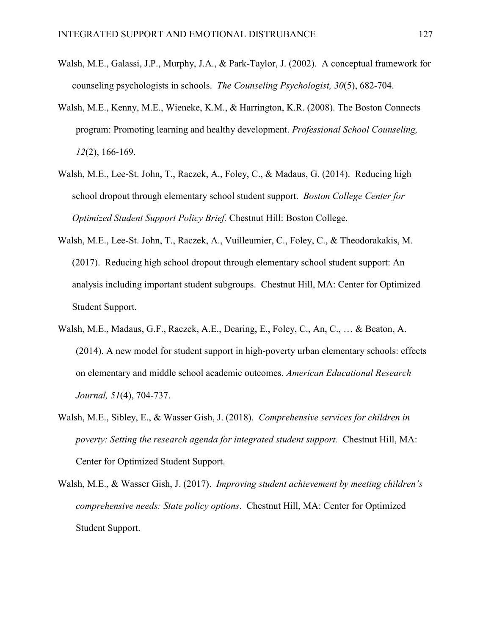- Walsh, M.E., Galassi, J.P., Murphy, J.A., & Park-Taylor, J. (2002). A conceptual framework for counseling psychologists in schools. *The Counseling Psychologist, 30*(5), 682-704.
- Walsh, M.E., Kenny, M.E., Wieneke, K.M., & Harrington, K.R. (2008). The Boston Connects program: Promoting learning and healthy development. *Professional School Counseling, 12*(2), 166-169.
- Walsh, M.E., Lee-St. John, T., Raczek, A., Foley, C., & Madaus, G. (2014). Reducing high school dropout through elementary school student support. *Boston College Center for Optimized Student Support Policy Brief.* Chestnut Hill: Boston College.
- Walsh, M.E., Lee-St. John, T., Raczek, A., Vuilleumier, C., Foley, C., & Theodorakakis, M. (2017). Reducing high school dropout through elementary school student support: An analysis including important student subgroups. Chestnut Hill, MA: Center for Optimized Student Support.
- Walsh, M.E., Madaus, G.F., Raczek, A.E., Dearing, E., Foley, C., An, C., … & Beaton, A. (2014). A new model for student support in high-poverty urban elementary schools: effects on elementary and middle school academic outcomes. *American Educational Research Journal, 51*(4), 704-737.
- Walsh, M.E., Sibley, E., & Wasser Gish, J. (2018). *Comprehensive services for children in poverty: Setting the research agenda for integrated student support.* Chestnut Hill, MA: Center for Optimized Student Support.
- Walsh, M.E., & Wasser Gish, J. (2017). *Improving student achievement by meeting children's comprehensive needs: State policy options*. Chestnut Hill, MA: Center for Optimized Student Support.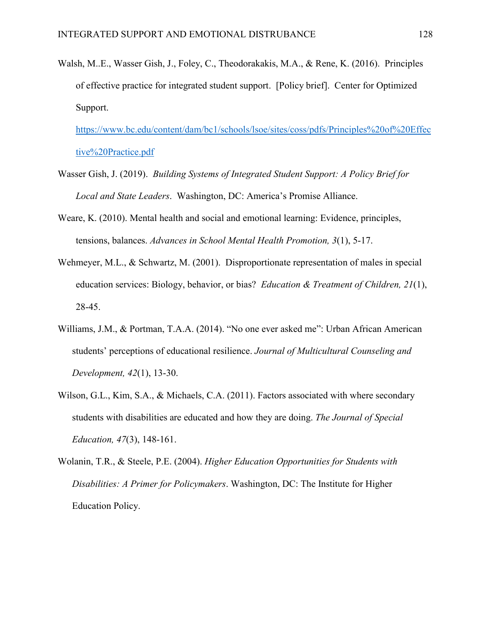Walsh, M..E., Wasser Gish, J., Foley, C., Theodorakakis, M.A., & Rene, K. (2016). Principles of effective practice for integrated student support. [Policy brief]. Center for Optimized Support.

https://www.bc.edu/content/dam/bc1/schools/lsoe/sites/coss/pdfs/Principles%20of%20Effec tive%20Practice.pdf

- Wasser Gish, J. (2019). *Building Systems of Integrated Student Support: A Policy Brief for Local and State Leaders*. Washington, DC: America's Promise Alliance.
- Weare, K. (2010). Mental health and social and emotional learning: Evidence, principles, tensions, balances. *Advances in School Mental Health Promotion, 3*(1), 5-17.
- Wehmeyer, M.L., & Schwartz, M. (2001). Disproportionate representation of males in special education services: Biology, behavior, or bias? *Education & Treatment of Children, 21*(1), 28-45.
- Williams, J.M., & Portman, T.A.A. (2014). "No one ever asked me": Urban African American students' perceptions of educational resilience. *Journal of Multicultural Counseling and Development, 42*(1), 13-30.
- Wilson, G.L., Kim, S.A., & Michaels, C.A. (2011). Factors associated with where secondary students with disabilities are educated and how they are doing. *The Journal of Special Education, 47*(3), 148-161.
- Wolanin, T.R., & Steele, P.E. (2004). *Higher Education Opportunities for Students with Disabilities: A Primer for Policymakers*. Washington, DC: The Institute for Higher Education Policy.